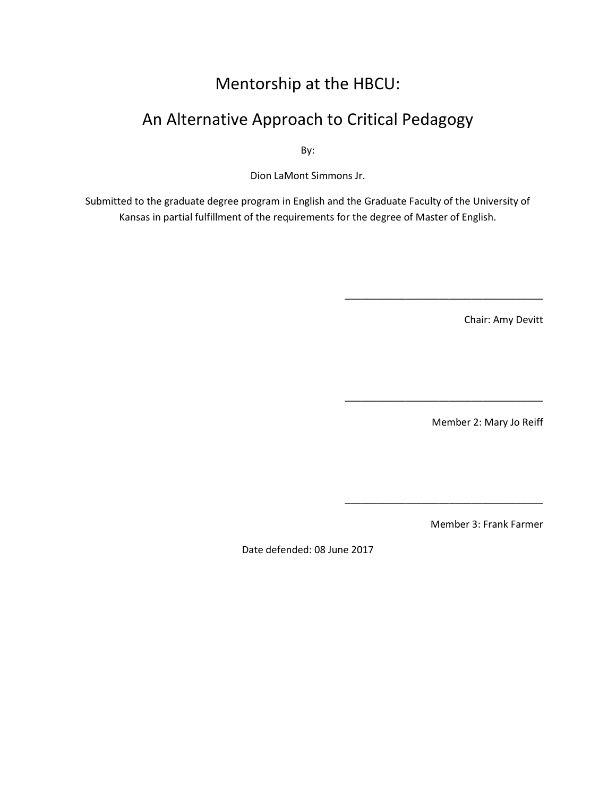# Mentorship at the HBCU:

# An Alternative Approach to Critical Pedagogy

By:

Dion LaMont Simmons Jr.

Submitted to the graduate degree program in English and the Graduate Faculty of the University of Kansas in partial fulfillment of the requirements for the degree of Master of English.

Chair: Amy Devitt

\_\_\_\_\_\_\_\_\_\_\_\_\_\_\_\_\_\_\_\_\_\_\_\_\_\_\_\_\_\_\_\_\_\_\_\_

\_\_\_\_\_\_\_\_\_\_\_\_\_\_\_\_\_\_\_\_\_\_\_\_\_\_\_\_\_\_\_\_\_\_\_\_

\_\_\_\_\_\_\_\_\_\_\_\_\_\_\_\_\_\_\_\_\_\_\_\_\_\_\_\_\_\_\_\_\_\_\_\_

Member 2: Mary Jo Reiff

Member 3: Frank Farmer

Date defended: 08 June 2017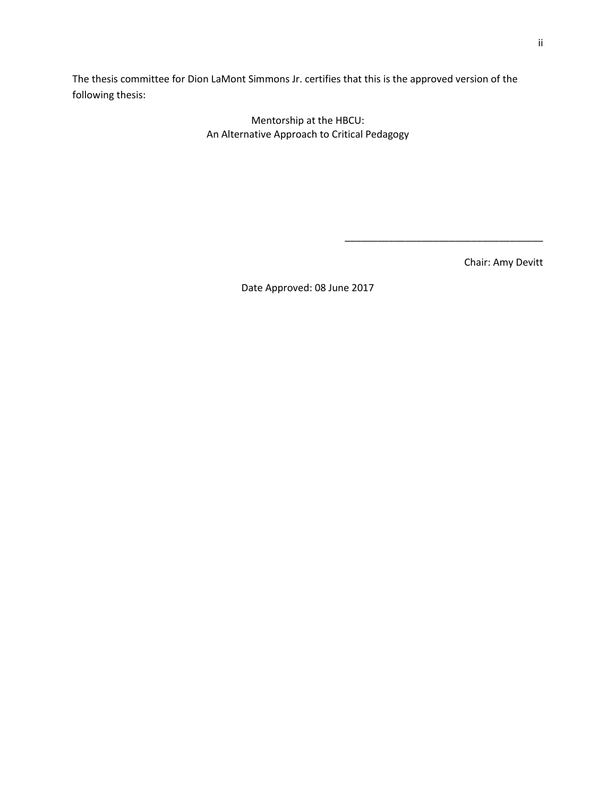The thesis committee for Dion LaMont Simmons Jr. certifies that this is the approved version of the following thesis:

> Mentorship at the HBCU: An Alternative Approach to Critical Pedagogy

> > Chair: Amy Devitt

\_\_\_\_\_\_\_\_\_\_\_\_\_\_\_\_\_\_\_\_\_\_\_\_\_\_\_\_\_\_\_\_\_\_\_\_

Date Approved: 08 June 2017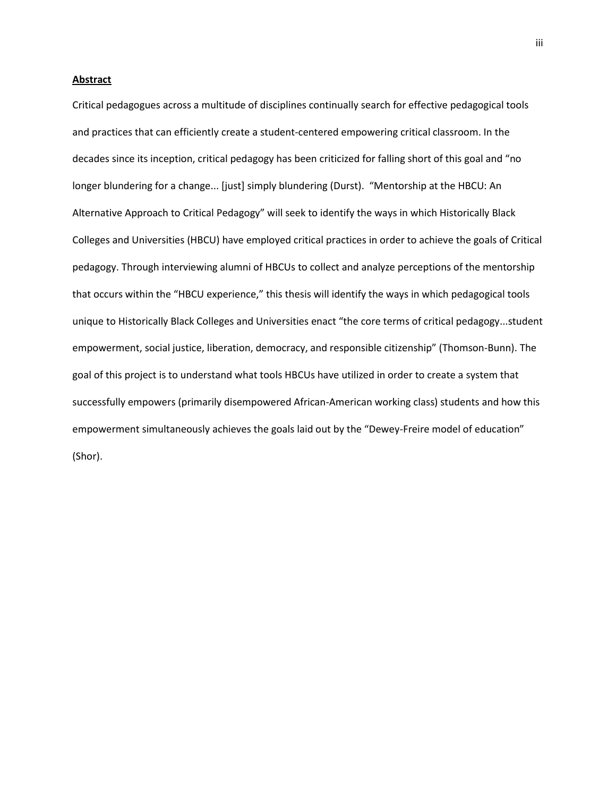#### **Abstract**

Critical pedagogues across a multitude of disciplines continually search for effective pedagogical tools and practices that can efficiently create a student-centered empowering critical classroom. In the decades since its inception, critical pedagogy has been criticized for falling short of this goal and "no longer blundering for a change... [just] simply blundering (Durst). "Mentorship at the HBCU: An Alternative Approach to Critical Pedagogy" will seek to identify the ways in which Historically Black Colleges and Universities (HBCU) have employed critical practices in order to achieve the goals of Critical pedagogy. Through interviewing alumni of HBCUs to collect and analyze perceptions of the mentorship that occurs within the "HBCU experience," this thesis will identify the ways in which pedagogical tools unique to Historically Black Colleges and Universities enact "the core terms of critical pedagogy...student empowerment, social justice, liberation, democracy, and responsible citizenship" (Thomson-Bunn). The goal of this project is to understand what tools HBCUs have utilized in order to create a system that successfully empowers (primarily disempowered African-American working class) students and how this empowerment simultaneously achieves the goals laid out by the "Dewey-Freire model of education" (Shor).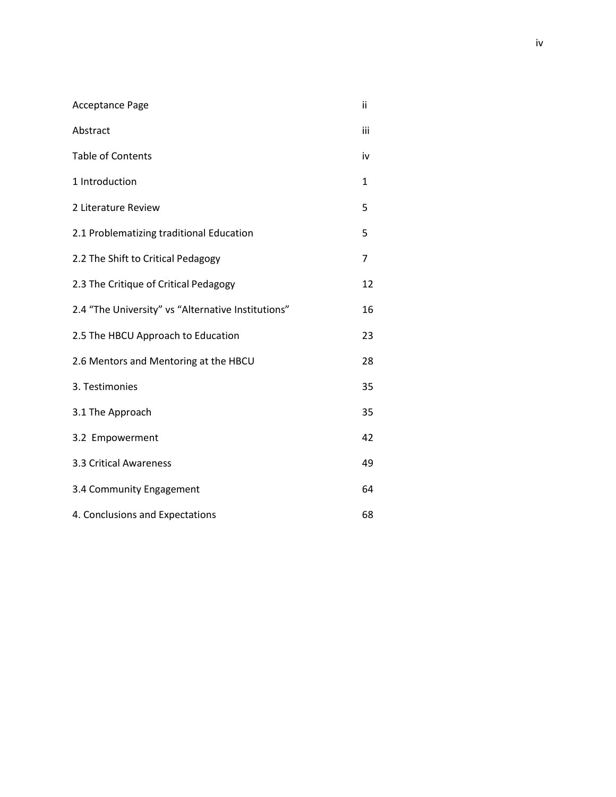| <b>Acceptance Page</b>                             | ii  |
|----------------------------------------------------|-----|
| Abstract                                           | iii |
| <b>Table of Contents</b>                           | iv  |
| 1 Introduction                                     | 1   |
| 2 Literature Review                                | 5   |
| 2.1 Problematizing traditional Education           | 5   |
| 2.2 The Shift to Critical Pedagogy                 | 7   |
| 2.3 The Critique of Critical Pedagogy              | 12  |
| 2.4 "The University" vs "Alternative Institutions" | 16  |
| 2.5 The HBCU Approach to Education                 | 23  |
| 2.6 Mentors and Mentoring at the HBCU              | 28  |
| 3. Testimonies                                     | 35  |
| 3.1 The Approach                                   | 35  |
| 3.2 Empowerment                                    | 42  |
| 3.3 Critical Awareness                             | 49  |
| 3.4 Community Engagement                           | 64  |
| 4. Conclusions and Expectations                    | 68  |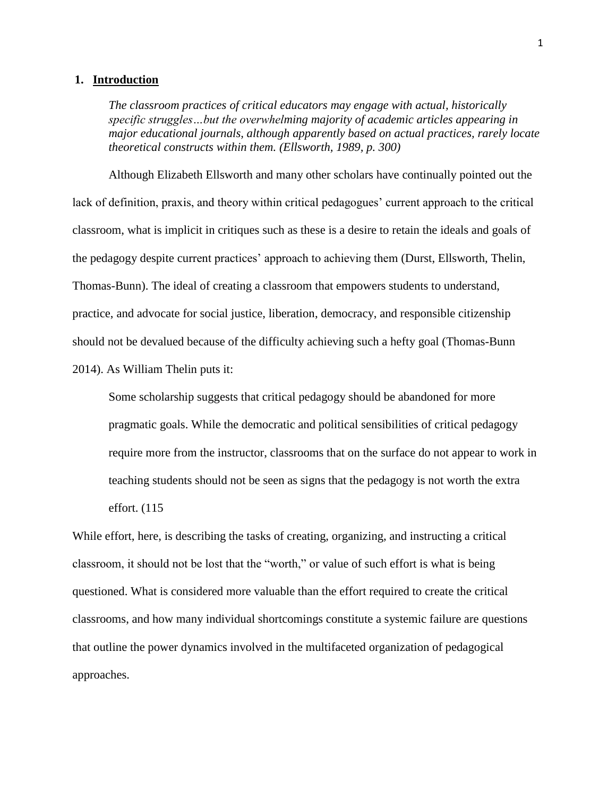#### **1. Introduction**

*The classroom practices of critical educators may engage with actual, historically specific struggles…but the overwhelming majority of academic articles appearing in major educational journals, although apparently based on actual practices, rarely locate theoretical constructs within them. (Ellsworth, 1989, p. 300)*

Although Elizabeth Ellsworth and many other scholars have continually pointed out the lack of definition, praxis, and theory within critical pedagogues' current approach to the critical classroom, what is implicit in critiques such as these is a desire to retain the ideals and goals of the pedagogy despite current practices' approach to achieving them (Durst, Ellsworth, Thelin, Thomas-Bunn). The ideal of creating a classroom that empowers students to understand, practice, and advocate for social justice, liberation, democracy, and responsible citizenship should not be devalued because of the difficulty achieving such a hefty goal (Thomas-Bunn 2014). As William Thelin puts it:

Some scholarship suggests that critical pedagogy should be abandoned for more pragmatic goals. While the democratic and political sensibilities of critical pedagogy require more from the instructor, classrooms that on the surface do not appear to work in teaching students should not be seen as signs that the pedagogy is not worth the extra effort. (115

While effort, here, is describing the tasks of creating, organizing, and instructing a critical classroom, it should not be lost that the "worth," or value of such effort is what is being questioned. What is considered more valuable than the effort required to create the critical classrooms, and how many individual shortcomings constitute a systemic failure are questions that outline the power dynamics involved in the multifaceted organization of pedagogical approaches.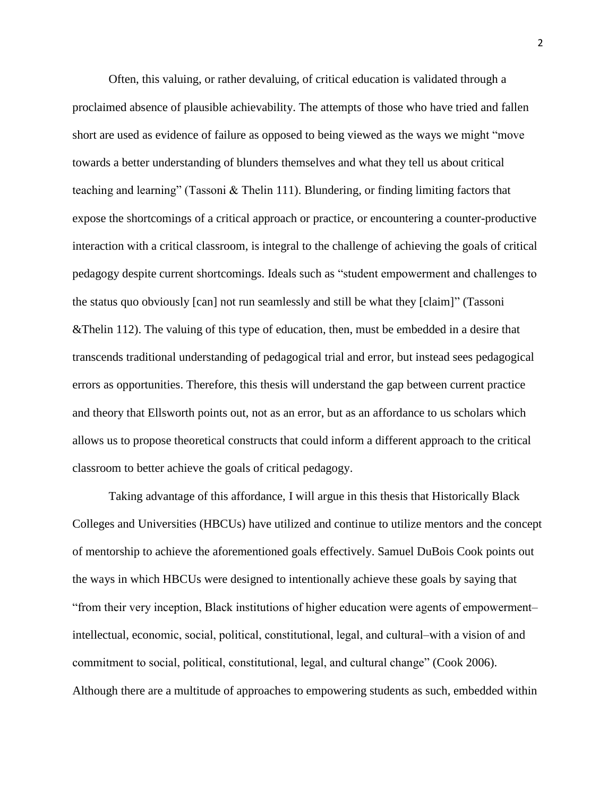Often, this valuing, or rather devaluing, of critical education is validated through a proclaimed absence of plausible achievability. The attempts of those who have tried and fallen short are used as evidence of failure as opposed to being viewed as the ways we might "move towards a better understanding of blunders themselves and what they tell us about critical teaching and learning" (Tassoni & Thelin 111). Blundering, or finding limiting factors that expose the shortcomings of a critical approach or practice, or encountering a counter-productive interaction with a critical classroom, is integral to the challenge of achieving the goals of critical pedagogy despite current shortcomings. Ideals such as "student empowerment and challenges to the status quo obviously [can] not run seamlessly and still be what they [claim]" (Tassoni &Thelin 112). The valuing of this type of education, then, must be embedded in a desire that transcends traditional understanding of pedagogical trial and error, but instead sees pedagogical errors as opportunities. Therefore, this thesis will understand the gap between current practice and theory that Ellsworth points out, not as an error, but as an affordance to us scholars which allows us to propose theoretical constructs that could inform a different approach to the critical classroom to better achieve the goals of critical pedagogy.

Taking advantage of this affordance, I will argue in this thesis that Historically Black Colleges and Universities (HBCUs) have utilized and continue to utilize mentors and the concept of mentorship to achieve the aforementioned goals effectively. Samuel DuBois Cook points out the ways in which HBCUs were designed to intentionally achieve these goals by saying that "from their very inception, Black institutions of higher education were agents of empowerment‒ intellectual, economic, social, political, constitutional, legal, and cultural—with a vision of and commitment to social, political, constitutional, legal, and cultural change" (Cook 2006). Although there are a multitude of approaches to empowering students as such, embedded within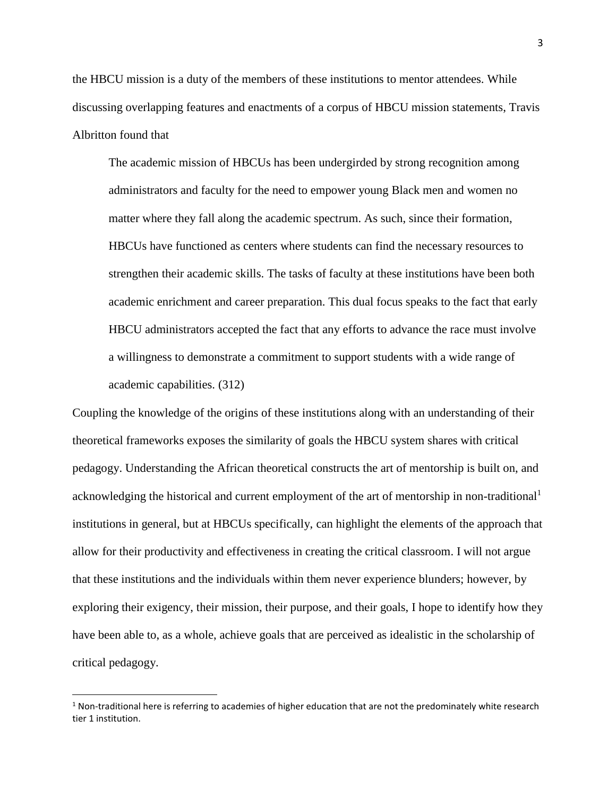the HBCU mission is a duty of the members of these institutions to mentor attendees. While discussing overlapping features and enactments of a corpus of HBCU mission statements, Travis Albritton found that

The academic mission of HBCUs has been undergirded by strong recognition among administrators and faculty for the need to empower young Black men and women no matter where they fall along the academic spectrum. As such, since their formation, HBCUs have functioned as centers where students can find the necessary resources to strengthen their academic skills. The tasks of faculty at these institutions have been both academic enrichment and career preparation. This dual focus speaks to the fact that early HBCU administrators accepted the fact that any efforts to advance the race must involve a willingness to demonstrate a commitment to support students with a wide range of academic capabilities. (312)

Coupling the knowledge of the origins of these institutions along with an understanding of their theoretical frameworks exposes the similarity of goals the HBCU system shares with critical pedagogy. Understanding the African theoretical constructs the art of mentorship is built on, and acknowledging the historical and current employment of the art of mentorship in non-traditional<sup>1</sup> institutions in general, but at HBCUs specifically, can highlight the elements of the approach that allow for their productivity and effectiveness in creating the critical classroom. I will not argue that these institutions and the individuals within them never experience blunders; however, by exploring their exigency, their mission, their purpose, and their goals, I hope to identify how they have been able to, as a whole, achieve goals that are perceived as idealistic in the scholarship of critical pedagogy.

l

 $1$  Non-traditional here is referring to academies of higher education that are not the predominately white research tier 1 institution.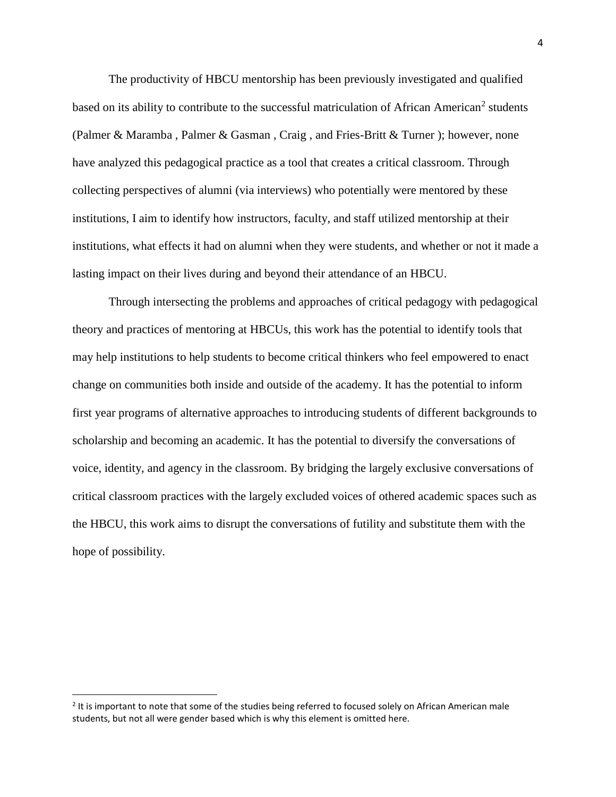The productivity of HBCU mentorship has been previously investigated and qualified based on its ability to contribute to the successful matriculation of African American<sup>2</sup> students (Palmer & Maramba , Palmer & Gasman , Craig , and Fries-Britt & Turner ); however, none have analyzed this pedagogical practice as a tool that creates a critical classroom. Through collecting perspectives of alumni (via interviews) who potentially were mentored by these institutions, I aim to identify how instructors, faculty, and staff utilized mentorship at their institutions, what effects it had on alumni when they were students, and whether or not it made a lasting impact on their lives during and beyond their attendance of an HBCU.

Through intersecting the problems and approaches of critical pedagogy with pedagogical theory and practices of mentoring at HBCUs, this work has the potential to identify tools that may help institutions to help students to become critical thinkers who feel empowered to enact change on communities both inside and outside of the academy. It has the potential to inform first year programs of alternative approaches to introducing students of different backgrounds to scholarship and becoming an academic. It has the potential to diversify the conversations of voice, identity, and agency in the classroom. By bridging the largely exclusive conversations of critical classroom practices with the largely excluded voices of othered academic spaces such as the HBCU, this work aims to disrupt the conversations of futility and substitute them with the hope of possibility.

l

 $2$  It is important to note that some of the studies being referred to focused solely on African American male students, but not all were gender based which is why this element is omitted here.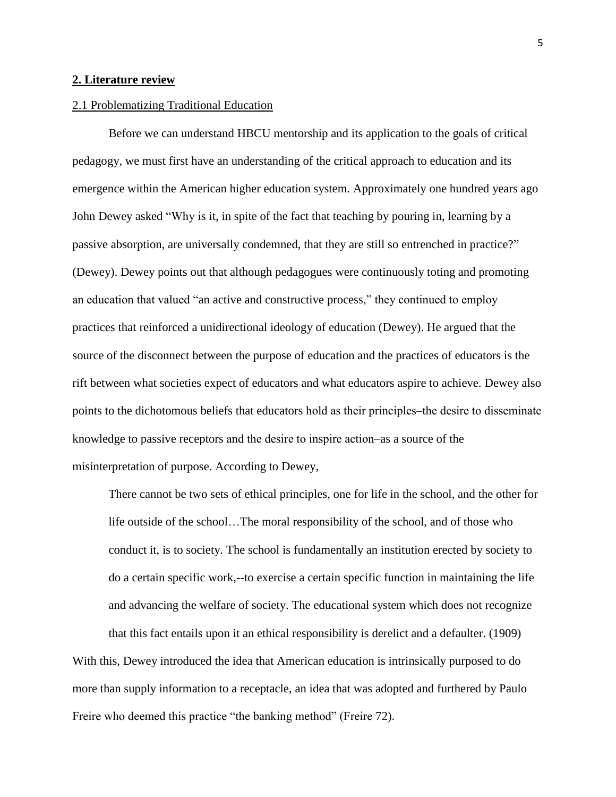### **2. Literature review**

#### 2.1 Problematizing Traditional Education

Before we can understand HBCU mentorship and its application to the goals of critical pedagogy, we must first have an understanding of the critical approach to education and its emergence within the American higher education system. Approximately one hundred years ago John Dewey asked "Why is it, in spite of the fact that teaching by pouring in, learning by a passive absorption, are universally condemned, that they are still so entrenched in practice?" (Dewey). Dewey points out that although pedagogues were continuously toting and promoting an education that valued "an active and constructive process," they continued to employ practices that reinforced a unidirectional ideology of education (Dewey). He argued that the source of the disconnect between the purpose of education and the practices of educators is the rift between what societies expect of educators and what educators aspire to achieve. Dewey also points to the dichotomous beliefs that educators hold as their principles—the desire to disseminate knowledge to passive receptors and the desire to inspire action–as a source of the misinterpretation of purpose. According to Dewey,

There cannot be two sets of ethical principles, one for life in the school, and the other for life outside of the school…The moral responsibility of the school, and of those who conduct it, is to society. The school is fundamentally an institution erected by society to do a certain specific work,--to exercise a certain specific function in maintaining the life and advancing the welfare of society. The educational system which does not recognize

that this fact entails upon it an ethical responsibility is derelict and a defaulter. (1909) With this, Dewey introduced the idea that American education is intrinsically purposed to do more than supply information to a receptacle, an idea that was adopted and furthered by Paulo Freire who deemed this practice "the banking method" (Freire 72).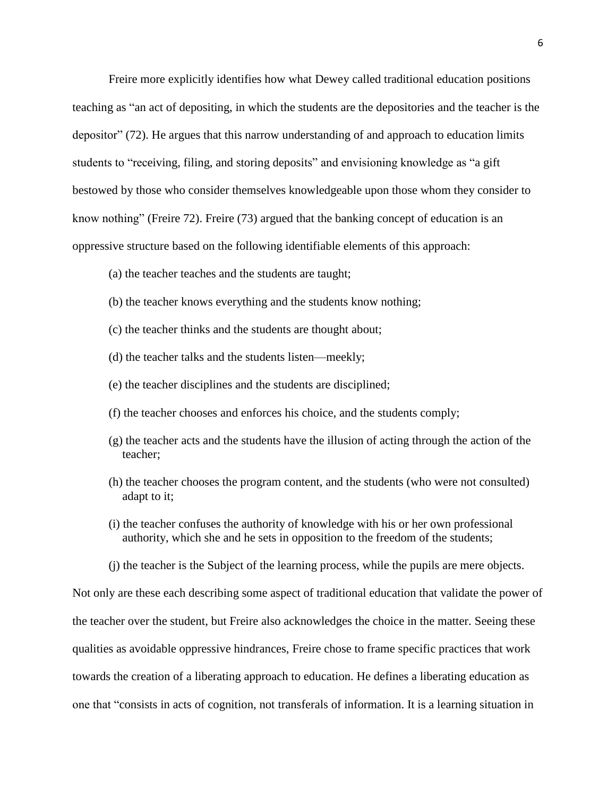Freire more explicitly identifies how what Dewey called traditional education positions teaching as "an act of depositing, in which the students are the depositories and the teacher is the depositor" (72). He argues that this narrow understanding of and approach to education limits students to "receiving, filing, and storing deposits" and envisioning knowledge as "a gift bestowed by those who consider themselves knowledgeable upon those whom they consider to know nothing" (Freire 72). Freire (73) argued that the banking concept of education is an oppressive structure based on the following identifiable elements of this approach:

- (a) the teacher teaches and the students are taught;
- (b) the teacher knows everything and the students know nothing;
- (c) the teacher thinks and the students are thought about;
- (d) the teacher talks and the students listen—meekly;
- (e) the teacher disciplines and the students are disciplined;
- (f) the teacher chooses and enforces his choice, and the students comply;
- (g) the teacher acts and the students have the illusion of acting through the action of the teacher;
- (h) the teacher chooses the program content, and the students (who were not consulted) adapt to it;
- (i) the teacher confuses the authority of knowledge with his or her own professional authority, which she and he sets in opposition to the freedom of the students;
- (j) the teacher is the Subject of the learning process, while the pupils are mere objects.

Not only are these each describing some aspect of traditional education that validate the power of the teacher over the student, but Freire also acknowledges the choice in the matter. Seeing these qualities as avoidable oppressive hindrances, Freire chose to frame specific practices that work towards the creation of a liberating approach to education. He defines a liberating education as one that "consists in acts of cognition, not transferals of information. It is a learning situation in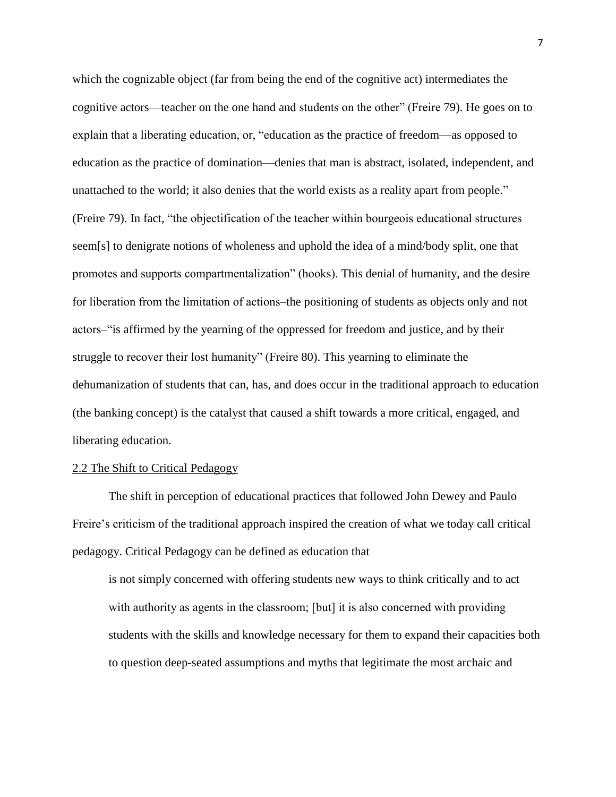which the cognizable object (far from being the end of the cognitive act) intermediates the cognitive actors—teacher on the one hand and students on the other" (Freire 79). He goes on to explain that a liberating education, or, "education as the practice of freedom—as opposed to education as the practice of domination—denies that man is abstract, isolated, independent, and unattached to the world; it also denies that the world exists as a reality apart from people." (Freire 79). In fact, "the objectification of the teacher within bourgeois educational structures seem[s] to denigrate notions of wholeness and uphold the idea of a mind/body split, one that promotes and supports compartmentalization" (hooks). This denial of humanity, and the desire for liberation from the limitation of actions—the positioning of students as objects only and not actors‒"is affirmed by the yearning of the oppressed for freedom and justice, and by their struggle to recover their lost humanity" (Freire 80). This yearning to eliminate the dehumanization of students that can, has, and does occur in the traditional approach to education (the banking concept) is the catalyst that caused a shift towards a more critical, engaged, and liberating education.

#### 2.2 The Shift to Critical Pedagogy

The shift in perception of educational practices that followed John Dewey and Paulo Freire's criticism of the traditional approach inspired the creation of what we today call critical pedagogy. Critical Pedagogy can be defined as education that

is not simply concerned with offering students new ways to think critically and to act with authority as agents in the classroom; [but] it is also concerned with providing students with the skills and knowledge necessary for them to expand their capacities both to question deep-seated assumptions and myths that legitimate the most archaic and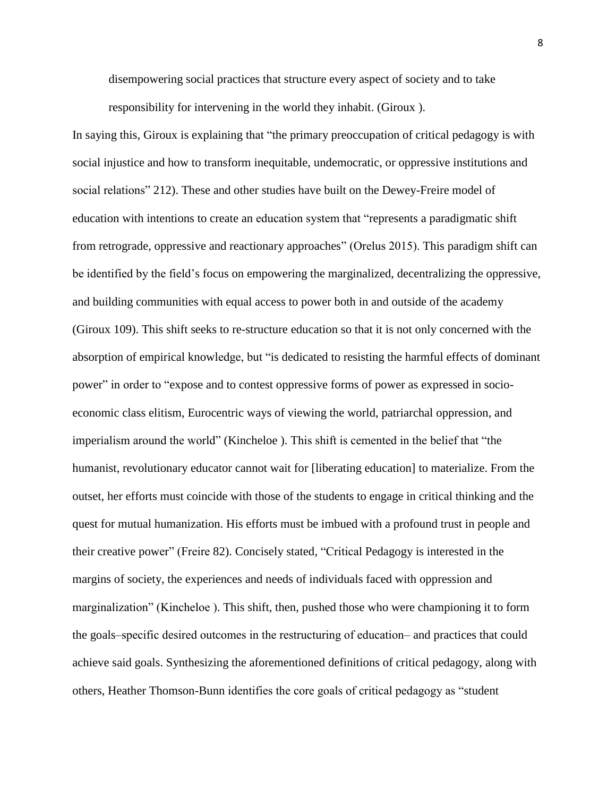disempowering social practices that structure every aspect of society and to take responsibility for intervening in the world they inhabit. (Giroux ).

In saying this, Giroux is explaining that "the primary preoccupation of critical pedagogy is with social injustice and how to transform inequitable, undemocratic, or oppressive institutions and social relations" 212). These and other studies have built on the Dewey-Freire model of education with intentions to create an education system that "represents a paradigmatic shift from retrograde, oppressive and reactionary approaches" (Orelus 2015). This paradigm shift can be identified by the field's focus on empowering the marginalized, decentralizing the oppressive, and building communities with equal access to power both in and outside of the academy (Giroux 109). This shift seeks to re-structure education so that it is not only concerned with the absorption of empirical knowledge, but "is dedicated to resisting the harmful effects of dominant power" in order to "expose and to contest oppressive forms of power as expressed in socioeconomic class elitism, Eurocentric ways of viewing the world, patriarchal oppression, and imperialism around the world" (Kincheloe ). This shift is cemented in the belief that "the humanist, revolutionary educator cannot wait for [liberating education] to materialize. From the outset, her efforts must coincide with those of the students to engage in critical thinking and the quest for mutual humanization. His efforts must be imbued with a profound trust in people and their creative power" (Freire 82). Concisely stated, "Critical Pedagogy is interested in the margins of society, the experiences and needs of individuals faced with oppression and marginalization" (Kincheloe ). This shift, then, pushed those who were championing it to form the goals–specific desired outcomes in the restructuring of education– and practices that could achieve said goals. Synthesizing the aforementioned definitions of critical pedagogy, along with others, Heather Thomson-Bunn identifies the core goals of critical pedagogy as "student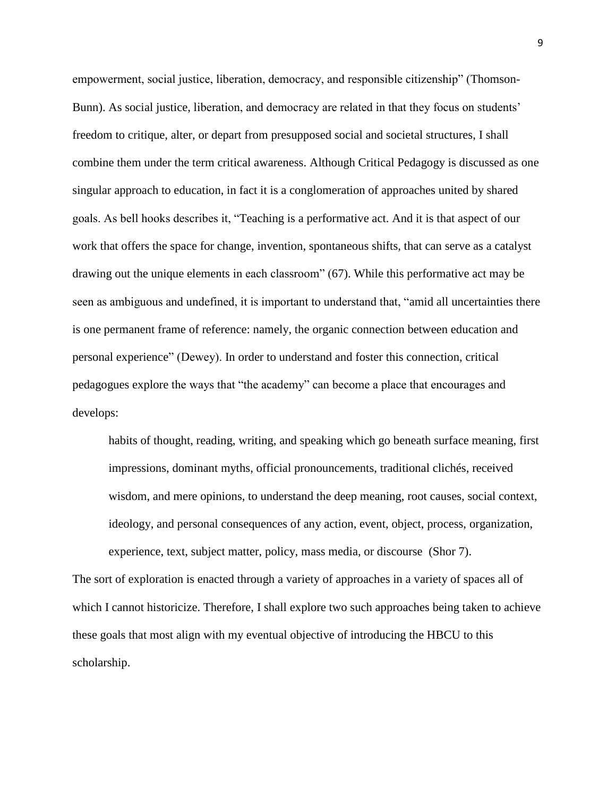empowerment, social justice, liberation, democracy, and responsible citizenship" (Thomson-Bunn). As social justice, liberation, and democracy are related in that they focus on students' freedom to critique, alter, or depart from presupposed social and societal structures, I shall combine them under the term critical awareness. Although Critical Pedagogy is discussed as one singular approach to education, in fact it is a conglomeration of approaches united by shared goals. As bell hooks describes it, "Teaching is a performative act. And it is that aspect of our work that offers the space for change, invention, spontaneous shifts, that can serve as a catalyst drawing out the unique elements in each classroom" (67). While this performative act may be seen as ambiguous and undefined, it is important to understand that, "amid all uncertainties there is one permanent frame of reference: namely, the organic connection between education and personal experience" (Dewey). In order to understand and foster this connection, critical pedagogues explore the ways that "the academy" can become a place that encourages and develops:

habits of thought, reading, writing, and speaking which go beneath surface meaning, first impressions, dominant myths, official pronouncements, traditional clichés, received wisdom, and mere opinions, to understand the deep meaning, root causes, social context, ideology, and personal consequences of any action, event, object, process, organization, experience, text, subject matter, policy, mass media, or discourse (Shor 7).

The sort of exploration is enacted through a variety of approaches in a variety of spaces all of which I cannot historicize. Therefore, I shall explore two such approaches being taken to achieve these goals that most align with my eventual objective of introducing the HBCU to this scholarship.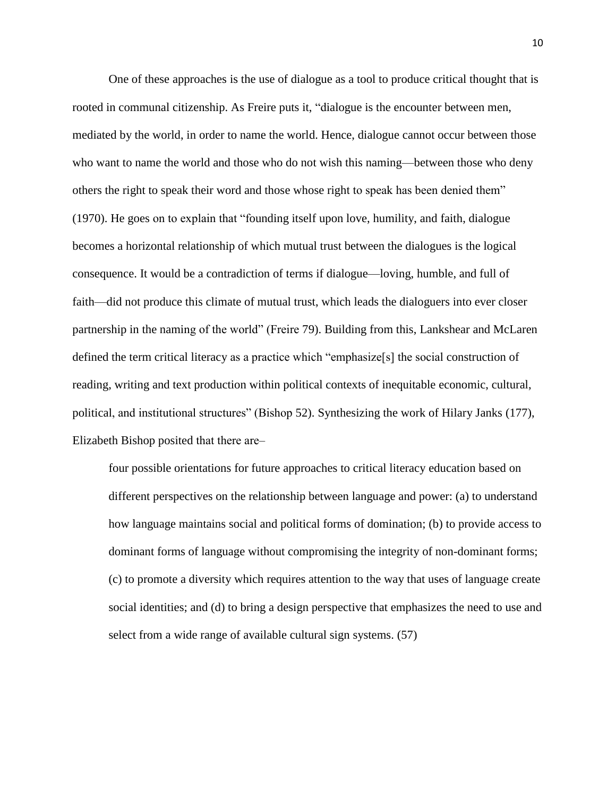One of these approaches is the use of dialogue as a tool to produce critical thought that is rooted in communal citizenship. As Freire puts it, "dialogue is the encounter between men, mediated by the world, in order to name the world. Hence, dialogue cannot occur between those who want to name the world and those who do not wish this naming—between those who deny others the right to speak their word and those whose right to speak has been denied them" (1970). He goes on to explain that "founding itself upon love, humility, and faith, dialogue becomes a horizontal relationship of which mutual trust between the dialogues is the logical consequence. It would be a contradiction of terms if dialogue—loving, humble, and full of faith—did not produce this climate of mutual trust, which leads the dialoguers into ever closer partnership in the naming of the world" (Freire 79). Building from this, Lankshear and McLaren defined the term critical literacy as a practice which "emphasize[s] the social construction of reading, writing and text production within political contexts of inequitable economic, cultural, political, and institutional structures" (Bishop 52). Synthesizing the work of Hilary Janks (177), Elizabeth Bishop posited that there are—

four possible orientations for future approaches to critical literacy education based on different perspectives on the relationship between language and power: (a) to understand how language maintains social and political forms of domination; (b) to provide access to dominant forms of language without compromising the integrity of non-dominant forms; (c) to promote a diversity which requires attention to the way that uses of language create social identities; and (d) to bring a design perspective that emphasizes the need to use and select from a wide range of available cultural sign systems. (57)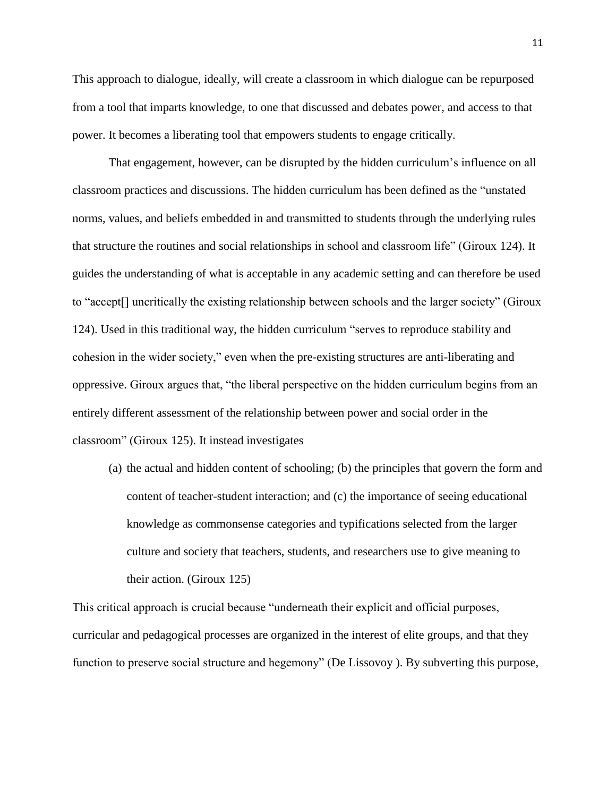This approach to dialogue, ideally, will create a classroom in which dialogue can be repurposed from a tool that imparts knowledge, to one that discussed and debates power, and access to that power. It becomes a liberating tool that empowers students to engage critically.

That engagement, however, can be disrupted by the hidden curriculum's influence on all classroom practices and discussions. The hidden curriculum has been defined as the "unstated norms, values, and beliefs embedded in and transmitted to students through the underlying rules that structure the routines and social relationships in school and classroom life" (Giroux 124). It guides the understanding of what is acceptable in any academic setting and can therefore be used to "accept[] uncritically the existing relationship between schools and the larger society" (Giroux 124). Used in this traditional way, the hidden curriculum "serves to reproduce stability and cohesion in the wider society," even when the pre-existing structures are anti-liberating and oppressive. Giroux argues that, "the liberal perspective on the hidden curriculum begins from an entirely different assessment of the relationship between power and social order in the classroom" (Giroux 125). It instead investigates

(a) the actual and hidden content of schooling; (b) the principles that govern the form and content of teacher-student interaction; and (c) the importance of seeing educational knowledge as commonsense categories and typifications selected from the larger culture and society that teachers, students, and researchers use to give meaning to their action. (Giroux 125)

This critical approach is crucial because "underneath their explicit and official purposes, curricular and pedagogical processes are organized in the interest of elite groups, and that they function to preserve social structure and hegemony" (De Lissovoy ). By subverting this purpose,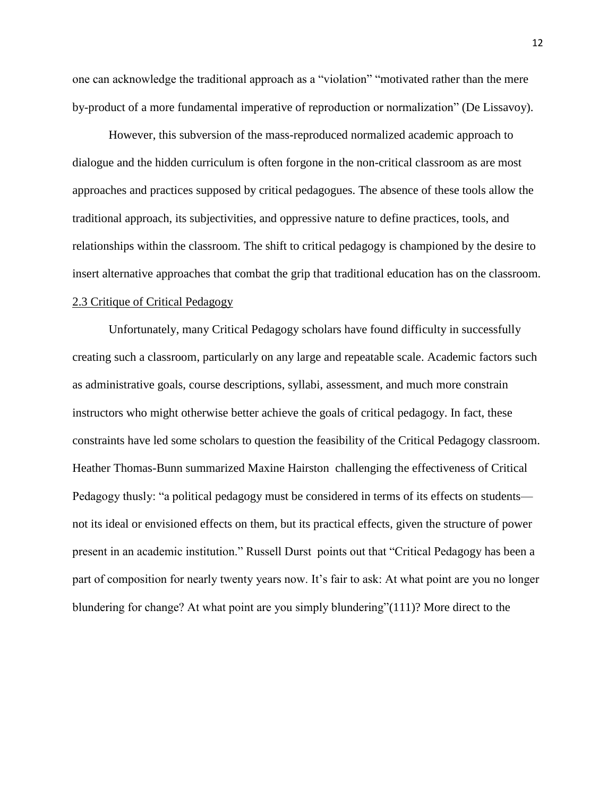one can acknowledge the traditional approach as a "violation" "motivated rather than the mere by-product of a more fundamental imperative of reproduction or normalization" (De Lissavoy).

However, this subversion of the mass-reproduced normalized academic approach to dialogue and the hidden curriculum is often forgone in the non-critical classroom as are most approaches and practices supposed by critical pedagogues. The absence of these tools allow the traditional approach, its subjectivities, and oppressive nature to define practices, tools, and relationships within the classroom. The shift to critical pedagogy is championed by the desire to insert alternative approaches that combat the grip that traditional education has on the classroom. 2.3 Critique of Critical Pedagogy

Unfortunately, many Critical Pedagogy scholars have found difficulty in successfully creating such a classroom, particularly on any large and repeatable scale. Academic factors such as administrative goals, course descriptions, syllabi, assessment, and much more constrain instructors who might otherwise better achieve the goals of critical pedagogy. In fact, these constraints have led some scholars to question the feasibility of the Critical Pedagogy classroom. Heather Thomas-Bunn summarized Maxine Hairston challenging the effectiveness of Critical Pedagogy thusly: "a political pedagogy must be considered in terms of its effects on students not its ideal or envisioned effects on them, but its practical effects, given the structure of power present in an academic institution." Russell Durst points out that "Critical Pedagogy has been a part of composition for nearly twenty years now. It's fair to ask: At what point are you no longer blundering for change? At what point are you simply blundering"(111)? More direct to the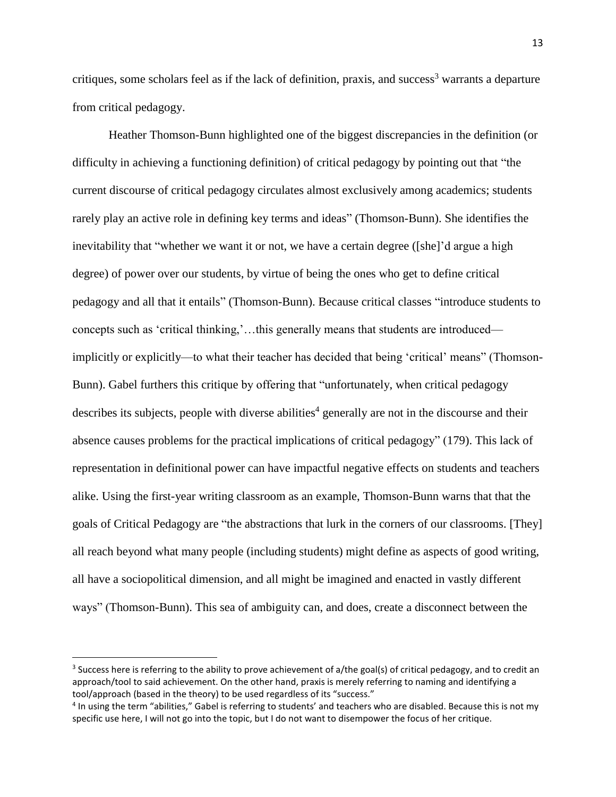critiques, some scholars feel as if the lack of definition, praxis, and success<sup>3</sup> warrants a departure from critical pedagogy.

Heather Thomson-Bunn highlighted one of the biggest discrepancies in the definition (or difficulty in achieving a functioning definition) of critical pedagogy by pointing out that "the current discourse of critical pedagogy circulates almost exclusively among academics; students rarely play an active role in defining key terms and ideas" (Thomson-Bunn). She identifies the inevitability that "whether we want it or not, we have a certain degree ([she]'d argue a high degree) of power over our students, by virtue of being the ones who get to define critical pedagogy and all that it entails" (Thomson-Bunn). Because critical classes "introduce students to concepts such as 'critical thinking,'…this generally means that students are introduced implicitly or explicitly—to what their teacher has decided that being 'critical' means" (Thomson-Bunn). Gabel furthers this critique by offering that "unfortunately, when critical pedagogy describes its subjects, people with diverse abilities<sup>4</sup> generally are not in the discourse and their absence causes problems for the practical implications of critical pedagogy" (179). This lack of representation in definitional power can have impactful negative effects on students and teachers alike. Using the first-year writing classroom as an example, Thomson-Bunn warns that that the goals of Critical Pedagogy are "the abstractions that lurk in the corners of our classrooms. [They] all reach beyond what many people (including students) might define as aspects of good writing, all have a sociopolitical dimension, and all might be imagined and enacted in vastly different ways" (Thomson-Bunn). This sea of ambiguity can, and does, create a disconnect between the

l

<sup>&</sup>lt;sup>3</sup> Success here is referring to the ability to prove achievement of a/the goal(s) of critical pedagogy, and to credit an approach/tool to said achievement. On the other hand, praxis is merely referring to naming and identifying a tool/approach (based in the theory) to be used regardless of its "success."

<sup>&</sup>lt;sup>4</sup> In using the term "abilities," Gabel is referring to students' and teachers who are disabled. Because this is not my specific use here, I will not go into the topic, but I do not want to disempower the focus of her critique.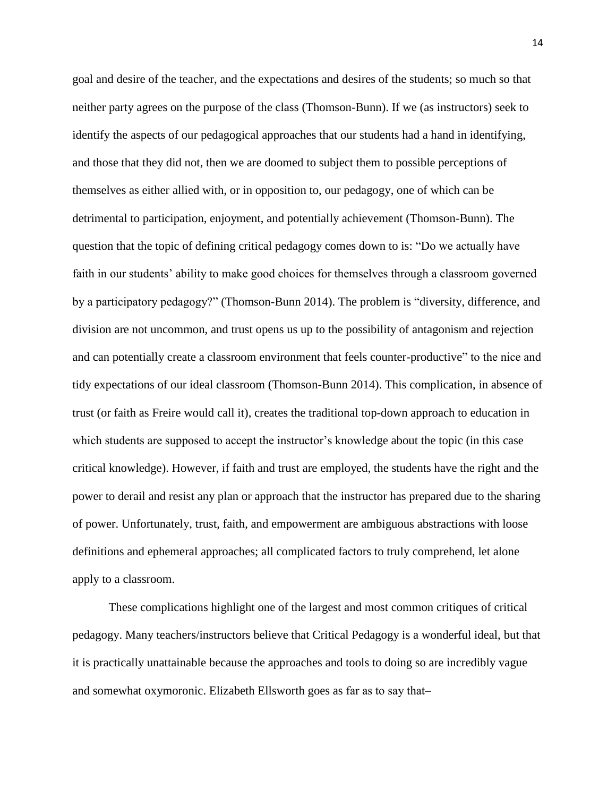goal and desire of the teacher, and the expectations and desires of the students; so much so that neither party agrees on the purpose of the class (Thomson-Bunn). If we (as instructors) seek to identify the aspects of our pedagogical approaches that our students had a hand in identifying, and those that they did not, then we are doomed to subject them to possible perceptions of themselves as either allied with, or in opposition to, our pedagogy, one of which can be detrimental to participation, enjoyment, and potentially achievement (Thomson-Bunn). The question that the topic of defining critical pedagogy comes down to is: "Do we actually have faith in our students' ability to make good choices for themselves through a classroom governed by a participatory pedagogy?" (Thomson-Bunn 2014). The problem is "diversity, difference, and division are not uncommon, and trust opens us up to the possibility of antagonism and rejection and can potentially create a classroom environment that feels counter-productive" to the nice and tidy expectations of our ideal classroom (Thomson-Bunn 2014). This complication, in absence of trust (or faith as Freire would call it), creates the traditional top-down approach to education in which students are supposed to accept the instructor's knowledge about the topic (in this case critical knowledge). However, if faith and trust are employed, the students have the right and the power to derail and resist any plan or approach that the instructor has prepared due to the sharing of power. Unfortunately, trust, faith, and empowerment are ambiguous abstractions with loose definitions and ephemeral approaches; all complicated factors to truly comprehend, let alone apply to a classroom.

These complications highlight one of the largest and most common critiques of critical pedagogy. Many teachers/instructors believe that Critical Pedagogy is a wonderful ideal, but that it is practically unattainable because the approaches and tools to doing so are incredibly vague and somewhat oxymoronic. Elizabeth Ellsworth goes as far as to say that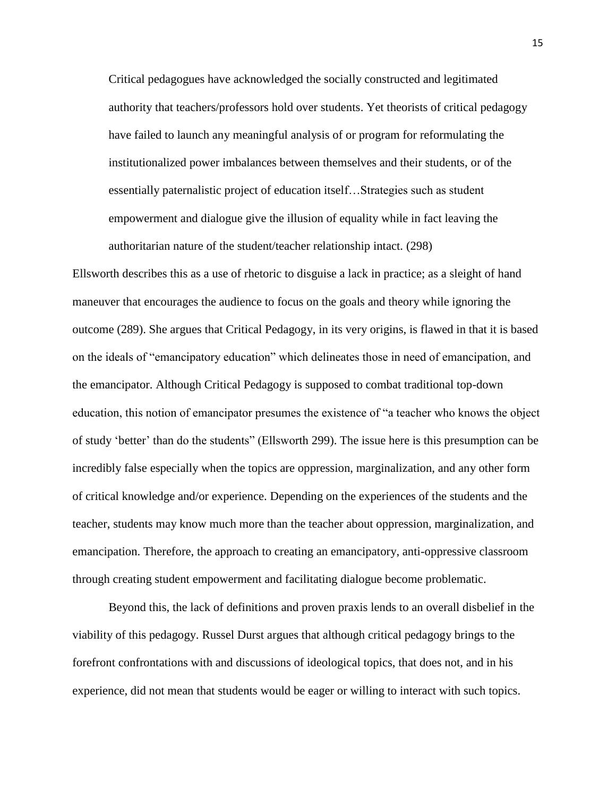Critical pedagogues have acknowledged the socially constructed and legitimated authority that teachers/professors hold over students. Yet theorists of critical pedagogy have failed to launch any meaningful analysis of or program for reformulating the institutionalized power imbalances between themselves and their students, or of the essentially paternalistic project of education itself…Strategies such as student empowerment and dialogue give the illusion of equality while in fact leaving the authoritarian nature of the student/teacher relationship intact. (298)

Ellsworth describes this as a use of rhetoric to disguise a lack in practice; as a sleight of hand maneuver that encourages the audience to focus on the goals and theory while ignoring the outcome (289). She argues that Critical Pedagogy, in its very origins, is flawed in that it is based on the ideals of "emancipatory education" which delineates those in need of emancipation, and the emancipator. Although Critical Pedagogy is supposed to combat traditional top-down education, this notion of emancipator presumes the existence of "a teacher who knows the object of study 'better' than do the students" (Ellsworth 299). The issue here is this presumption can be incredibly false especially when the topics are oppression, marginalization, and any other form of critical knowledge and/or experience. Depending on the experiences of the students and the teacher, students may know much more than the teacher about oppression, marginalization, and emancipation. Therefore, the approach to creating an emancipatory, anti-oppressive classroom through creating student empowerment and facilitating dialogue become problematic.

Beyond this, the lack of definitions and proven praxis lends to an overall disbelief in the viability of this pedagogy. Russel Durst argues that although critical pedagogy brings to the forefront confrontations with and discussions of ideological topics, that does not, and in his experience, did not mean that students would be eager or willing to interact with such topics.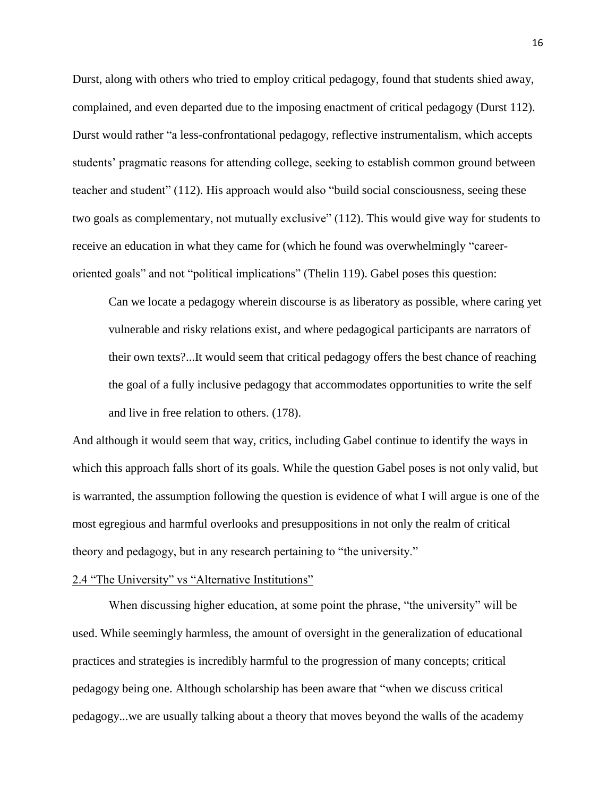Durst, along with others who tried to employ critical pedagogy, found that students shied away, complained, and even departed due to the imposing enactment of critical pedagogy (Durst 112). Durst would rather "a less-confrontational pedagogy, reflective instrumentalism, which accepts students' pragmatic reasons for attending college, seeking to establish common ground between teacher and student" (112). His approach would also "build social consciousness, seeing these two goals as complementary, not mutually exclusive" (112). This would give way for students to receive an education in what they came for (which he found was overwhelmingly "careeroriented goals" and not "political implications" (Thelin 119). Gabel poses this question:

Can we locate a pedagogy wherein discourse is as liberatory as possible, where caring yet vulnerable and risky relations exist, and where pedagogical participants are narrators of their own texts?...It would seem that critical pedagogy offers the best chance of reaching the goal of a fully inclusive pedagogy that accommodates opportunities to write the self and live in free relation to others. (178).

And although it would seem that way, critics, including Gabel continue to identify the ways in which this approach falls short of its goals. While the question Gabel poses is not only valid, but is warranted, the assumption following the question is evidence of what I will argue is one of the most egregious and harmful overlooks and presuppositions in not only the realm of critical theory and pedagogy, but in any research pertaining to "the university."

#### 2.4 "The University" vs "Alternative Institutions"

When discussing higher education, at some point the phrase, "the university" will be used. While seemingly harmless, the amount of oversight in the generalization of educational practices and strategies is incredibly harmful to the progression of many concepts; critical pedagogy being one. Although scholarship has been aware that "when we discuss critical pedagogy...we are usually talking about a theory that moves beyond the walls of the academy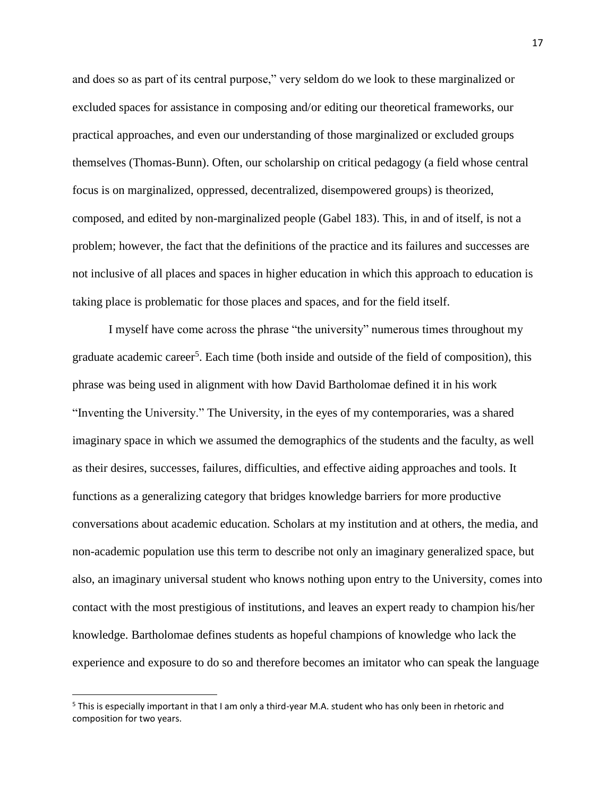and does so as part of its central purpose," very seldom do we look to these marginalized or excluded spaces for assistance in composing and/or editing our theoretical frameworks, our practical approaches, and even our understanding of those marginalized or excluded groups themselves (Thomas-Bunn). Often, our scholarship on critical pedagogy (a field whose central focus is on marginalized, oppressed, decentralized, disempowered groups) is theorized, composed, and edited by non-marginalized people (Gabel 183). This, in and of itself, is not a problem; however, the fact that the definitions of the practice and its failures and successes are not inclusive of all places and spaces in higher education in which this approach to education is taking place is problematic for those places and spaces, and for the field itself.

I myself have come across the phrase "the university" numerous times throughout my graduate academic career<sup>5</sup>. Each time (both inside and outside of the field of composition), this phrase was being used in alignment with how David Bartholomae defined it in his work "Inventing the University." The University, in the eyes of my contemporaries, was a shared imaginary space in which we assumed the demographics of the students and the faculty, as well as their desires, successes, failures, difficulties, and effective aiding approaches and tools. It functions as a generalizing category that bridges knowledge barriers for more productive conversations about academic education. Scholars at my institution and at others, the media, and non-academic population use this term to describe not only an imaginary generalized space, but also, an imaginary universal student who knows nothing upon entry to the University, comes into contact with the most prestigious of institutions, and leaves an expert ready to champion his/her knowledge. Bartholomae defines students as hopeful champions of knowledge who lack the experience and exposure to do so and therefore becomes an imitator who can speak the language

l

<sup>5</sup> This is especially important in that I am only a third-year M.A. student who has only been in rhetoric and composition for two years.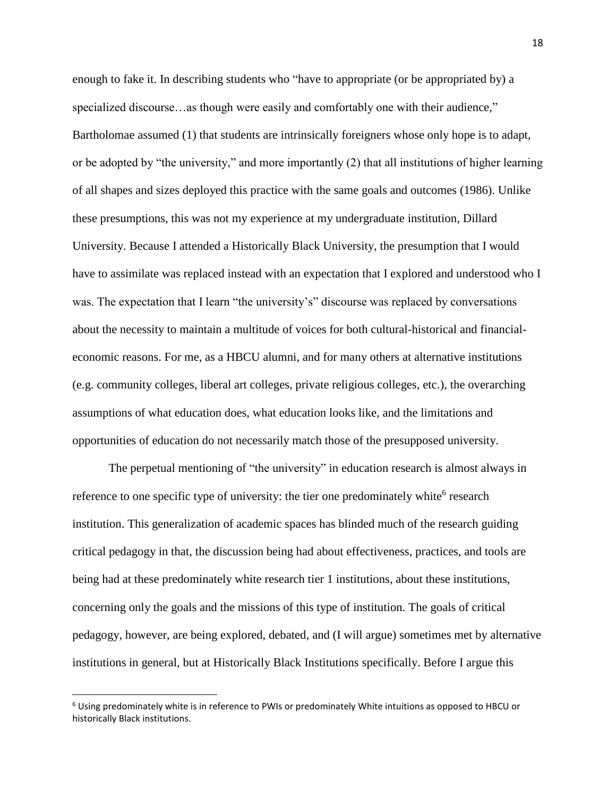enough to fake it. In describing students who "have to appropriate (or be appropriated by) a specialized discourse...as though were easily and comfortably one with their audience," Bartholomae assumed (1) that students are intrinsically foreigners whose only hope is to adapt, or be adopted by "the university," and more importantly (2) that all institutions of higher learning of all shapes and sizes deployed this practice with the same goals and outcomes (1986). Unlike these presumptions, this was not my experience at my undergraduate institution, Dillard University. Because I attended a Historically Black University, the presumption that I would have to assimilate was replaced instead with an expectation that I explored and understood who I was. The expectation that I learn "the university's" discourse was replaced by conversations about the necessity to maintain a multitude of voices for both cultural-historical and financialeconomic reasons. For me, as a HBCU alumni, and for many others at alternative institutions (e.g. community colleges, liberal art colleges, private religious colleges, etc.), the overarching assumptions of what education does, what education looks like, and the limitations and opportunities of education do not necessarily match those of the presupposed university.

The perpetual mentioning of "the university" in education research is almost always in reference to one specific type of university: the tier one predominately white<sup>6</sup> research institution. This generalization of academic spaces has blinded much of the research guiding critical pedagogy in that, the discussion being had about effectiveness, practices, and tools are being had at these predominately white research tier 1 institutions, about these institutions, concerning only the goals and the missions of this type of institution. The goals of critical pedagogy, however, are being explored, debated, and (I will argue) sometimes met by alternative institutions in general, but at Historically Black Institutions specifically. Before I argue this

l

 $6$  Using predominately white is in reference to PWIs or predominately White intuitions as opposed to HBCU or historically Black institutions.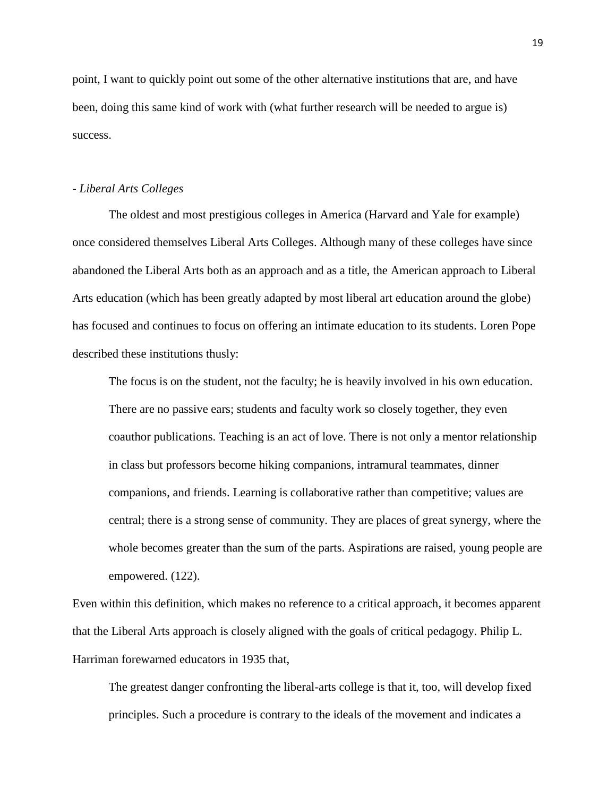point, I want to quickly point out some of the other alternative institutions that are, and have been, doing this same kind of work with (what further research will be needed to argue is) success.

### *- Liberal Arts Colleges*

The oldest and most prestigious colleges in America (Harvard and Yale for example) once considered themselves Liberal Arts Colleges. Although many of these colleges have since abandoned the Liberal Arts both as an approach and as a title, the American approach to Liberal Arts education (which has been greatly adapted by most liberal art education around the globe) has focused and continues to focus on offering an intimate education to its students. Loren Pope described these institutions thusly:

The focus is on the student, not the faculty; he is heavily involved in his own education. There are no passive ears; students and faculty work so closely together, they even coauthor publications. Teaching is an act of love. There is not only a mentor relationship in class but professors become hiking companions, intramural teammates, dinner companions, and friends. Learning is collaborative rather than competitive; values are central; there is a strong sense of community. They are places of great synergy, where the whole becomes greater than the sum of the parts. Aspirations are raised, young people are empowered. (122).

Even within this definition, which makes no reference to a critical approach, it becomes apparent that the Liberal Arts approach is closely aligned with the goals of critical pedagogy. Philip L. Harriman forewarned educators in 1935 that,

The greatest danger confronting the liberal-arts college is that it, too, will develop fixed principles. Such a procedure is contrary to the ideals of the movement and indicates a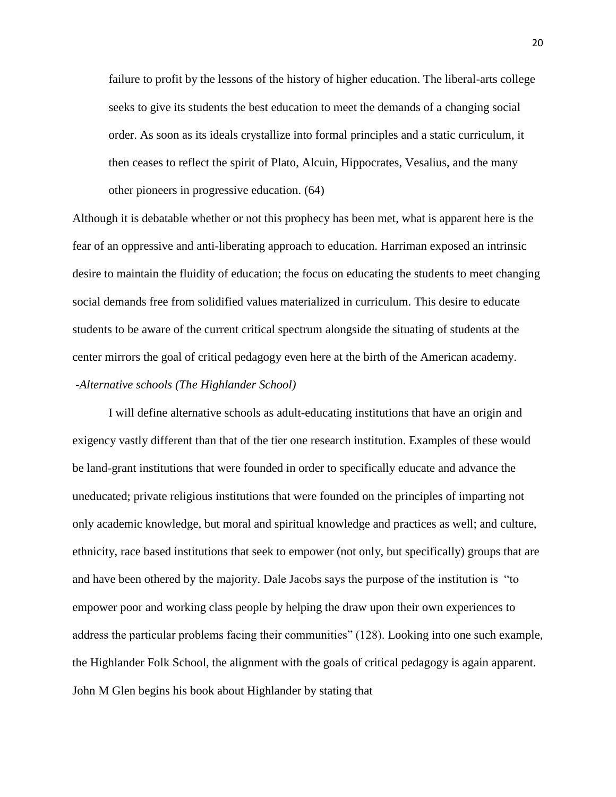failure to profit by the lessons of the history of higher education. The liberal-arts college seeks to give its students the best education to meet the demands of a changing social order. As soon as its ideals crystallize into formal principles and a static curriculum, it then ceases to reflect the spirit of Plato, Alcuin, Hippocrates, Vesalius, and the many other pioneers in progressive education. (64)

Although it is debatable whether or not this prophecy has been met, what is apparent here is the fear of an oppressive and anti-liberating approach to education. Harriman exposed an intrinsic desire to maintain the fluidity of education; the focus on educating the students to meet changing social demands free from solidified values materialized in curriculum. This desire to educate students to be aware of the current critical spectrum alongside the situating of students at the center mirrors the goal of critical pedagogy even here at the birth of the American academy.

## *-Alternative schools (The Highlander School)*

I will define alternative schools as adult-educating institutions that have an origin and exigency vastly different than that of the tier one research institution. Examples of these would be land-grant institutions that were founded in order to specifically educate and advance the uneducated; private religious institutions that were founded on the principles of imparting not only academic knowledge, but moral and spiritual knowledge and practices as well; and culture, ethnicity, race based institutions that seek to empower (not only, but specifically) groups that are and have been othered by the majority. Dale Jacobs says the purpose of the institution is "to empower poor and working class people by helping the draw upon their own experiences to address the particular problems facing their communities" (128). Looking into one such example, the Highlander Folk School, the alignment with the goals of critical pedagogy is again apparent. John M Glen begins his book about Highlander by stating that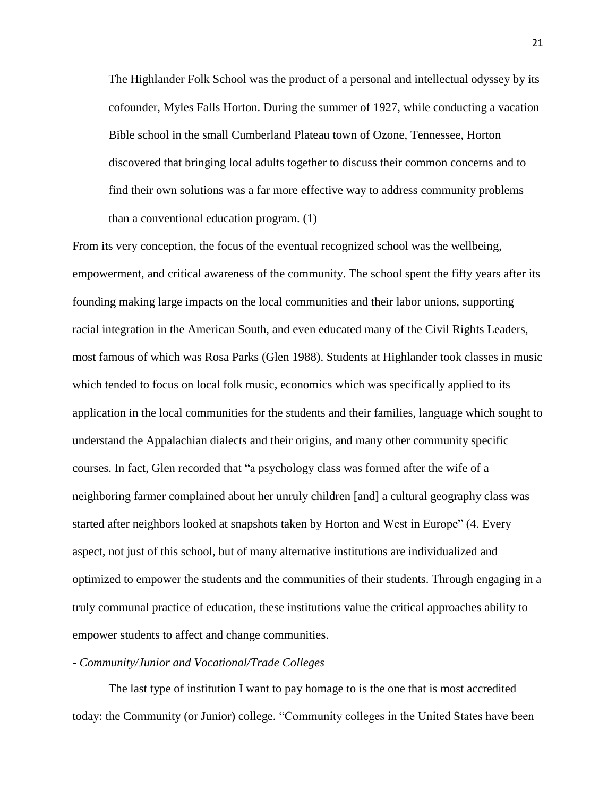The Highlander Folk School was the product of a personal and intellectual odyssey by its cofounder, Myles Falls Horton. During the summer of 1927, while conducting a vacation Bible school in the small Cumberland Plateau town of Ozone, Tennessee, Horton discovered that bringing local adults together to discuss their common concerns and to find their own solutions was a far more effective way to address community problems than a conventional education program. (1)

From its very conception, the focus of the eventual recognized school was the wellbeing, empowerment, and critical awareness of the community. The school spent the fifty years after its founding making large impacts on the local communities and their labor unions, supporting racial integration in the American South, and even educated many of the Civil Rights Leaders, most famous of which was Rosa Parks (Glen 1988). Students at Highlander took classes in music which tended to focus on local folk music, economics which was specifically applied to its application in the local communities for the students and their families, language which sought to understand the Appalachian dialects and their origins, and many other community specific courses. In fact, Glen recorded that "a psychology class was formed after the wife of a neighboring farmer complained about her unruly children [and] a cultural geography class was started after neighbors looked at snapshots taken by Horton and West in Europe" (4. Every aspect, not just of this school, but of many alternative institutions are individualized and optimized to empower the students and the communities of their students. Through engaging in a truly communal practice of education, these institutions value the critical approaches ability to empower students to affect and change communities.

## *- Community/Junior and Vocational/Trade Colleges*

The last type of institution I want to pay homage to is the one that is most accredited today: the Community (or Junior) college. "Community colleges in the United States have been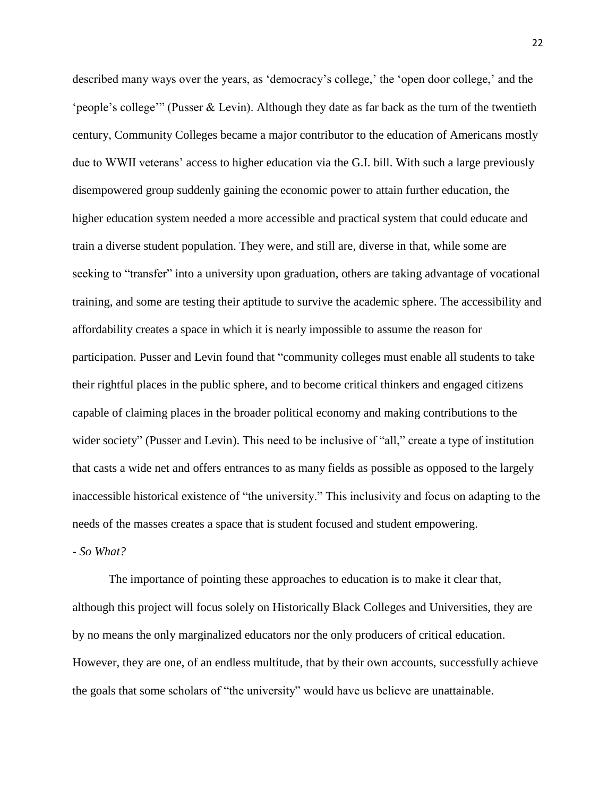described many ways over the years, as 'democracy's college,' the 'open door college,' and the 'people's college'" (Pusser & Levin). Although they date as far back as the turn of the twentieth century, Community Colleges became a major contributor to the education of Americans mostly due to WWII veterans' access to higher education via the G.I. bill. With such a large previously disempowered group suddenly gaining the economic power to attain further education, the higher education system needed a more accessible and practical system that could educate and train a diverse student population. They were, and still are, diverse in that, while some are seeking to "transfer" into a university upon graduation, others are taking advantage of vocational training, and some are testing their aptitude to survive the academic sphere. The accessibility and affordability creates a space in which it is nearly impossible to assume the reason for participation. Pusser and Levin found that "community colleges must enable all students to take their rightful places in the public sphere, and to become critical thinkers and engaged citizens capable of claiming places in the broader political economy and making contributions to the wider society" (Pusser and Levin). This need to be inclusive of "all," create a type of institution that casts a wide net and offers entrances to as many fields as possible as opposed to the largely inaccessible historical existence of "the university." This inclusivity and focus on adapting to the needs of the masses creates a space that is student focused and student empowering.

*- So What?*

The importance of pointing these approaches to education is to make it clear that, although this project will focus solely on Historically Black Colleges and Universities, they are by no means the only marginalized educators nor the only producers of critical education. However, they are one, of an endless multitude, that by their own accounts, successfully achieve the goals that some scholars of "the university" would have us believe are unattainable.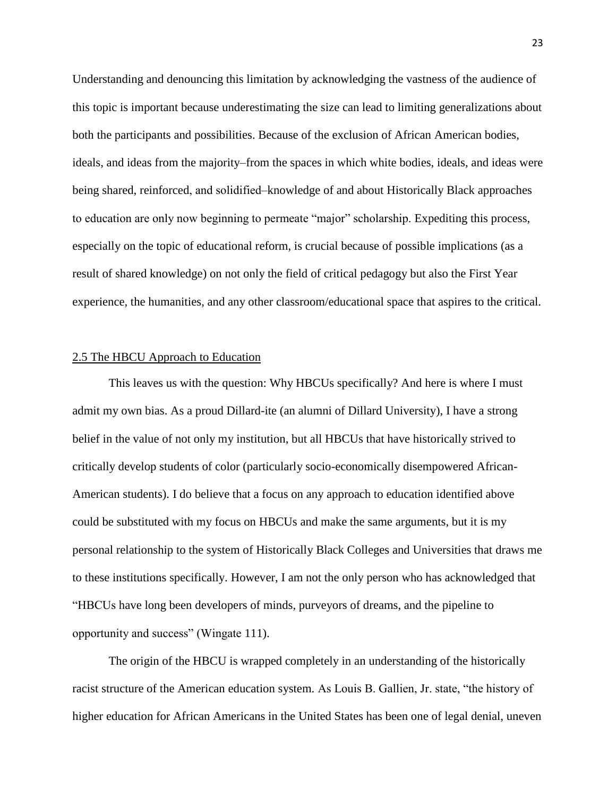Understanding and denouncing this limitation by acknowledging the vastness of the audience of this topic is important because underestimating the size can lead to limiting generalizations about both the participants and possibilities. Because of the exclusion of African American bodies, ideals, and ideas from the majority–from the spaces in which white bodies, ideals, and ideas were being shared, reinforced, and solidified–knowledge of and about Historically Black approaches to education are only now beginning to permeate "major" scholarship. Expediting this process, especially on the topic of educational reform, is crucial because of possible implications (as a result of shared knowledge) on not only the field of critical pedagogy but also the First Year experience, the humanities, and any other classroom/educational space that aspires to the critical.

#### 2.5 The HBCU Approach to Education

This leaves us with the question: Why HBCUs specifically? And here is where I must admit my own bias. As a proud Dillard-ite (an alumni of Dillard University), I have a strong belief in the value of not only my institution, but all HBCUs that have historically strived to critically develop students of color (particularly socio-economically disempowered African-American students). I do believe that a focus on any approach to education identified above could be substituted with my focus on HBCUs and make the same arguments, but it is my personal relationship to the system of Historically Black Colleges and Universities that draws me to these institutions specifically. However, I am not the only person who has acknowledged that "HBCUs have long been developers of minds, purveyors of dreams, and the pipeline to opportunity and success" (Wingate 111).

The origin of the HBCU is wrapped completely in an understanding of the historically racist structure of the American education system. As Louis B. Gallien, Jr. state, "the history of higher education for African Americans in the United States has been one of legal denial, uneven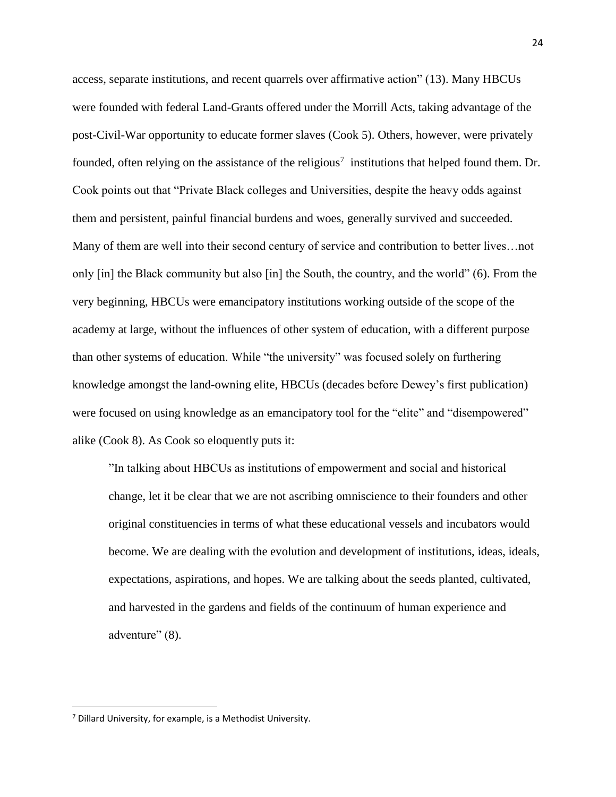access, separate institutions, and recent quarrels over affirmative action" (13). Many HBCUs were founded with federal Land-Grants offered under the Morrill Acts, taking advantage of the post-Civil-War opportunity to educate former slaves (Cook 5). Others, however, were privately founded, often relying on the assistance of the religious<sup>7</sup> institutions that helped found them. Dr. Cook points out that "Private Black colleges and Universities, despite the heavy odds against them and persistent, painful financial burdens and woes, generally survived and succeeded. Many of them are well into their second century of service and contribution to better lives…not only [in] the Black community but also [in] the South, the country, and the world" (6). From the very beginning, HBCUs were emancipatory institutions working outside of the scope of the academy at large, without the influences of other system of education, with a different purpose than other systems of education. While "the university" was focused solely on furthering knowledge amongst the land-owning elite, HBCUs (decades before Dewey's first publication) were focused on using knowledge as an emancipatory tool for the "elite" and "disempowered" alike (Cook 8). As Cook so eloquently puts it:

"In talking about HBCUs as institutions of empowerment and social and historical change, let it be clear that we are not ascribing omniscience to their founders and other original constituencies in terms of what these educational vessels and incubators would become. We are dealing with the evolution and development of institutions, ideas, ideals, expectations, aspirations, and hopes. We are talking about the seeds planted, cultivated, and harvested in the gardens and fields of the continuum of human experience and adventure" (8).

 $\overline{\phantom{a}}$ 

 $<sup>7</sup>$  Dillard University, for example, is a Methodist University.</sup>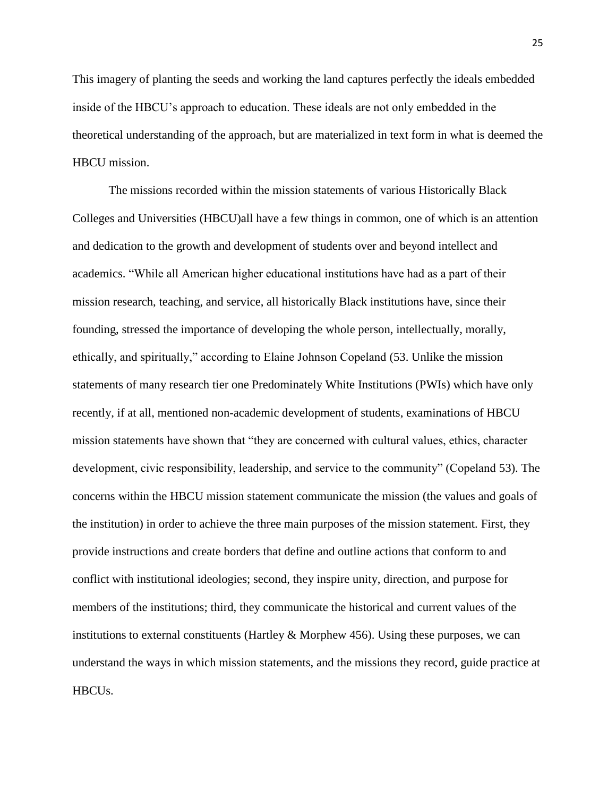This imagery of planting the seeds and working the land captures perfectly the ideals embedded inside of the HBCU's approach to education. These ideals are not only embedded in the theoretical understanding of the approach, but are materialized in text form in what is deemed the HBCU mission.

The missions recorded within the mission statements of various Historically Black Colleges and Universities (HBCU)all have a few things in common, one of which is an attention and dedication to the growth and development of students over and beyond intellect and academics. "While all American higher educational institutions have had as a part of their mission research, teaching, and service, all historically Black institutions have, since their founding, stressed the importance of developing the whole person, intellectually, morally, ethically, and spiritually," according to Elaine Johnson Copeland (53. Unlike the mission statements of many research tier one Predominately White Institutions (PWIs) which have only recently, if at all, mentioned non-academic development of students, examinations of HBCU mission statements have shown that "they are concerned with cultural values, ethics, character development, civic responsibility, leadership, and service to the community" (Copeland 53). The concerns within the HBCU mission statement communicate the mission (the values and goals of the institution) in order to achieve the three main purposes of the mission statement. First, they provide instructions and create borders that define and outline actions that conform to and conflict with institutional ideologies; second, they inspire unity, direction, and purpose for members of the institutions; third, they communicate the historical and current values of the institutions to external constituents (Hartley  $&$  Morphew 456). Using these purposes, we can understand the ways in which mission statements, and the missions they record, guide practice at HBCUs.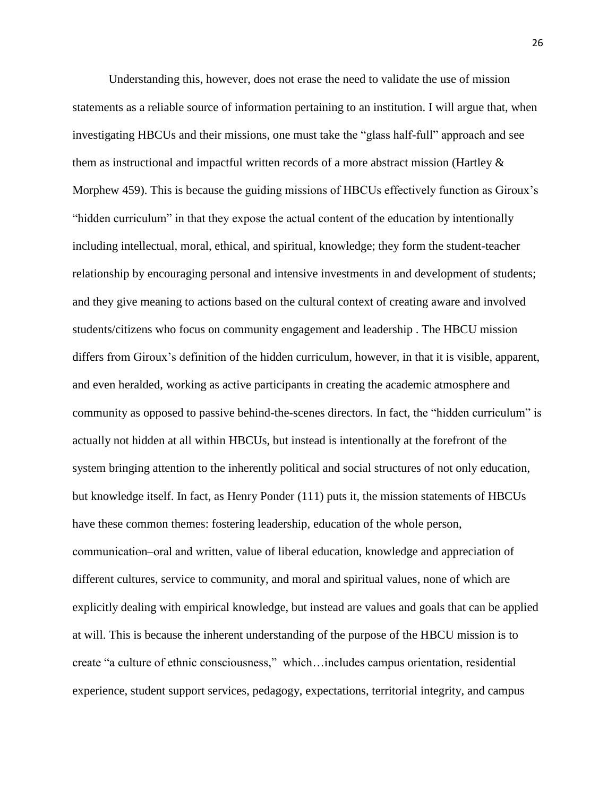Understanding this, however, does not erase the need to validate the use of mission statements as a reliable source of information pertaining to an institution. I will argue that, when investigating HBCUs and their missions, one must take the "glass half-full" approach and see them as instructional and impactful written records of a more abstract mission (Hartley & Morphew 459). This is because the guiding missions of HBCUs effectively function as Giroux's "hidden curriculum" in that they expose the actual content of the education by intentionally including intellectual, moral, ethical, and spiritual, knowledge; they form the student-teacher relationship by encouraging personal and intensive investments in and development of students; and they give meaning to actions based on the cultural context of creating aware and involved students/citizens who focus on community engagement and leadership . The HBCU mission differs from Giroux's definition of the hidden curriculum, however, in that it is visible, apparent, and even heralded, working as active participants in creating the academic atmosphere and community as opposed to passive behind-the-scenes directors. In fact, the "hidden curriculum" is actually not hidden at all within HBCUs, but instead is intentionally at the forefront of the system bringing attention to the inherently political and social structures of not only education, but knowledge itself. In fact, as Henry Ponder (111) puts it, the mission statements of HBCUs have these common themes: fostering leadership, education of the whole person, communication‒oral and written, value of liberal education, knowledge and appreciation of different cultures, service to community, and moral and spiritual values, none of which are explicitly dealing with empirical knowledge, but instead are values and goals that can be applied at will. This is because the inherent understanding of the purpose of the HBCU mission is to create "a culture of ethnic consciousness," which…includes campus orientation, residential experience, student support services, pedagogy, expectations, territorial integrity, and campus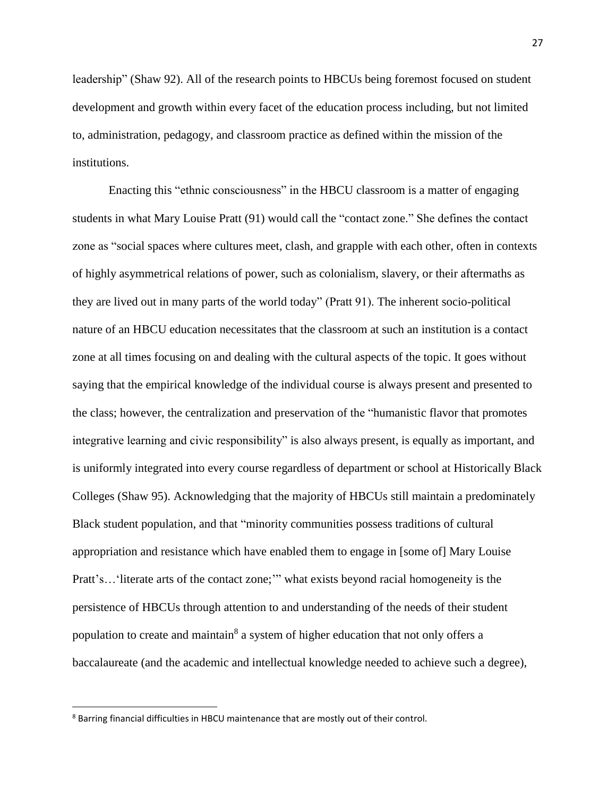leadership" (Shaw 92). All of the research points to HBCUs being foremost focused on student development and growth within every facet of the education process including, but not limited to, administration, pedagogy, and classroom practice as defined within the mission of the institutions.

Enacting this "ethnic consciousness" in the HBCU classroom is a matter of engaging students in what Mary Louise Pratt (91) would call the "contact zone." She defines the contact zone as "social spaces where cultures meet, clash, and grapple with each other, often in contexts of highly asymmetrical relations of power, such as colonialism, slavery, or their aftermaths as they are lived out in many parts of the world today" (Pratt 91). The inherent socio-political nature of an HBCU education necessitates that the classroom at such an institution is a contact zone at all times focusing on and dealing with the cultural aspects of the topic. It goes without saying that the empirical knowledge of the individual course is always present and presented to the class; however, the centralization and preservation of the "humanistic flavor that promotes integrative learning and civic responsibility" is also always present, is equally as important, and is uniformly integrated into every course regardless of department or school at Historically Black Colleges (Shaw 95). Acknowledging that the majority of HBCUs still maintain a predominately Black student population, and that "minority communities possess traditions of cultural appropriation and resistance which have enabled them to engage in [some of] Mary Louise Pratt's... 'literate arts of the contact zone;'" what exists beyond racial homogeneity is the persistence of HBCUs through attention to and understanding of the needs of their student population to create and maintain<sup>8</sup> a system of higher education that not only offers a baccalaureate (and the academic and intellectual knowledge needed to achieve such a degree),

 $\overline{\phantom{a}}$ 

<sup>8</sup> Barring financial difficulties in HBCU maintenance that are mostly out of their control.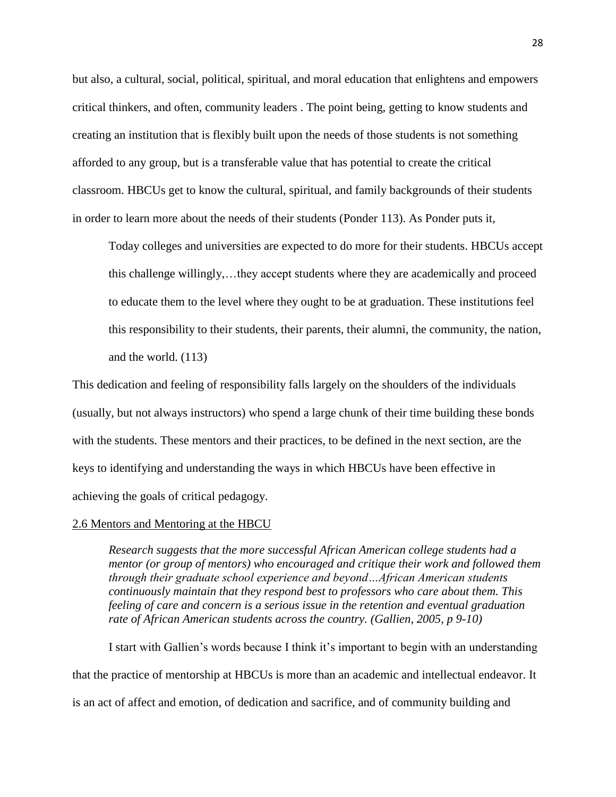but also, a cultural, social, political, spiritual, and moral education that enlightens and empowers critical thinkers, and often, community leaders . The point being, getting to know students and creating an institution that is flexibly built upon the needs of those students is not something afforded to any group, but is a transferable value that has potential to create the critical classroom. HBCUs get to know the cultural, spiritual, and family backgrounds of their students in order to learn more about the needs of their students (Ponder 113). As Ponder puts it,

Today colleges and universities are expected to do more for their students. HBCUs accept this challenge willingly,…they accept students where they are academically and proceed to educate them to the level where they ought to be at graduation. These institutions feel this responsibility to their students, their parents, their alumni, the community, the nation, and the world. (113)

This dedication and feeling of responsibility falls largely on the shoulders of the individuals (usually, but not always instructors) who spend a large chunk of their time building these bonds with the students. These mentors and their practices, to be defined in the next section, are the keys to identifying and understanding the ways in which HBCUs have been effective in achieving the goals of critical pedagogy.

#### 2.6 Mentors and Mentoring at the HBCU

*Research suggests that the more successful African American college students had a mentor (or group of mentors) who encouraged and critique their work and followed them through their graduate school experience and beyond…African American students continuously maintain that they respond best to professors who care about them. This feeling of care and concern is a serious issue in the retention and eventual graduation rate of African American students across the country. (Gallien, 2005, p 9-10)*

I start with Gallien's words because I think it's important to begin with an understanding that the practice of mentorship at HBCUs is more than an academic and intellectual endeavor. It is an act of affect and emotion, of dedication and sacrifice, and of community building and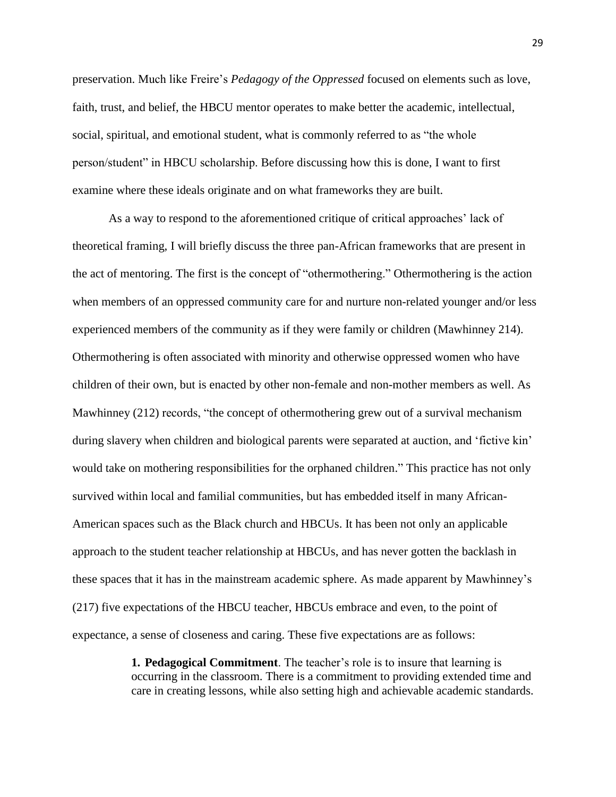preservation. Much like Freire's *Pedagogy of the Oppressed* focused on elements such as love, faith, trust, and belief, the HBCU mentor operates to make better the academic, intellectual, social, spiritual, and emotional student, what is commonly referred to as "the whole person/student" in HBCU scholarship. Before discussing how this is done, I want to first examine where these ideals originate and on what frameworks they are built.

As a way to respond to the aforementioned critique of critical approaches' lack of theoretical framing, I will briefly discuss the three pan-African frameworks that are present in the act of mentoring. The first is the concept of "othermothering." Othermothering is the action when members of an oppressed community care for and nurture non-related younger and/or less experienced members of the community as if they were family or children (Mawhinney 214). Othermothering is often associated with minority and otherwise oppressed women who have children of their own, but is enacted by other non-female and non-mother members as well. As Mawhinney (212) records, "the concept of othermothering grew out of a survival mechanism during slavery when children and biological parents were separated at auction, and 'fictive kin' would take on mothering responsibilities for the orphaned children." This practice has not only survived within local and familial communities, but has embedded itself in many African-American spaces such as the Black church and HBCUs. It has been not only an applicable approach to the student teacher relationship at HBCUs, and has never gotten the backlash in these spaces that it has in the mainstream academic sphere. As made apparent by Mawhinney's (217) five expectations of the HBCU teacher, HBCUs embrace and even, to the point of expectance, a sense of closeness and caring. These five expectations are as follows:

> **1. Pedagogical Commitment**. The teacher's role is to insure that learning is occurring in the classroom. There is a commitment to providing extended time and care in creating lessons, while also setting high and achievable academic standards.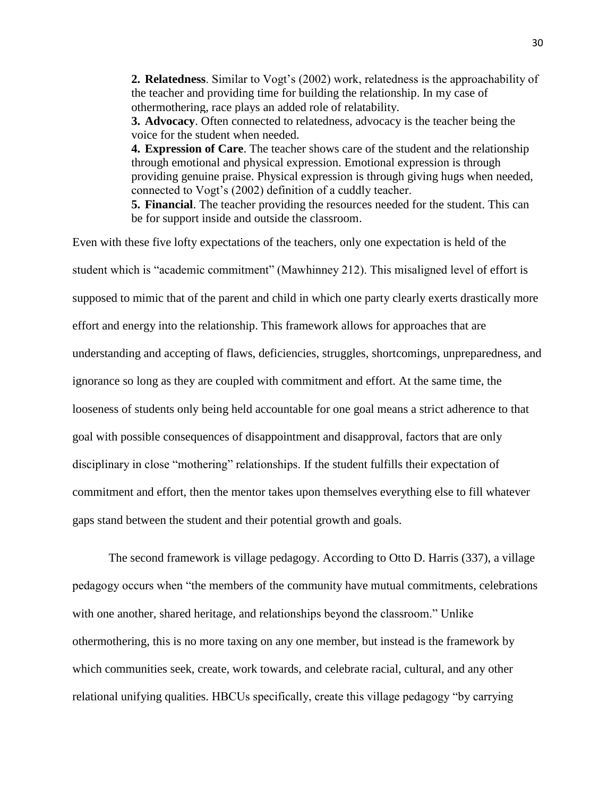**2. Relatedness**. Similar to Vogt's (2002) work, relatedness is the approachability of the teacher and providing time for building the relationship. In my case of othermothering, race plays an added role of relatability.

**3. Advocacy**. Often connected to relatedness, advocacy is the teacher being the voice for the student when needed.

**4. Expression of Care**. The teacher shows care of the student and the relationship through emotional and physical expression. Emotional expression is through providing genuine praise. Physical expression is through giving hugs when needed, connected to Vogt's (2002) definition of a cuddly teacher.

**5. Financial**. The teacher providing the resources needed for the student. This can be for support inside and outside the classroom.

Even with these five lofty expectations of the teachers, only one expectation is held of the student which is "academic commitment" (Mawhinney 212). This misaligned level of effort is supposed to mimic that of the parent and child in which one party clearly exerts drastically more effort and energy into the relationship. This framework allows for approaches that are understanding and accepting of flaws, deficiencies, struggles, shortcomings, unpreparedness, and ignorance so long as they are coupled with commitment and effort. At the same time, the looseness of students only being held accountable for one goal means a strict adherence to that goal with possible consequences of disappointment and disapproval, factors that are only disciplinary in close "mothering" relationships. If the student fulfills their expectation of commitment and effort, then the mentor takes upon themselves everything else to fill whatever gaps stand between the student and their potential growth and goals.

The second framework is village pedagogy. According to Otto D. Harris (337), a village pedagogy occurs when "the members of the community have mutual commitments, celebrations with one another, shared heritage, and relationships beyond the classroom." Unlike othermothering, this is no more taxing on any one member, but instead is the framework by which communities seek, create, work towards, and celebrate racial, cultural, and any other relational unifying qualities. HBCUs specifically, create this village pedagogy "by carrying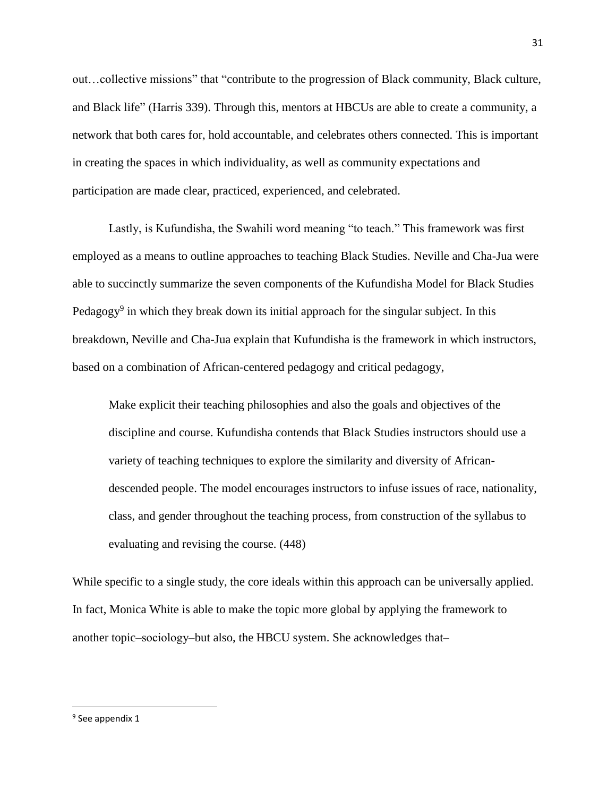out…collective missions" that "contribute to the progression of Black community, Black culture, and Black life" (Harris 339). Through this, mentors at HBCUs are able to create a community, a network that both cares for, hold accountable, and celebrates others connected. This is important in creating the spaces in which individuality, as well as community expectations and participation are made clear, practiced, experienced, and celebrated.

Lastly, is Kufundisha, the Swahili word meaning "to teach." This framework was first employed as a means to outline approaches to teaching Black Studies. Neville and Cha-Jua were able to succinctly summarize the seven components of the Kufundisha Model for Black Studies Pedagogy<sup>9</sup> in which they break down its initial approach for the singular subject. In this breakdown, Neville and Cha-Jua explain that Kufundisha is the framework in which instructors, based on a combination of African-centered pedagogy and critical pedagogy,

Make explicit their teaching philosophies and also the goals and objectives of the discipline and course. Kufundisha contends that Black Studies instructors should use a variety of teaching techniques to explore the similarity and diversity of Africandescended people. The model encourages instructors to infuse issues of race, nationality, class, and gender throughout the teaching process, from construction of the syllabus to evaluating and revising the course. (448)

While specific to a single study, the core ideals within this approach can be universally applied. In fact, Monica White is able to make the topic more global by applying the framework to another topic—sociology—but also, the HBCU system. She acknowledges that—

 $\overline{\phantom{a}}$ 

<sup>&</sup>lt;sup>9</sup> See appendix 1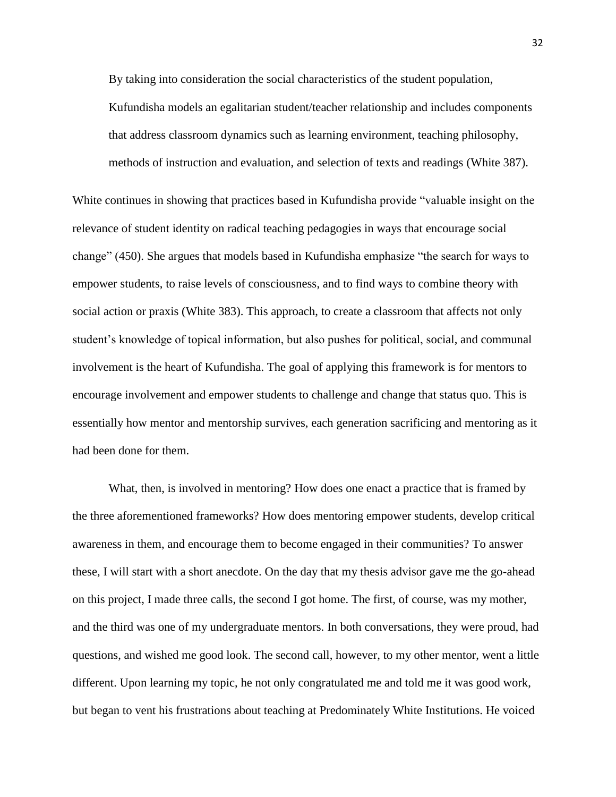By taking into consideration the social characteristics of the student population,

Kufundisha models an egalitarian student/teacher relationship and includes components that address classroom dynamics such as learning environment, teaching philosophy, methods of instruction and evaluation, and selection of texts and readings (White 387).

White continues in showing that practices based in Kufundisha provide "valuable insight on the relevance of student identity on radical teaching pedagogies in ways that encourage social change" (450). She argues that models based in Kufundisha emphasize "the search for ways to empower students, to raise levels of consciousness, and to find ways to combine theory with social action or praxis (White 383). This approach, to create a classroom that affects not only student's knowledge of topical information, but also pushes for political, social, and communal involvement is the heart of Kufundisha. The goal of applying this framework is for mentors to encourage involvement and empower students to challenge and change that status quo. This is essentially how mentor and mentorship survives, each generation sacrificing and mentoring as it had been done for them.

What, then, is involved in mentoring? How does one enact a practice that is framed by the three aforementioned frameworks? How does mentoring empower students, develop critical awareness in them, and encourage them to become engaged in their communities? To answer these, I will start with a short anecdote. On the day that my thesis advisor gave me the go-ahead on this project, I made three calls, the second I got home. The first, of course, was my mother, and the third was one of my undergraduate mentors. In both conversations, they were proud, had questions, and wished me good look. The second call, however, to my other mentor, went a little different. Upon learning my topic, he not only congratulated me and told me it was good work, but began to vent his frustrations about teaching at Predominately White Institutions. He voiced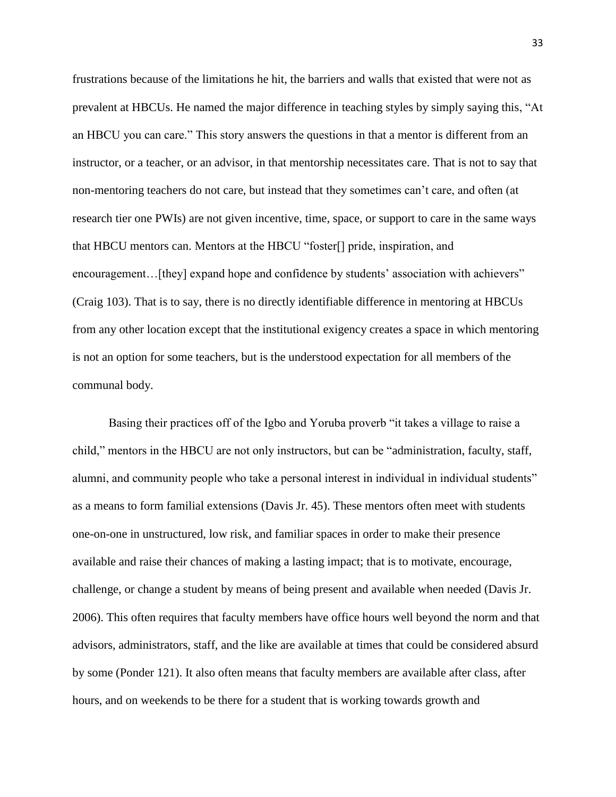frustrations because of the limitations he hit, the barriers and walls that existed that were not as prevalent at HBCUs. He named the major difference in teaching styles by simply saying this, "At an HBCU you can care." This story answers the questions in that a mentor is different from an instructor, or a teacher, or an advisor, in that mentorship necessitates care. That is not to say that non-mentoring teachers do not care, but instead that they sometimes can't care, and often (at research tier one PWIs) are not given incentive, time, space, or support to care in the same ways that HBCU mentors can. Mentors at the HBCU "foster[] pride, inspiration, and encouragement... [they] expand hope and confidence by students' association with achievers" (Craig 103). That is to say, there is no directly identifiable difference in mentoring at HBCUs from any other location except that the institutional exigency creates a space in which mentoring is not an option for some teachers, but is the understood expectation for all members of the communal body.

Basing their practices off of the Igbo and Yoruba proverb "it takes a village to raise a child," mentors in the HBCU are not only instructors, but can be "administration, faculty, staff, alumni, and community people who take a personal interest in individual in individual students" as a means to form familial extensions (Davis Jr. 45). These mentors often meet with students one-on-one in unstructured, low risk, and familiar spaces in order to make their presence available and raise their chances of making a lasting impact; that is to motivate, encourage, challenge, or change a student by means of being present and available when needed (Davis Jr. 2006). This often requires that faculty members have office hours well beyond the norm and that advisors, administrators, staff, and the like are available at times that could be considered absurd by some (Ponder 121). It also often means that faculty members are available after class, after hours, and on weekends to be there for a student that is working towards growth and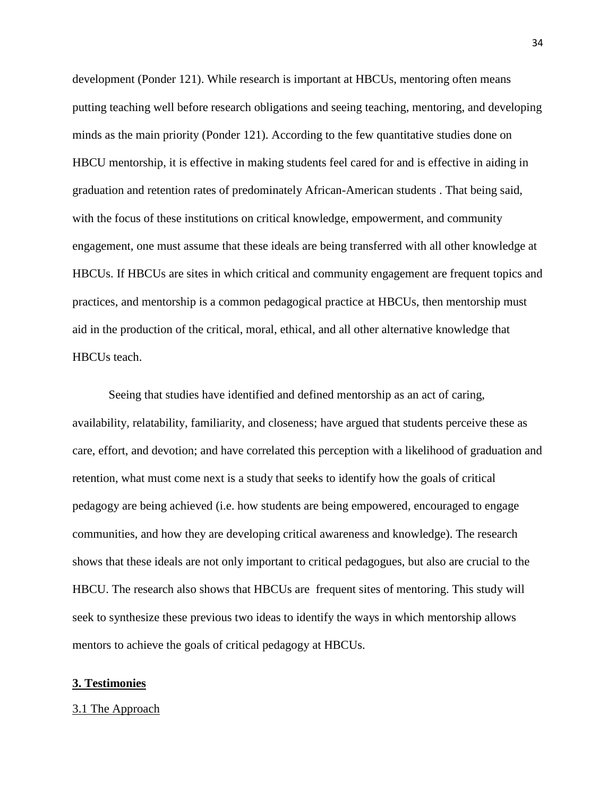development (Ponder 121). While research is important at HBCUs, mentoring often means putting teaching well before research obligations and seeing teaching, mentoring, and developing minds as the main priority (Ponder 121). According to the few quantitative studies done on HBCU mentorship, it is effective in making students feel cared for and is effective in aiding in graduation and retention rates of predominately African-American students . That being said, with the focus of these institutions on critical knowledge, empowerment, and community engagement, one must assume that these ideals are being transferred with all other knowledge at HBCUs. If HBCUs are sites in which critical and community engagement are frequent topics and practices, and mentorship is a common pedagogical practice at HBCUs, then mentorship must aid in the production of the critical, moral, ethical, and all other alternative knowledge that HBCUs teach.

Seeing that studies have identified and defined mentorship as an act of caring, availability, relatability, familiarity, and closeness; have argued that students perceive these as care, effort, and devotion; and have correlated this perception with a likelihood of graduation and retention, what must come next is a study that seeks to identify how the goals of critical pedagogy are being achieved (i.e. how students are being empowered, encouraged to engage communities, and how they are developing critical awareness and knowledge). The research shows that these ideals are not only important to critical pedagogues, but also are crucial to the HBCU. The research also shows that HBCUs are frequent sites of mentoring. This study will seek to synthesize these previous two ideas to identify the ways in which mentorship allows mentors to achieve the goals of critical pedagogy at HBCUs.

## **3. Testimonies**

#### 3.1 The Approach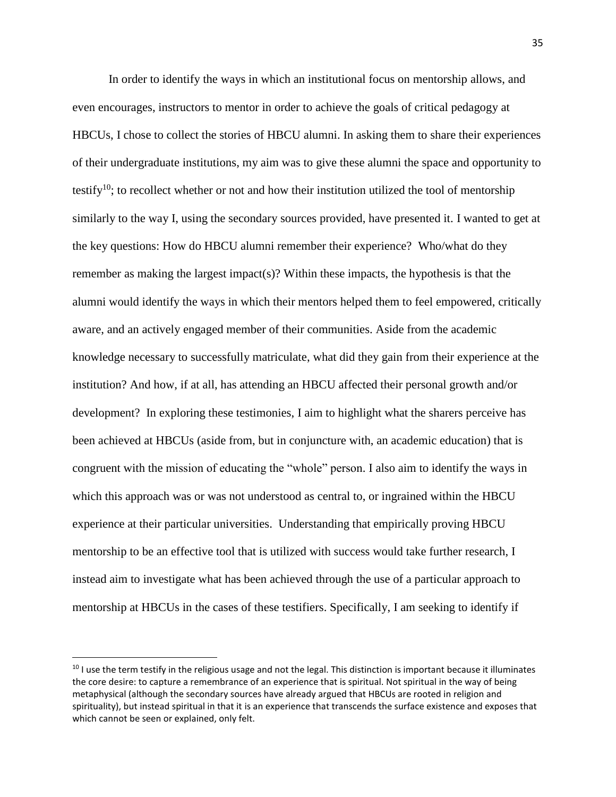In order to identify the ways in which an institutional focus on mentorship allows, and even encourages, instructors to mentor in order to achieve the goals of critical pedagogy at HBCUs, I chose to collect the stories of HBCU alumni. In asking them to share their experiences of their undergraduate institutions, my aim was to give these alumni the space and opportunity to testify<sup>10</sup>; to recollect whether or not and how their institution utilized the tool of mentorship similarly to the way I, using the secondary sources provided, have presented it. I wanted to get at the key questions: How do HBCU alumni remember their experience? Who/what do they remember as making the largest impact(s)? Within these impacts, the hypothesis is that the alumni would identify the ways in which their mentors helped them to feel empowered, critically aware, and an actively engaged member of their communities. Aside from the academic knowledge necessary to successfully matriculate, what did they gain from their experience at the institution? And how, if at all, has attending an HBCU affected their personal growth and/or development? In exploring these testimonies, I aim to highlight what the sharers perceive has been achieved at HBCUs (aside from, but in conjuncture with, an academic education) that is congruent with the mission of educating the "whole" person. I also aim to identify the ways in which this approach was or was not understood as central to, or ingrained within the HBCU experience at their particular universities. Understanding that empirically proving HBCU mentorship to be an effective tool that is utilized with success would take further research, I instead aim to investigate what has been achieved through the use of a particular approach to mentorship at HBCUs in the cases of these testifiers. Specifically, I am seeking to identify if

l

 $10$  I use the term testify in the religious usage and not the legal. This distinction is important because it illuminates the core desire: to capture a remembrance of an experience that is spiritual. Not spiritual in the way of being metaphysical (although the secondary sources have already argued that HBCUs are rooted in religion and spirituality), but instead spiritual in that it is an experience that transcends the surface existence and exposes that which cannot be seen or explained, only felt.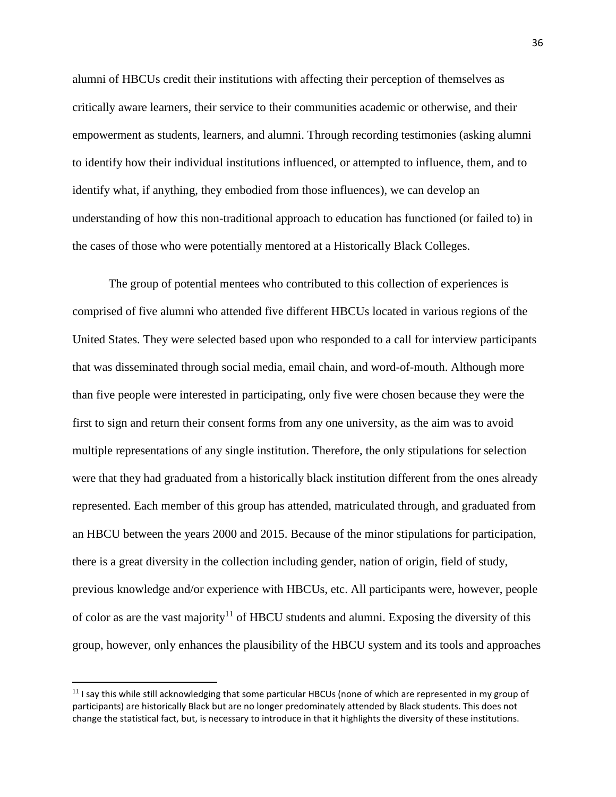alumni of HBCUs credit their institutions with affecting their perception of themselves as critically aware learners, their service to their communities academic or otherwise, and their empowerment as students, learners, and alumni. Through recording testimonies (asking alumni to identify how their individual institutions influenced, or attempted to influence, them, and to identify what, if anything, they embodied from those influences), we can develop an understanding of how this non-traditional approach to education has functioned (or failed to) in the cases of those who were potentially mentored at a Historically Black Colleges.

The group of potential mentees who contributed to this collection of experiences is comprised of five alumni who attended five different HBCUs located in various regions of the United States. They were selected based upon who responded to a call for interview participants that was disseminated through social media, email chain, and word-of-mouth. Although more than five people were interested in participating, only five were chosen because they were the first to sign and return their consent forms from any one university, as the aim was to avoid multiple representations of any single institution. Therefore, the only stipulations for selection were that they had graduated from a historically black institution different from the ones already represented. Each member of this group has attended, matriculated through, and graduated from an HBCU between the years 2000 and 2015. Because of the minor stipulations for participation, there is a great diversity in the collection including gender, nation of origin, field of study, previous knowledge and/or experience with HBCUs, etc. All participants were, however, people of color as are the vast majority<sup>11</sup> of HBCU students and alumni. Exposing the diversity of this group, however, only enhances the plausibility of the HBCU system and its tools and approaches

 $\overline{\phantom{a}}$ 

 $11$  I say this while still acknowledging that some particular HBCUs (none of which are represented in my group of participants) are historically Black but are no longer predominately attended by Black students. This does not change the statistical fact, but, is necessary to introduce in that it highlights the diversity of these institutions.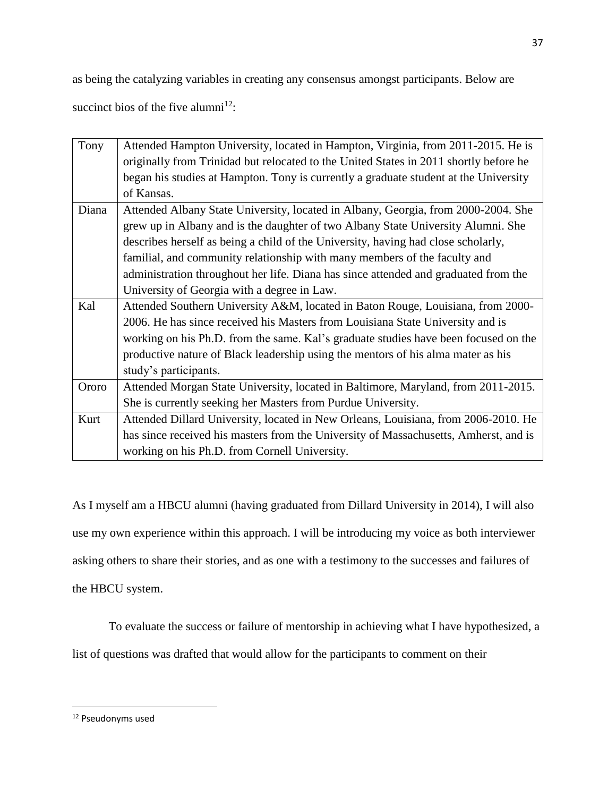as being the catalyzing variables in creating any consensus amongst participants. Below are

succinct bios of the five alumni<sup>12</sup>:

| Tony  | Attended Hampton University, located in Hampton, Virginia, from 2011-2015. He is      |
|-------|---------------------------------------------------------------------------------------|
|       | originally from Trinidad but relocated to the United States in 2011 shortly before he |
|       | began his studies at Hampton. Tony is currently a graduate student at the University  |
|       | of Kansas.                                                                            |
| Diana | Attended Albany State University, located in Albany, Georgia, from 2000-2004. She     |
|       | grew up in Albany and is the daughter of two Albany State University Alumni. She      |
|       | describes herself as being a child of the University, having had close scholarly,     |
|       | familial, and community relationship with many members of the faculty and             |
|       | administration throughout her life. Diana has since attended and graduated from the   |
|       | University of Georgia with a degree in Law.                                           |
| Kal   | Attended Southern University A&M, located in Baton Rouge, Louisiana, from 2000-       |
|       | 2006. He has since received his Masters from Louisiana State University and is        |
|       | working on his Ph.D. from the same. Kal's graduate studies have been focused on the   |
|       | productive nature of Black leadership using the mentors of his alma mater as his      |
|       | study's participants.                                                                 |
| Ororo | Attended Morgan State University, located in Baltimore, Maryland, from 2011-2015.     |
|       | She is currently seeking her Masters from Purdue University.                          |
| Kurt  | Attended Dillard University, located in New Orleans, Louisiana, from 2006-2010. He    |
|       | has since received his masters from the University of Massachusetts, Amherst, and is  |
|       | working on his Ph.D. from Cornell University.                                         |

As I myself am a HBCU alumni (having graduated from Dillard University in 2014), I will also use my own experience within this approach. I will be introducing my voice as both interviewer asking others to share their stories, and as one with a testimony to the successes and failures of the HBCU system.

To evaluate the success or failure of mentorship in achieving what I have hypothesized, a

list of questions was drafted that would allow for the participants to comment on their

 $\overline{\phantom{a}}$ 

<sup>12</sup> Pseudonyms used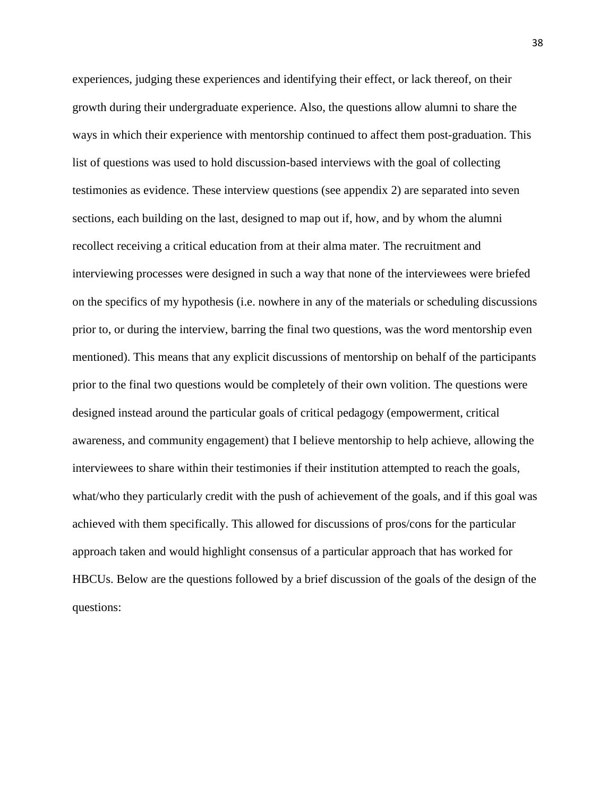experiences, judging these experiences and identifying their effect, or lack thereof, on their growth during their undergraduate experience. Also, the questions allow alumni to share the ways in which their experience with mentorship continued to affect them post-graduation. This list of questions was used to hold discussion-based interviews with the goal of collecting testimonies as evidence. These interview questions (see appendix 2) are separated into seven sections, each building on the last, designed to map out if, how, and by whom the alumni recollect receiving a critical education from at their alma mater. The recruitment and interviewing processes were designed in such a way that none of the interviewees were briefed on the specifics of my hypothesis (i.e. nowhere in any of the materials or scheduling discussions prior to, or during the interview, barring the final two questions, was the word mentorship even mentioned). This means that any explicit discussions of mentorship on behalf of the participants prior to the final two questions would be completely of their own volition. The questions were designed instead around the particular goals of critical pedagogy (empowerment, critical awareness, and community engagement) that I believe mentorship to help achieve, allowing the interviewees to share within their testimonies if their institution attempted to reach the goals, what/who they particularly credit with the push of achievement of the goals, and if this goal was achieved with them specifically. This allowed for discussions of pros/cons for the particular approach taken and would highlight consensus of a particular approach that has worked for HBCUs. Below are the questions followed by a brief discussion of the goals of the design of the questions: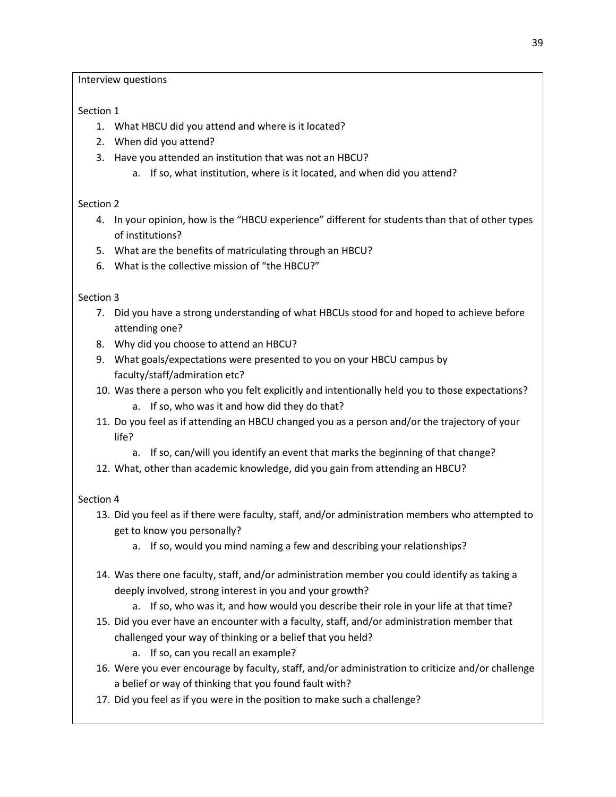Interview questions

# Section 1

- 1. What HBCU did you attend and where is it located?
- 2. When did you attend?
- 3. Have you attended an institution that was not an HBCU?
	- a. If so, what institution, where is it located, and when did you attend?

# Section 2

- 4. In your opinion, how is the "HBCU experience" different for students than that of other types of institutions?
- 5. What are the benefits of matriculating through an HBCU?
- 6. What is the collective mission of "the HBCU?"

# Section 3

- 7. Did you have a strong understanding of what HBCUs stood for and hoped to achieve before attending one?
- 8. Why did you choose to attend an HBCU?
- 9. What goals/expectations were presented to you on your HBCU campus by faculty/staff/admiration etc?
- 10. Was there a person who you felt explicitly and intentionally held you to those expectations?
	- a. If so, who was it and how did they do that?
- 11. Do you feel as if attending an HBCU changed you as a person and/or the trajectory of your life?
	- a. If so, can/will you identify an event that marks the beginning of that change?
- 12. What, other than academic knowledge, did you gain from attending an HBCU?

# Section 4

- 13. Did you feel as if there were faculty, staff, and/or administration members who attempted to get to know you personally?
	- a. If so, would you mind naming a few and describing your relationships?
- 14. Was there one faculty, staff, and/or administration member you could identify as taking a deeply involved, strong interest in you and your growth?
	- a. If so, who was it, and how would you describe their role in your life at that time?
- 15. Did you ever have an encounter with a faculty, staff, and/or administration member that challenged your way of thinking or a belief that you held?
	- a. If so, can you recall an example?
- 16. Were you ever encourage by faculty, staff, and/or administration to criticize and/or challenge a belief or way of thinking that you found fault with?
- 17. Did you feel as if you were in the position to make such a challenge?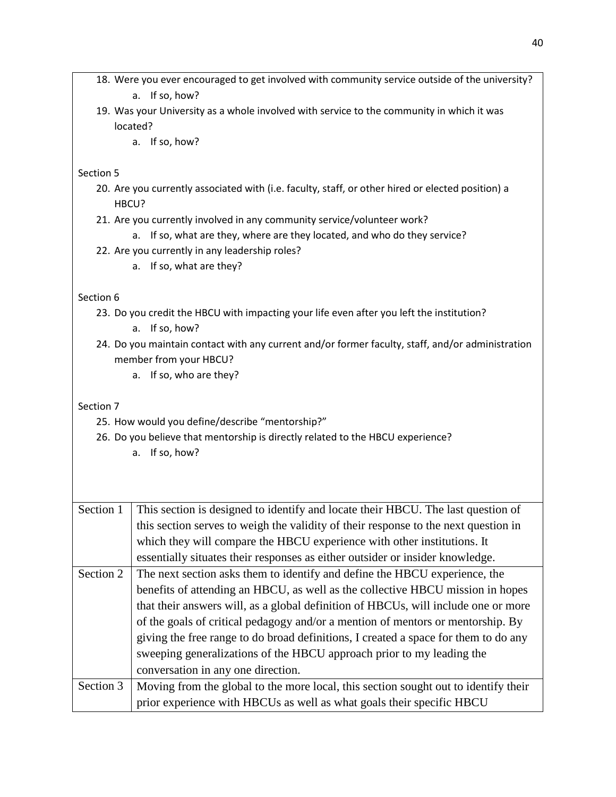- 18. Were you ever encouraged to get involved with community service outside of the university? a. If so, how?
- 19. Was your University as a whole involved with service to the community in which it was located?
	- a. If so, how?

## Section 5

- 20. Are you currently associated with (i.e. faculty, staff, or other hired or elected position) a HBCU?
- 21. Are you currently involved in any community service/volunteer work?
	- a. If so, what are they, where are they located, and who do they service?
- 22. Are you currently in any leadership roles?
	- a. If so, what are they?

## Section 6

23. Do you credit the HBCU with impacting your life even after you left the institution?

a. If so, how?

- 24. Do you maintain contact with any current and/or former faculty, staff, and/or administration member from your HBCU?
	- a. If so, who are they?

## Section 7

- 25. How would you define/describe "mentorship?"
- 26. Do you believe that mentorship is directly related to the HBCU experience?
	- a. If so, how?

| Section 1 | This section is designed to identify and locate their HBCU. The last question of    |
|-----------|-------------------------------------------------------------------------------------|
|           | this section serves to weigh the validity of their response to the next question in |
|           | which they will compare the HBCU experience with other institutions. It             |
|           | essentially situates their responses as either outsider or insider knowledge.       |
| Section 2 | The next section asks them to identify and define the HBCU experience, the          |
|           | benefits of attending an HBCU, as well as the collective HBCU mission in hopes      |
|           | that their answers will, as a global definition of HBCUs, will include one or more  |
|           | of the goals of critical pedagogy and/or a mention of mentors or mentorship. By     |
|           | giving the free range to do broad definitions, I created a space for them to do any |
|           | sweeping generalizations of the HBCU approach prior to my leading the               |
|           | conversation in any one direction.                                                  |
| Section 3 | Moving from the global to the more local, this section sought out to identify their |
|           | prior experience with HBCUs as well as what goals their specific HBCU               |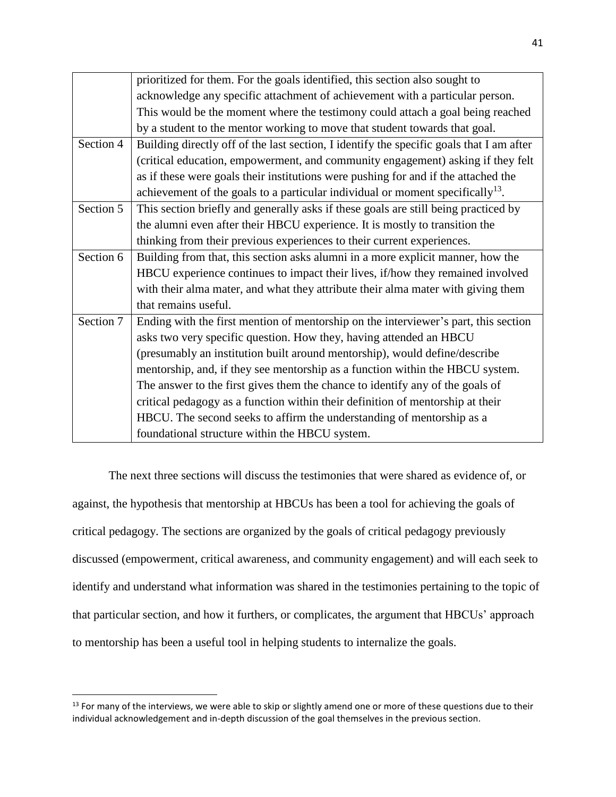|           | prioritized for them. For the goals identified, this section also sought to              |
|-----------|------------------------------------------------------------------------------------------|
|           | acknowledge any specific attachment of achievement with a particular person.             |
|           | This would be the moment where the testimony could attach a goal being reached           |
|           | by a student to the mentor working to move that student towards that goal.               |
| Section 4 | Building directly off of the last section, I identify the specific goals that I am after |
|           | (critical education, empowerment, and community engagement) asking if they felt          |
|           | as if these were goals their institutions were pushing for and if the attached the       |
|           | achievement of the goals to a particular individual or moment specifically $^{13}$ .     |
| Section 5 | This section briefly and generally asks if these goals are still being practiced by      |
|           | the alumni even after their HBCU experience. It is mostly to transition the              |
|           | thinking from their previous experiences to their current experiences.                   |
| Section 6 | Building from that, this section asks alumni in a more explicit manner, how the          |
|           | HBCU experience continues to impact their lives, if/how they remained involved           |
|           | with their alma mater, and what they attribute their alma mater with giving them         |
|           | that remains useful.                                                                     |
| Section 7 | Ending with the first mention of mentorship on the interviewer's part, this section      |
|           | asks two very specific question. How they, having attended an HBCU                       |
|           | (presumably an institution built around mentorship), would define/describe               |
|           | mentorship, and, if they see mentorship as a function within the HBCU system.            |
|           | The answer to the first gives them the chance to identify any of the goals of            |
|           | critical pedagogy as a function within their definition of mentorship at their           |
|           | HBCU. The second seeks to affirm the understanding of mentorship as a                    |
|           | foundational structure within the HBCU system.                                           |

The next three sections will discuss the testimonies that were shared as evidence of, or against, the hypothesis that mentorship at HBCUs has been a tool for achieving the goals of critical pedagogy. The sections are organized by the goals of critical pedagogy previously discussed (empowerment, critical awareness, and community engagement) and will each seek to identify and understand what information was shared in the testimonies pertaining to the topic of that particular section, and how it furthers, or complicates, the argument that HBCUs' approach to mentorship has been a useful tool in helping students to internalize the goals.

l

<sup>&</sup>lt;sup>13</sup> For many of the interviews, we were able to skip or slightly amend one or more of these questions due to their individual acknowledgement and in-depth discussion of the goal themselves in the previous section.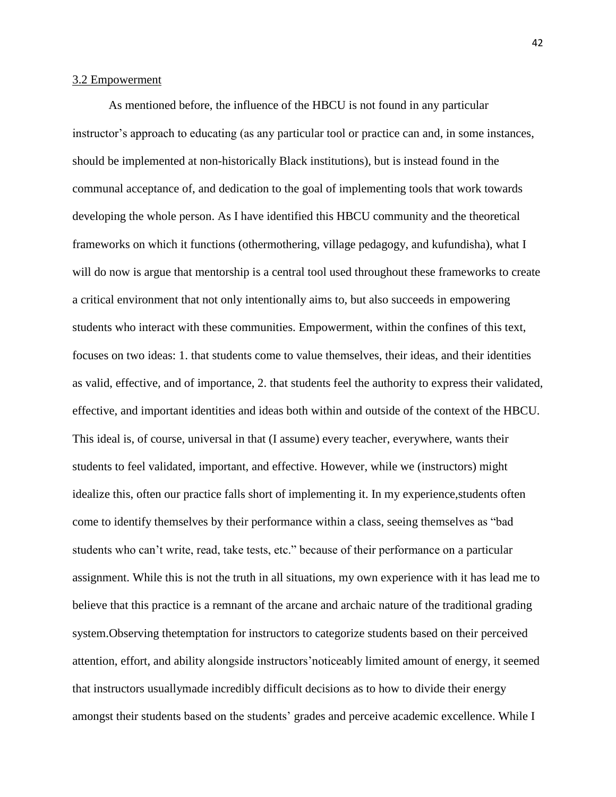### 3.2 Empowerment

As mentioned before, the influence of the HBCU is not found in any particular instructor's approach to educating (as any particular tool or practice can and, in some instances, should be implemented at non-historically Black institutions), but is instead found in the communal acceptance of, and dedication to the goal of implementing tools that work towards developing the whole person. As I have identified this HBCU community and the theoretical frameworks on which it functions (othermothering, village pedagogy, and kufundisha), what I will do now is argue that mentorship is a central tool used throughout these frameworks to create a critical environment that not only intentionally aims to, but also succeeds in empowering students who interact with these communities. Empowerment, within the confines of this text, focuses on two ideas: 1. that students come to value themselves, their ideas, and their identities as valid, effective, and of importance, 2. that students feel the authority to express their validated, effective, and important identities and ideas both within and outside of the context of the HBCU. This ideal is, of course, universal in that (I assume) every teacher, everywhere, wants their students to feel validated, important, and effective. However, while we (instructors) might idealize this, often our practice falls short of implementing it. In my experience,students often come to identify themselves by their performance within a class, seeing themselves as "bad students who can't write, read, take tests, etc." because of their performance on a particular assignment. While this is not the truth in all situations, my own experience with it has lead me to believe that this practice is a remnant of the arcane and archaic nature of the traditional grading system.Observing thetemptation for instructors to categorize students based on their perceived attention, effort, and ability alongside instructors'noticeably limited amount of energy, it seemed that instructors usuallymade incredibly difficult decisions as to how to divide their energy amongst their students based on the students' grades and perceive academic excellence. While I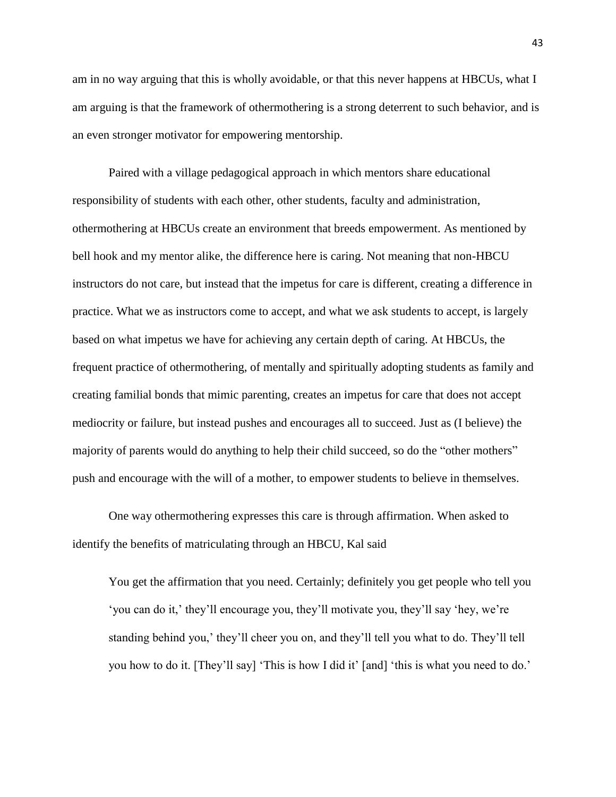am in no way arguing that this is wholly avoidable, or that this never happens at HBCUs, what I am arguing is that the framework of othermothering is a strong deterrent to such behavior, and is an even stronger motivator for empowering mentorship.

Paired with a village pedagogical approach in which mentors share educational responsibility of students with each other, other students, faculty and administration, othermothering at HBCUs create an environment that breeds empowerment. As mentioned by bell hook and my mentor alike, the difference here is caring. Not meaning that non-HBCU instructors do not care, but instead that the impetus for care is different, creating a difference in practice. What we as instructors come to accept, and what we ask students to accept, is largely based on what impetus we have for achieving any certain depth of caring. At HBCUs, the frequent practice of othermothering, of mentally and spiritually adopting students as family and creating familial bonds that mimic parenting, creates an impetus for care that does not accept mediocrity or failure, but instead pushes and encourages all to succeed. Just as (I believe) the majority of parents would do anything to help their child succeed, so do the "other mothers" push and encourage with the will of a mother, to empower students to believe in themselves.

One way othermothering expresses this care is through affirmation. When asked to identify the benefits of matriculating through an HBCU, Kal said

You get the affirmation that you need. Certainly; definitely you get people who tell you 'you can do it,' they'll encourage you, they'll motivate you, they'll say 'hey, we're standing behind you,' they'll cheer you on, and they'll tell you what to do. They'll tell you how to do it. [They'll say] 'This is how I did it' [and] 'this is what you need to do.'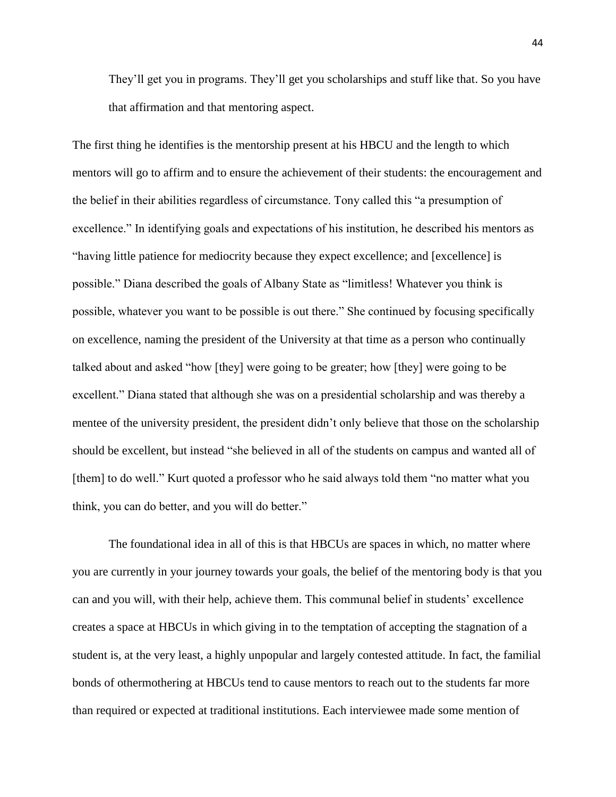They'll get you in programs. They'll get you scholarships and stuff like that. So you have that affirmation and that mentoring aspect.

The first thing he identifies is the mentorship present at his HBCU and the length to which mentors will go to affirm and to ensure the achievement of their students: the encouragement and the belief in their abilities regardless of circumstance. Tony called this "a presumption of excellence." In identifying goals and expectations of his institution, he described his mentors as "having little patience for mediocrity because they expect excellence; and [excellence] is possible." Diana described the goals of Albany State as "limitless! Whatever you think is possible, whatever you want to be possible is out there." She continued by focusing specifically on excellence, naming the president of the University at that time as a person who continually talked about and asked "how [they] were going to be greater; how [they] were going to be excellent." Diana stated that although she was on a presidential scholarship and was thereby a mentee of the university president, the president didn't only believe that those on the scholarship should be excellent, but instead "she believed in all of the students on campus and wanted all of [them] to do well." Kurt quoted a professor who he said always told them "no matter what you think, you can do better, and you will do better."

The foundational idea in all of this is that HBCUs are spaces in which, no matter where you are currently in your journey towards your goals, the belief of the mentoring body is that you can and you will, with their help, achieve them. This communal belief in students' excellence creates a space at HBCUs in which giving in to the temptation of accepting the stagnation of a student is, at the very least, a highly unpopular and largely contested attitude. In fact, the familial bonds of othermothering at HBCUs tend to cause mentors to reach out to the students far more than required or expected at traditional institutions. Each interviewee made some mention of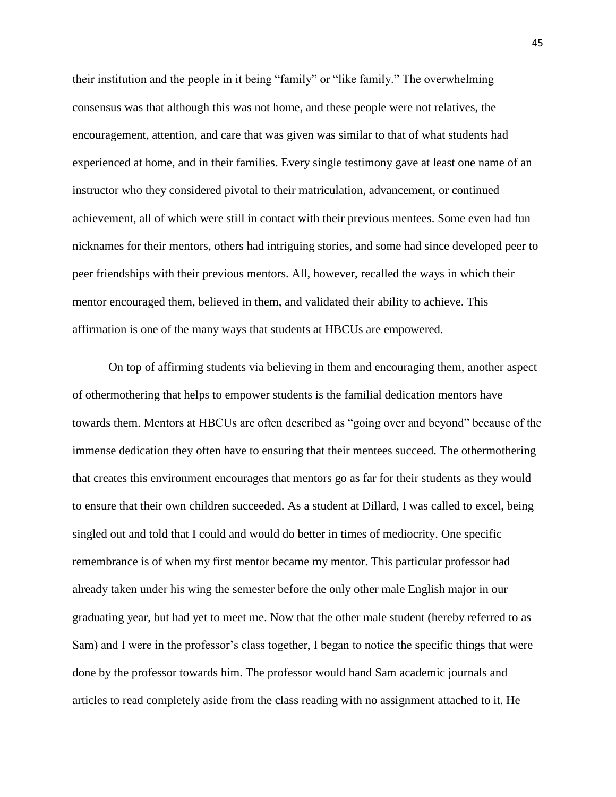their institution and the people in it being "family" or "like family." The overwhelming consensus was that although this was not home, and these people were not relatives, the encouragement, attention, and care that was given was similar to that of what students had experienced at home, and in their families. Every single testimony gave at least one name of an instructor who they considered pivotal to their matriculation, advancement, or continued achievement, all of which were still in contact with their previous mentees. Some even had fun nicknames for their mentors, others had intriguing stories, and some had since developed peer to peer friendships with their previous mentors. All, however, recalled the ways in which their mentor encouraged them, believed in them, and validated their ability to achieve. This affirmation is one of the many ways that students at HBCUs are empowered.

On top of affirming students via believing in them and encouraging them, another aspect of othermothering that helps to empower students is the familial dedication mentors have towards them. Mentors at HBCUs are often described as "going over and beyond" because of the immense dedication they often have to ensuring that their mentees succeed. The othermothering that creates this environment encourages that mentors go as far for their students as they would to ensure that their own children succeeded. As a student at Dillard, I was called to excel, being singled out and told that I could and would do better in times of mediocrity. One specific remembrance is of when my first mentor became my mentor. This particular professor had already taken under his wing the semester before the only other male English major in our graduating year, but had yet to meet me. Now that the other male student (hereby referred to as Sam) and I were in the professor's class together, I began to notice the specific things that were done by the professor towards him. The professor would hand Sam academic journals and articles to read completely aside from the class reading with no assignment attached to it. He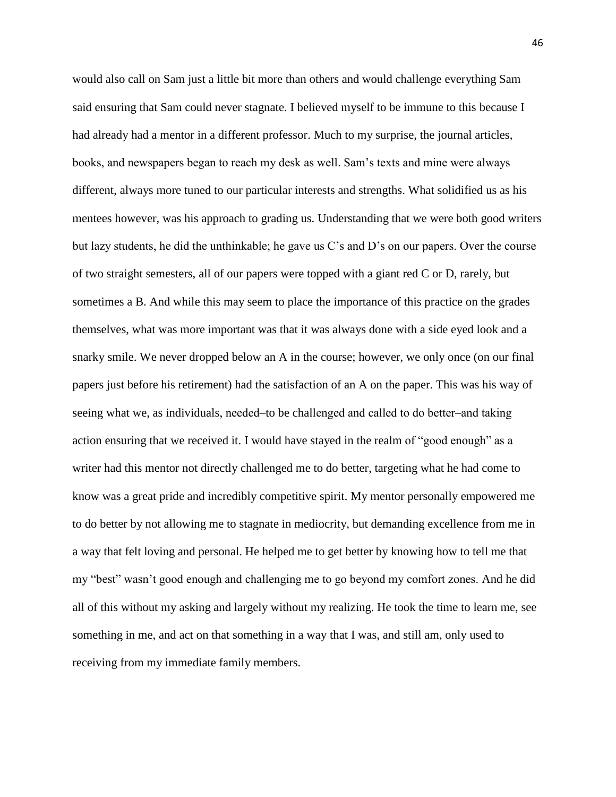would also call on Sam just a little bit more than others and would challenge everything Sam said ensuring that Sam could never stagnate. I believed myself to be immune to this because I had already had a mentor in a different professor. Much to my surprise, the journal articles, books, and newspapers began to reach my desk as well. Sam's texts and mine were always different, always more tuned to our particular interests and strengths. What solidified us as his mentees however, was his approach to grading us. Understanding that we were both good writers but lazy students, he did the unthinkable; he gave us C's and D's on our papers. Over the course of two straight semesters, all of our papers were topped with a giant red C or D, rarely, but sometimes a B. And while this may seem to place the importance of this practice on the grades themselves, what was more important was that it was always done with a side eyed look and a snarky smile. We never dropped below an A in the course; however, we only once (on our final papers just before his retirement) had the satisfaction of an A on the paper. This was his way of seeing what we, as individuals, needed–to be challenged and called to do better–and taking action ensuring that we received it. I would have stayed in the realm of "good enough" as a writer had this mentor not directly challenged me to do better, targeting what he had come to know was a great pride and incredibly competitive spirit. My mentor personally empowered me to do better by not allowing me to stagnate in mediocrity, but demanding excellence from me in a way that felt loving and personal. He helped me to get better by knowing how to tell me that my "best" wasn't good enough and challenging me to go beyond my comfort zones. And he did all of this without my asking and largely without my realizing. He took the time to learn me, see something in me, and act on that something in a way that I was, and still am, only used to receiving from my immediate family members.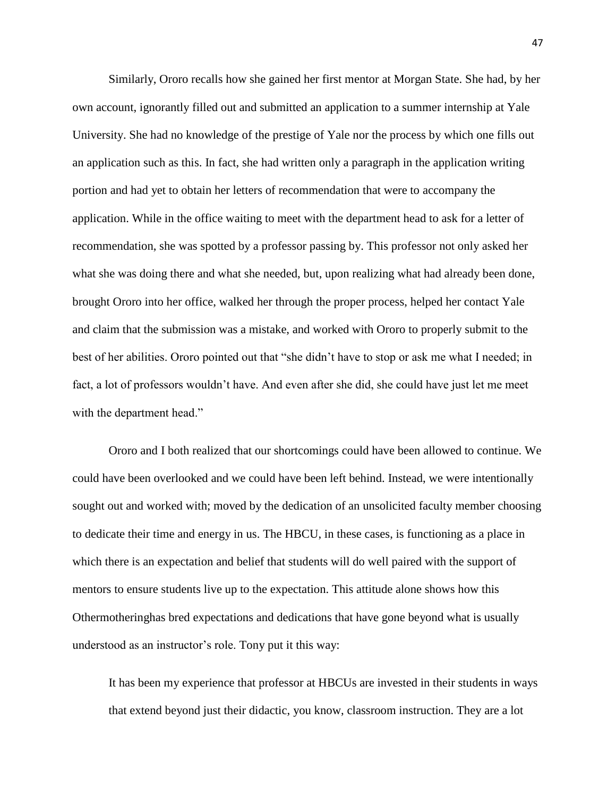Similarly, Ororo recalls how she gained her first mentor at Morgan State. She had, by her own account, ignorantly filled out and submitted an application to a summer internship at Yale University. She had no knowledge of the prestige of Yale nor the process by which one fills out an application such as this. In fact, she had written only a paragraph in the application writing portion and had yet to obtain her letters of recommendation that were to accompany the application. While in the office waiting to meet with the department head to ask for a letter of recommendation, she was spotted by a professor passing by. This professor not only asked her what she was doing there and what she needed, but, upon realizing what had already been done, brought Ororo into her office, walked her through the proper process, helped her contact Yale and claim that the submission was a mistake, and worked with Ororo to properly submit to the best of her abilities. Ororo pointed out that "she didn't have to stop or ask me what I needed; in fact, a lot of professors wouldn't have. And even after she did, she could have just let me meet with the department head."

Ororo and I both realized that our shortcomings could have been allowed to continue. We could have been overlooked and we could have been left behind. Instead, we were intentionally sought out and worked with; moved by the dedication of an unsolicited faculty member choosing to dedicate their time and energy in us. The HBCU, in these cases, is functioning as a place in which there is an expectation and belief that students will do well paired with the support of mentors to ensure students live up to the expectation. This attitude alone shows how this Othermotheringhas bred expectations and dedications that have gone beyond what is usually understood as an instructor's role. Tony put it this way:

It has been my experience that professor at HBCUs are invested in their students in ways that extend beyond just their didactic, you know, classroom instruction. They are a lot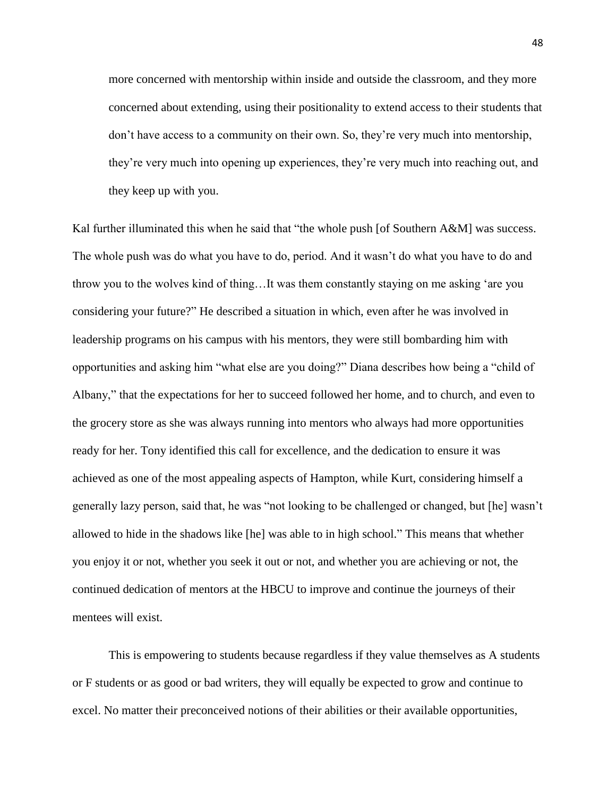more concerned with mentorship within inside and outside the classroom, and they more concerned about extending, using their positionality to extend access to their students that don't have access to a community on their own. So, they're very much into mentorship, they're very much into opening up experiences, they're very much into reaching out, and they keep up with you.

Kal further illuminated this when he said that "the whole push [of Southern A&M] was success. The whole push was do what you have to do, period. And it wasn't do what you have to do and throw you to the wolves kind of thing…It was them constantly staying on me asking 'are you considering your future?" He described a situation in which, even after he was involved in leadership programs on his campus with his mentors, they were still bombarding him with opportunities and asking him "what else are you doing?" Diana describes how being a "child of Albany," that the expectations for her to succeed followed her home, and to church, and even to the grocery store as she was always running into mentors who always had more opportunities ready for her. Tony identified this call for excellence, and the dedication to ensure it was achieved as one of the most appealing aspects of Hampton, while Kurt, considering himself a generally lazy person, said that, he was "not looking to be challenged or changed, but [he] wasn't allowed to hide in the shadows like [he] was able to in high school." This means that whether you enjoy it or not, whether you seek it out or not, and whether you are achieving or not, the continued dedication of mentors at the HBCU to improve and continue the journeys of their mentees will exist.

This is empowering to students because regardless if they value themselves as A students or F students or as good or bad writers, they will equally be expected to grow and continue to excel. No matter their preconceived notions of their abilities or their available opportunities,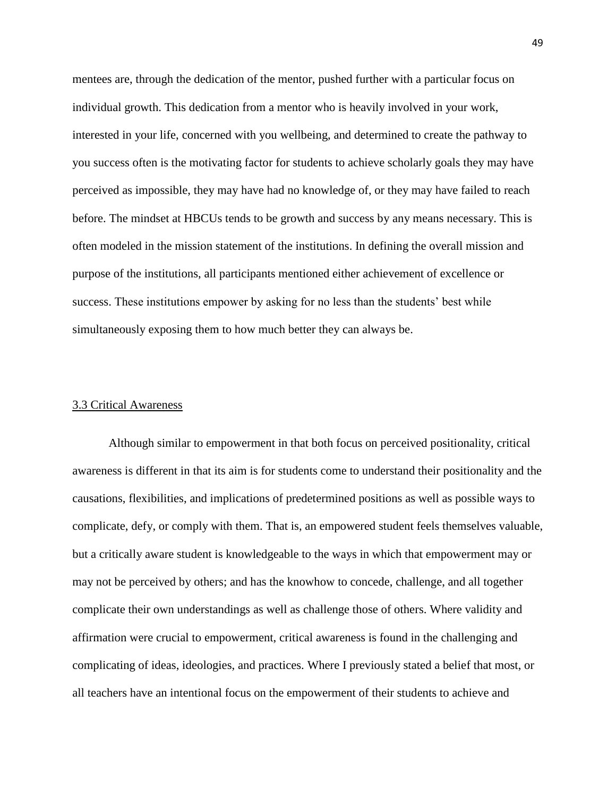mentees are, through the dedication of the mentor, pushed further with a particular focus on individual growth. This dedication from a mentor who is heavily involved in your work, interested in your life, concerned with you wellbeing, and determined to create the pathway to you success often is the motivating factor for students to achieve scholarly goals they may have perceived as impossible, they may have had no knowledge of, or they may have failed to reach before. The mindset at HBCUs tends to be growth and success by any means necessary. This is often modeled in the mission statement of the institutions. In defining the overall mission and purpose of the institutions, all participants mentioned either achievement of excellence or success. These institutions empower by asking for no less than the students' best while simultaneously exposing them to how much better they can always be.

#### 3.3 Critical Awareness

Although similar to empowerment in that both focus on perceived positionality, critical awareness is different in that its aim is for students come to understand their positionality and the causations, flexibilities, and implications of predetermined positions as well as possible ways to complicate, defy, or comply with them. That is, an empowered student feels themselves valuable, but a critically aware student is knowledgeable to the ways in which that empowerment may or may not be perceived by others; and has the knowhow to concede, challenge, and all together complicate their own understandings as well as challenge those of others. Where validity and affirmation were crucial to empowerment, critical awareness is found in the challenging and complicating of ideas, ideologies, and practices. Where I previously stated a belief that most, or all teachers have an intentional focus on the empowerment of their students to achieve and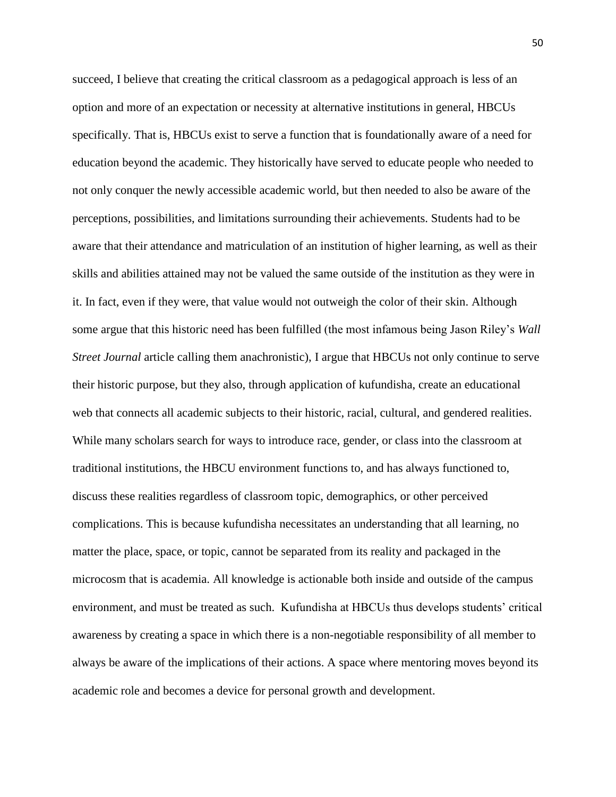succeed, I believe that creating the critical classroom as a pedagogical approach is less of an option and more of an expectation or necessity at alternative institutions in general, HBCUs specifically. That is, HBCUs exist to serve a function that is foundationally aware of a need for education beyond the academic. They historically have served to educate people who needed to not only conquer the newly accessible academic world, but then needed to also be aware of the perceptions, possibilities, and limitations surrounding their achievements. Students had to be aware that their attendance and matriculation of an institution of higher learning, as well as their skills and abilities attained may not be valued the same outside of the institution as they were in it. In fact, even if they were, that value would not outweigh the color of their skin. Although some argue that this historic need has been fulfilled (the most infamous being Jason Riley's *Wall Street Journal* article calling them anachronistic), I argue that HBCUs not only continue to serve their historic purpose, but they also, through application of kufundisha, create an educational web that connects all academic subjects to their historic, racial, cultural, and gendered realities. While many scholars search for ways to introduce race, gender, or class into the classroom at traditional institutions, the HBCU environment functions to, and has always functioned to, discuss these realities regardless of classroom topic, demographics, or other perceived complications. This is because kufundisha necessitates an understanding that all learning, no matter the place, space, or topic, cannot be separated from its reality and packaged in the microcosm that is academia. All knowledge is actionable both inside and outside of the campus environment, and must be treated as such. Kufundisha at HBCUs thus develops students' critical awareness by creating a space in which there is a non-negotiable responsibility of all member to always be aware of the implications of their actions. A space where mentoring moves beyond its academic role and becomes a device for personal growth and development.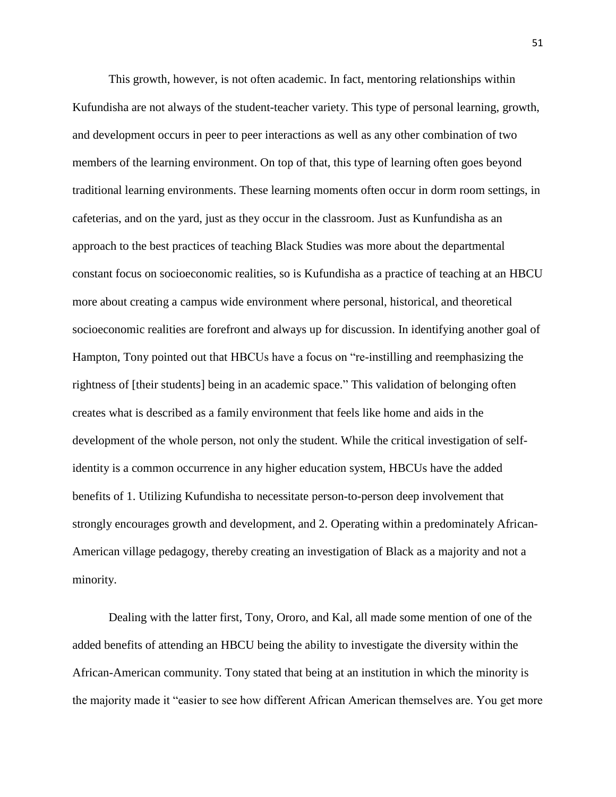This growth, however, is not often academic. In fact, mentoring relationships within Kufundisha are not always of the student-teacher variety. This type of personal learning, growth, and development occurs in peer to peer interactions as well as any other combination of two members of the learning environment. On top of that, this type of learning often goes beyond traditional learning environments. These learning moments often occur in dorm room settings, in cafeterias, and on the yard, just as they occur in the classroom. Just as Kunfundisha as an approach to the best practices of teaching Black Studies was more about the departmental constant focus on socioeconomic realities, so is Kufundisha as a practice of teaching at an HBCU more about creating a campus wide environment where personal, historical, and theoretical socioeconomic realities are forefront and always up for discussion. In identifying another goal of Hampton, Tony pointed out that HBCUs have a focus on "re-instilling and reemphasizing the rightness of [their students] being in an academic space." This validation of belonging often creates what is described as a family environment that feels like home and aids in the development of the whole person, not only the student. While the critical investigation of selfidentity is a common occurrence in any higher education system, HBCUs have the added benefits of 1. Utilizing Kufundisha to necessitate person-to-person deep involvement that strongly encourages growth and development, and 2. Operating within a predominately African-American village pedagogy, thereby creating an investigation of Black as a majority and not a minority.

Dealing with the latter first, Tony, Ororo, and Kal, all made some mention of one of the added benefits of attending an HBCU being the ability to investigate the diversity within the African-American community. Tony stated that being at an institution in which the minority is the majority made it "easier to see how different African American themselves are. You get more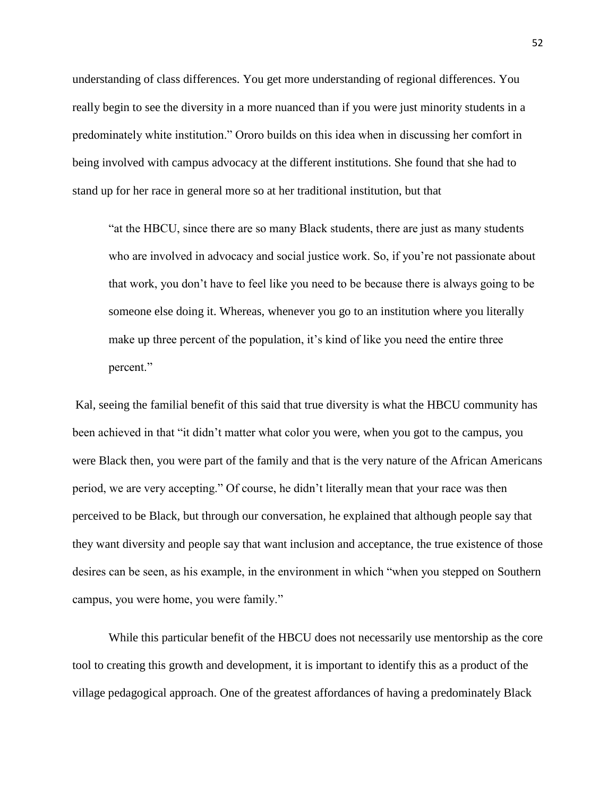understanding of class differences. You get more understanding of regional differences. You really begin to see the diversity in a more nuanced than if you were just minority students in a predominately white institution." Ororo builds on this idea when in discussing her comfort in being involved with campus advocacy at the different institutions. She found that she had to stand up for her race in general more so at her traditional institution, but that

"at the HBCU, since there are so many Black students, there are just as many students who are involved in advocacy and social justice work. So, if you're not passionate about that work, you don't have to feel like you need to be because there is always going to be someone else doing it. Whereas, whenever you go to an institution where you literally make up three percent of the population, it's kind of like you need the entire three percent."

Kal, seeing the familial benefit of this said that true diversity is what the HBCU community has been achieved in that "it didn't matter what color you were, when you got to the campus, you were Black then, you were part of the family and that is the very nature of the African Americans period, we are very accepting." Of course, he didn't literally mean that your race was then perceived to be Black, but through our conversation, he explained that although people say that they want diversity and people say that want inclusion and acceptance, the true existence of those desires can be seen, as his example, in the environment in which "when you stepped on Southern campus, you were home, you were family."

While this particular benefit of the HBCU does not necessarily use mentorship as the core tool to creating this growth and development, it is important to identify this as a product of the village pedagogical approach. One of the greatest affordances of having a predominately Black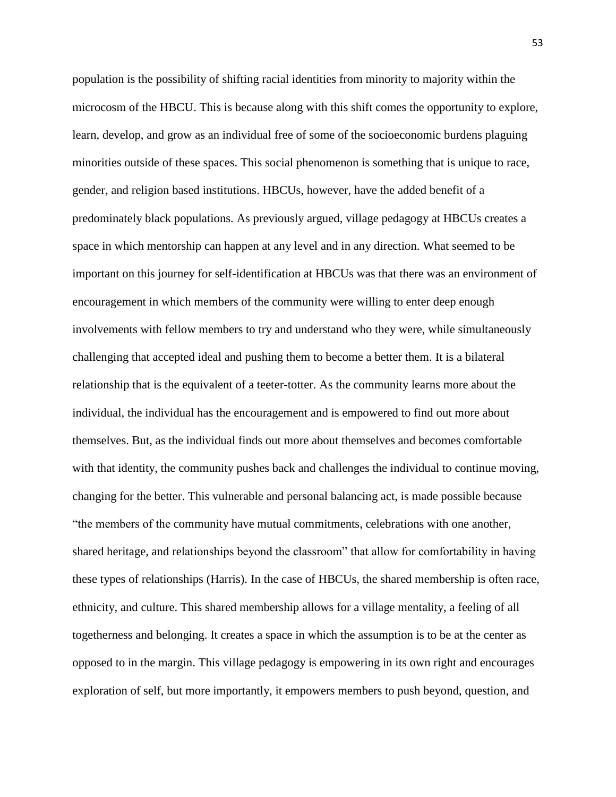population is the possibility of shifting racial identities from minority to majority within the microcosm of the HBCU. This is because along with this shift comes the opportunity to explore, learn, develop, and grow as an individual free of some of the socioeconomic burdens plaguing minorities outside of these spaces. This social phenomenon is something that is unique to race, gender, and religion based institutions. HBCUs, however, have the added benefit of a predominately black populations. As previously argued, village pedagogy at HBCUs creates a space in which mentorship can happen at any level and in any direction. What seemed to be important on this journey for self-identification at HBCUs was that there was an environment of encouragement in which members of the community were willing to enter deep enough involvements with fellow members to try and understand who they were, while simultaneously challenging that accepted ideal and pushing them to become a better them. It is a bilateral relationship that is the equivalent of a teeter-totter. As the community learns more about the individual, the individual has the encouragement and is empowered to find out more about themselves. But, as the individual finds out more about themselves and becomes comfortable with that identity, the community pushes back and challenges the individual to continue moving, changing for the better. This vulnerable and personal balancing act, is made possible because "the members of the community have mutual commitments, celebrations with one another, shared heritage, and relationships beyond the classroom" that allow for comfortability in having these types of relationships (Harris). In the case of HBCUs, the shared membership is often race, ethnicity, and culture. This shared membership allows for a village mentality, a feeling of all togetherness and belonging. It creates a space in which the assumption is to be at the center as opposed to in the margin. This village pedagogy is empowering in its own right and encourages exploration of self, but more importantly, it empowers members to push beyond, question, and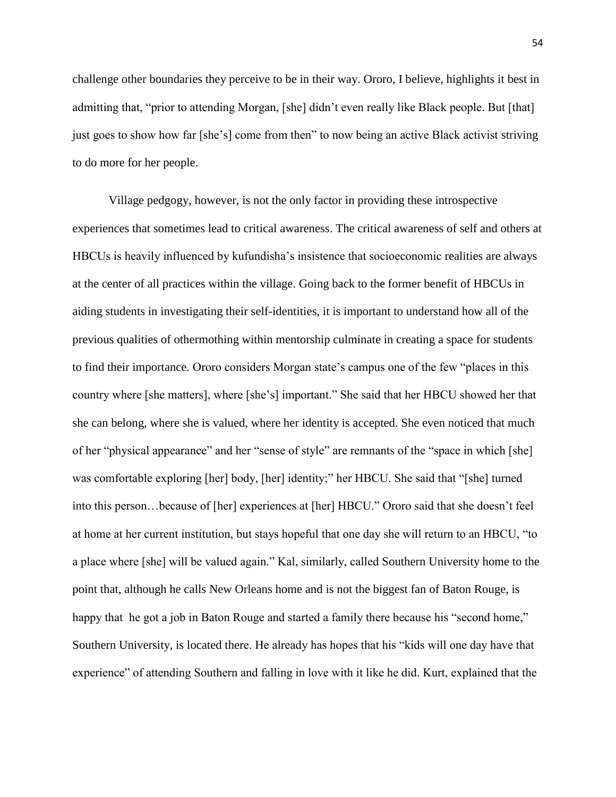challenge other boundaries they perceive to be in their way. Ororo, I believe, highlights it best in admitting that, "prior to attending Morgan, [she] didn't even really like Black people. But [that] just goes to show how far [she's] come from then" to now being an active Black activist striving to do more for her people.

Village pedgogy, however, is not the only factor in providing these introspective experiences that sometimes lead to critical awareness. The critical awareness of self and others at HBCUs is heavily influenced by kufundisha's insistence that socioeconomic realities are always at the center of all practices within the village. Going back to the former benefit of HBCUs in aiding students in investigating their self-identities, it is important to understand how all of the previous qualities of othermothing within mentorship culminate in creating a space for students to find their importance. Ororo considers Morgan state's campus one of the few "places in this country where [she matters], where [she's] important." She said that her HBCU showed her that she can belong, where she is valued, where her identity is accepted. She even noticed that much of her "physical appearance" and her "sense of style" are remnants of the "space in which [she] was comfortable exploring [her] body, [her] identity;" her HBCU. She said that "[she] turned into this person…because of [her] experiences at [her] HBCU." Ororo said that she doesn't feel at home at her current institution, but stays hopeful that one day she will return to an HBCU, "to a place where [she] will be valued again." Kal, similarly, called Southern University home to the point that, although he calls New Orleans home and is not the biggest fan of Baton Rouge, is happy that he got a job in Baton Rouge and started a family there because his "second home," Southern University, is located there. He already has hopes that his "kids will one day have that experience" of attending Southern and falling in love with it like he did. Kurt, explained that the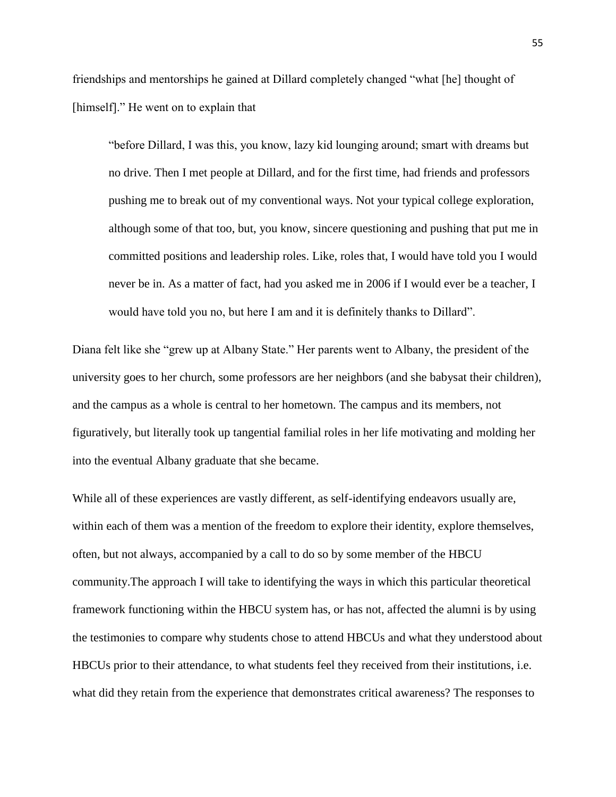friendships and mentorships he gained at Dillard completely changed "what [he] thought of [himself]." He went on to explain that

"before Dillard, I was this, you know, lazy kid lounging around; smart with dreams but no drive. Then I met people at Dillard, and for the first time, had friends and professors pushing me to break out of my conventional ways. Not your typical college exploration, although some of that too, but, you know, sincere questioning and pushing that put me in committed positions and leadership roles. Like, roles that, I would have told you I would never be in. As a matter of fact, had you asked me in 2006 if I would ever be a teacher, I would have told you no, but here I am and it is definitely thanks to Dillard".

Diana felt like she "grew up at Albany State." Her parents went to Albany, the president of the university goes to her church, some professors are her neighbors (and she babysat their children), and the campus as a whole is central to her hometown. The campus and its members, not figuratively, but literally took up tangential familial roles in her life motivating and molding her into the eventual Albany graduate that she became.

While all of these experiences are vastly different, as self-identifying endeavors usually are, within each of them was a mention of the freedom to explore their identity, explore themselves, often, but not always, accompanied by a call to do so by some member of the HBCU community.The approach I will take to identifying the ways in which this particular theoretical framework functioning within the HBCU system has, or has not, affected the alumni is by using the testimonies to compare why students chose to attend HBCUs and what they understood about HBCUs prior to their attendance, to what students feel they received from their institutions, i.e. what did they retain from the experience that demonstrates critical awareness? The responses to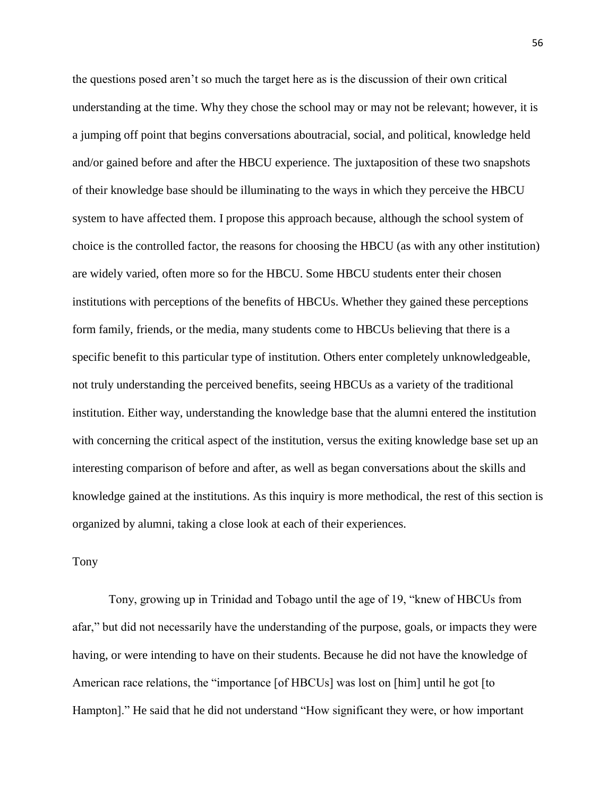the questions posed aren't so much the target here as is the discussion of their own critical understanding at the time. Why they chose the school may or may not be relevant; however, it is a jumping off point that begins conversations aboutracial, social, and political, knowledge held and/or gained before and after the HBCU experience. The juxtaposition of these two snapshots of their knowledge base should be illuminating to the ways in which they perceive the HBCU system to have affected them. I propose this approach because, although the school system of choice is the controlled factor, the reasons for choosing the HBCU (as with any other institution) are widely varied, often more so for the HBCU. Some HBCU students enter their chosen institutions with perceptions of the benefits of HBCUs. Whether they gained these perceptions form family, friends, or the media, many students come to HBCUs believing that there is a specific benefit to this particular type of institution. Others enter completely unknowledgeable, not truly understanding the perceived benefits, seeing HBCUs as a variety of the traditional institution. Either way, understanding the knowledge base that the alumni entered the institution with concerning the critical aspect of the institution, versus the exiting knowledge base set up an interesting comparison of before and after, as well as began conversations about the skills and knowledge gained at the institutions. As this inquiry is more methodical, the rest of this section is organized by alumni, taking a close look at each of their experiences.

### Tony

Tony, growing up in Trinidad and Tobago until the age of 19, "knew of HBCUs from afar," but did not necessarily have the understanding of the purpose, goals, or impacts they were having, or were intending to have on their students. Because he did not have the knowledge of American race relations, the "importance [of HBCUs] was lost on [him] until he got [to Hampton]." He said that he did not understand "How significant they were, or how important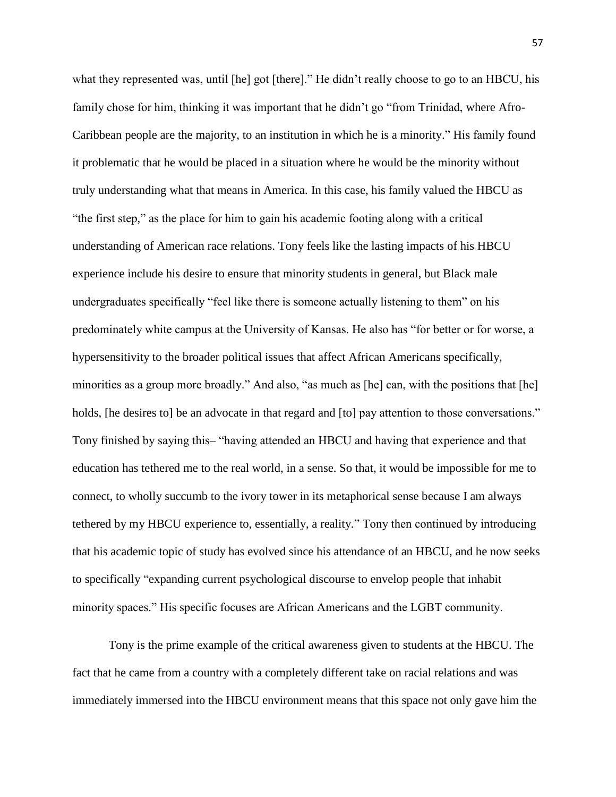what they represented was, until [he] got [there]." He didn't really choose to go to an HBCU, his family chose for him, thinking it was important that he didn't go "from Trinidad, where Afro-Caribbean people are the majority, to an institution in which he is a minority." His family found it problematic that he would be placed in a situation where he would be the minority without truly understanding what that means in America. In this case, his family valued the HBCU as "the first step," as the place for him to gain his academic footing along with a critical understanding of American race relations. Tony feels like the lasting impacts of his HBCU experience include his desire to ensure that minority students in general, but Black male undergraduates specifically "feel like there is someone actually listening to them" on his predominately white campus at the University of Kansas. He also has "for better or for worse, a hypersensitivity to the broader political issues that affect African Americans specifically, minorities as a group more broadly." And also, "as much as [he] can, with the positions that [he] holds, [he desires to] be an advocate in that regard and [to] pay attention to those conversations." Tony finished by saying this‒ "having attended an HBCU and having that experience and that education has tethered me to the real world, in a sense. So that, it would be impossible for me to connect, to wholly succumb to the ivory tower in its metaphorical sense because I am always tethered by my HBCU experience to, essentially, a reality." Tony then continued by introducing that his academic topic of study has evolved since his attendance of an HBCU, and he now seeks to specifically "expanding current psychological discourse to envelop people that inhabit minority spaces." His specific focuses are African Americans and the LGBT community.

Tony is the prime example of the critical awareness given to students at the HBCU. The fact that he came from a country with a completely different take on racial relations and was immediately immersed into the HBCU environment means that this space not only gave him the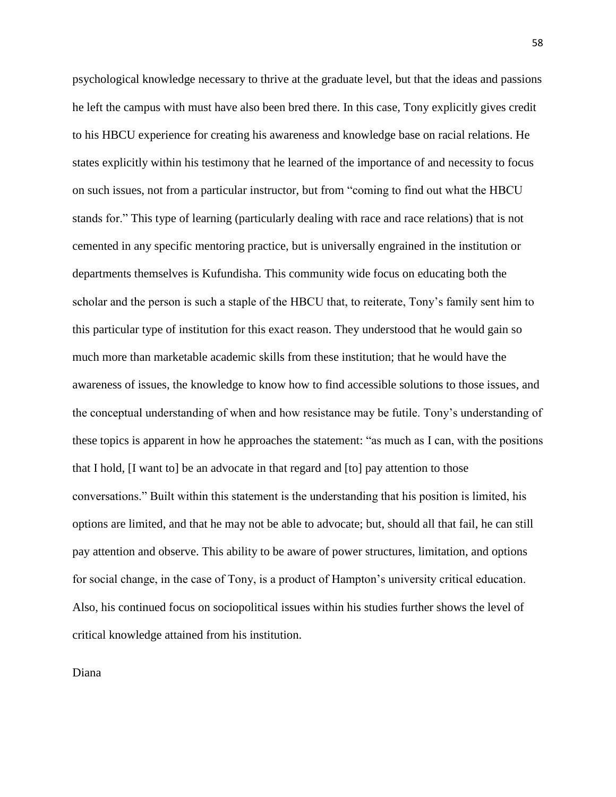psychological knowledge necessary to thrive at the graduate level, but that the ideas and passions he left the campus with must have also been bred there. In this case, Tony explicitly gives credit to his HBCU experience for creating his awareness and knowledge base on racial relations. He states explicitly within his testimony that he learned of the importance of and necessity to focus on such issues, not from a particular instructor, but from "coming to find out what the HBCU stands for." This type of learning (particularly dealing with race and race relations) that is not cemented in any specific mentoring practice, but is universally engrained in the institution or departments themselves is Kufundisha. This community wide focus on educating both the scholar and the person is such a staple of the HBCU that, to reiterate, Tony's family sent him to this particular type of institution for this exact reason. They understood that he would gain so much more than marketable academic skills from these institution; that he would have the awareness of issues, the knowledge to know how to find accessible solutions to those issues, and the conceptual understanding of when and how resistance may be futile. Tony's understanding of these topics is apparent in how he approaches the statement: "as much as I can, with the positions that I hold, [I want to] be an advocate in that regard and [to] pay attention to those conversations." Built within this statement is the understanding that his position is limited, his options are limited, and that he may not be able to advocate; but, should all that fail, he can still pay attention and observe. This ability to be aware of power structures, limitation, and options for social change, in the case of Tony, is a product of Hampton's university critical education. Also, his continued focus on sociopolitical issues within his studies further shows the level of critical knowledge attained from his institution.

Diana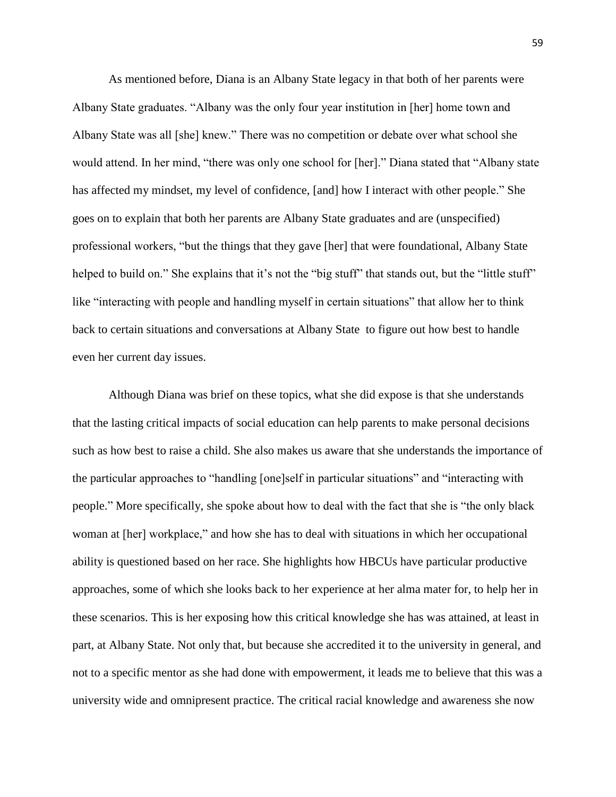As mentioned before, Diana is an Albany State legacy in that both of her parents were Albany State graduates. "Albany was the only four year institution in [her] home town and Albany State was all [she] knew." There was no competition or debate over what school she would attend. In her mind, "there was only one school for [her]." Diana stated that "Albany state has affected my mindset, my level of confidence, [and] how I interact with other people." She goes on to explain that both her parents are Albany State graduates and are (unspecified) professional workers, "but the things that they gave [her] that were foundational, Albany State helped to build on." She explains that it's not the "big stuff" that stands out, but the "little stuff" like "interacting with people and handling myself in certain situations" that allow her to think back to certain situations and conversations at Albany State to figure out how best to handle even her current day issues.

Although Diana was brief on these topics, what she did expose is that she understands that the lasting critical impacts of social education can help parents to make personal decisions such as how best to raise a child. She also makes us aware that she understands the importance of the particular approaches to "handling [one]self in particular situations" and "interacting with people." More specifically, she spoke about how to deal with the fact that she is "the only black woman at [her] workplace," and how she has to deal with situations in which her occupational ability is questioned based on her race. She highlights how HBCUs have particular productive approaches, some of which she looks back to her experience at her alma mater for, to help her in these scenarios. This is her exposing how this critical knowledge she has was attained, at least in part, at Albany State. Not only that, but because she accredited it to the university in general, and not to a specific mentor as she had done with empowerment, it leads me to believe that this was a university wide and omnipresent practice. The critical racial knowledge and awareness she now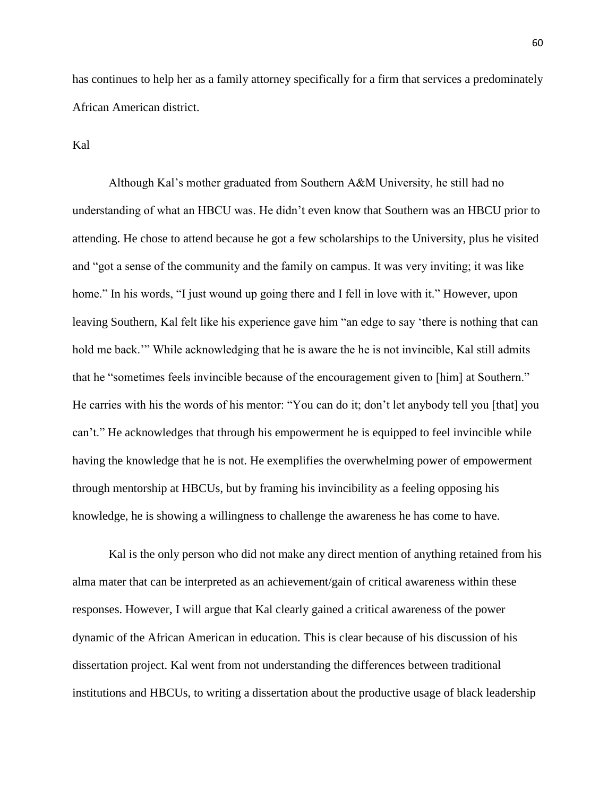has continues to help her as a family attorney specifically for a firm that services a predominately African American district.

Kal

Although Kal's mother graduated from Southern A&M University, he still had no understanding of what an HBCU was. He didn't even know that Southern was an HBCU prior to attending. He chose to attend because he got a few scholarships to the University, plus he visited and "got a sense of the community and the family on campus. It was very inviting; it was like home." In his words, "I just wound up going there and I fell in love with it." However, upon leaving Southern, Kal felt like his experience gave him "an edge to say 'there is nothing that can hold me back.'" While acknowledging that he is aware the he is not invincible, Kal still admits that he "sometimes feels invincible because of the encouragement given to [him] at Southern." He carries with his the words of his mentor: "You can do it; don't let anybody tell you [that] you can't." He acknowledges that through his empowerment he is equipped to feel invincible while having the knowledge that he is not. He exemplifies the overwhelming power of empowerment through mentorship at HBCUs, but by framing his invincibility as a feeling opposing his knowledge, he is showing a willingness to challenge the awareness he has come to have.

Kal is the only person who did not make any direct mention of anything retained from his alma mater that can be interpreted as an achievement/gain of critical awareness within these responses. However, I will argue that Kal clearly gained a critical awareness of the power dynamic of the African American in education. This is clear because of his discussion of his dissertation project. Kal went from not understanding the differences between traditional institutions and HBCUs, to writing a dissertation about the productive usage of black leadership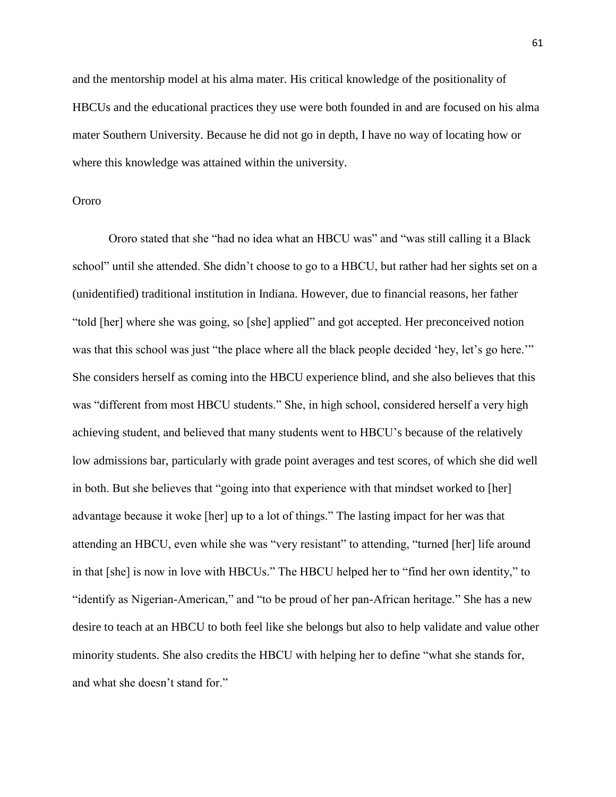and the mentorship model at his alma mater. His critical knowledge of the positionality of HBCUs and the educational practices they use were both founded in and are focused on his alma mater Southern University. Because he did not go in depth, I have no way of locating how or where this knowledge was attained within the university.

### Ororo

Ororo stated that she "had no idea what an HBCU was" and "was still calling it a Black school" until she attended. She didn't choose to go to a HBCU, but rather had her sights set on a (unidentified) traditional institution in Indiana. However, due to financial reasons, her father "told [her] where she was going, so [she] applied" and got accepted. Her preconceived notion was that this school was just "the place where all the black people decided 'hey, let's go here."" She considers herself as coming into the HBCU experience blind, and she also believes that this was "different from most HBCU students." She, in high school, considered herself a very high achieving student, and believed that many students went to HBCU's because of the relatively low admissions bar, particularly with grade point averages and test scores, of which she did well in both. But she believes that "going into that experience with that mindset worked to [her] advantage because it woke [her] up to a lot of things." The lasting impact for her was that attending an HBCU, even while she was "very resistant" to attending, "turned [her] life around in that [she] is now in love with HBCUs." The HBCU helped her to "find her own identity," to "identify as Nigerian-American," and "to be proud of her pan-African heritage." She has a new desire to teach at an HBCU to both feel like she belongs but also to help validate and value other minority students. She also credits the HBCU with helping her to define "what she stands for, and what she doesn't stand for."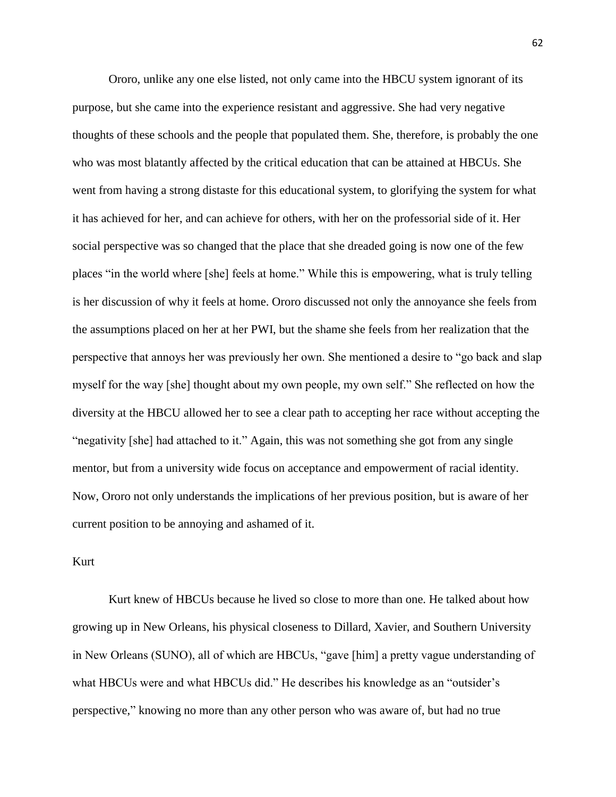Ororo, unlike any one else listed, not only came into the HBCU system ignorant of its purpose, but she came into the experience resistant and aggressive. She had very negative thoughts of these schools and the people that populated them. She, therefore, is probably the one who was most blatantly affected by the critical education that can be attained at HBCUs. She went from having a strong distaste for this educational system, to glorifying the system for what it has achieved for her, and can achieve for others, with her on the professorial side of it. Her social perspective was so changed that the place that she dreaded going is now one of the few places "in the world where [she] feels at home." While this is empowering, what is truly telling is her discussion of why it feels at home. Ororo discussed not only the annoyance she feels from the assumptions placed on her at her PWI, but the shame she feels from her realization that the perspective that annoys her was previously her own. She mentioned a desire to "go back and slap myself for the way [she] thought about my own people, my own self." She reflected on how the diversity at the HBCU allowed her to see a clear path to accepting her race without accepting the "negativity [she] had attached to it." Again, this was not something she got from any single mentor, but from a university wide focus on acceptance and empowerment of racial identity. Now, Ororo not only understands the implications of her previous position, but is aware of her current position to be annoying and ashamed of it.

### Kurt

Kurt knew of HBCUs because he lived so close to more than one. He talked about how growing up in New Orleans, his physical closeness to Dillard, Xavier, and Southern University in New Orleans (SUNO), all of which are HBCUs, "gave [him] a pretty vague understanding of what HBCUs were and what HBCUs did." He describes his knowledge as an "outsider's perspective," knowing no more than any other person who was aware of, but had no true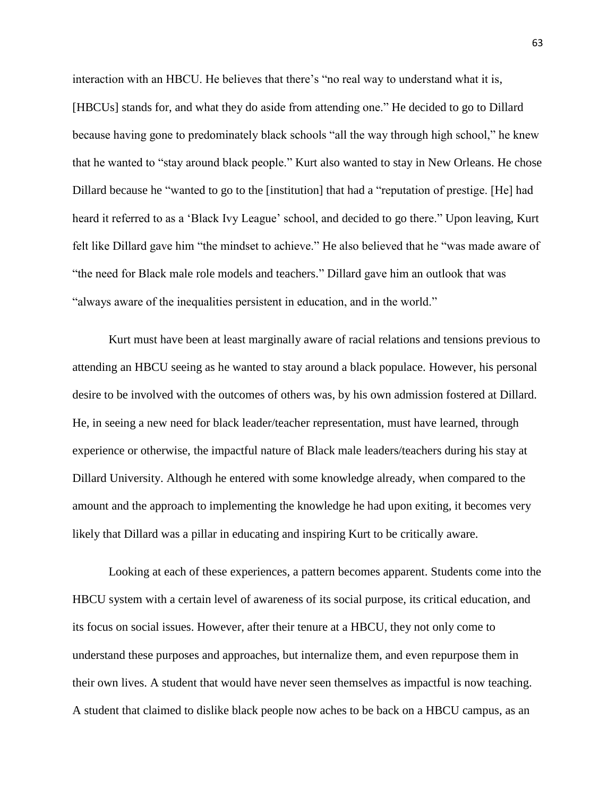interaction with an HBCU. He believes that there's "no real way to understand what it is, [HBCUs] stands for, and what they do aside from attending one." He decided to go to Dillard because having gone to predominately black schools "all the way through high school," he knew that he wanted to "stay around black people." Kurt also wanted to stay in New Orleans. He chose Dillard because he "wanted to go to the [institution] that had a "reputation of prestige. [He] had heard it referred to as a 'Black Ivy League' school, and decided to go there." Upon leaving, Kurt felt like Dillard gave him "the mindset to achieve." He also believed that he "was made aware of "the need for Black male role models and teachers." Dillard gave him an outlook that was "always aware of the inequalities persistent in education, and in the world."

Kurt must have been at least marginally aware of racial relations and tensions previous to attending an HBCU seeing as he wanted to stay around a black populace. However, his personal desire to be involved with the outcomes of others was, by his own admission fostered at Dillard. He, in seeing a new need for black leader/teacher representation, must have learned, through experience or otherwise, the impactful nature of Black male leaders/teachers during his stay at Dillard University. Although he entered with some knowledge already, when compared to the amount and the approach to implementing the knowledge he had upon exiting, it becomes very likely that Dillard was a pillar in educating and inspiring Kurt to be critically aware.

Looking at each of these experiences, a pattern becomes apparent. Students come into the HBCU system with a certain level of awareness of its social purpose, its critical education, and its focus on social issues. However, after their tenure at a HBCU, they not only come to understand these purposes and approaches, but internalize them, and even repurpose them in their own lives. A student that would have never seen themselves as impactful is now teaching. A student that claimed to dislike black people now aches to be back on a HBCU campus, as an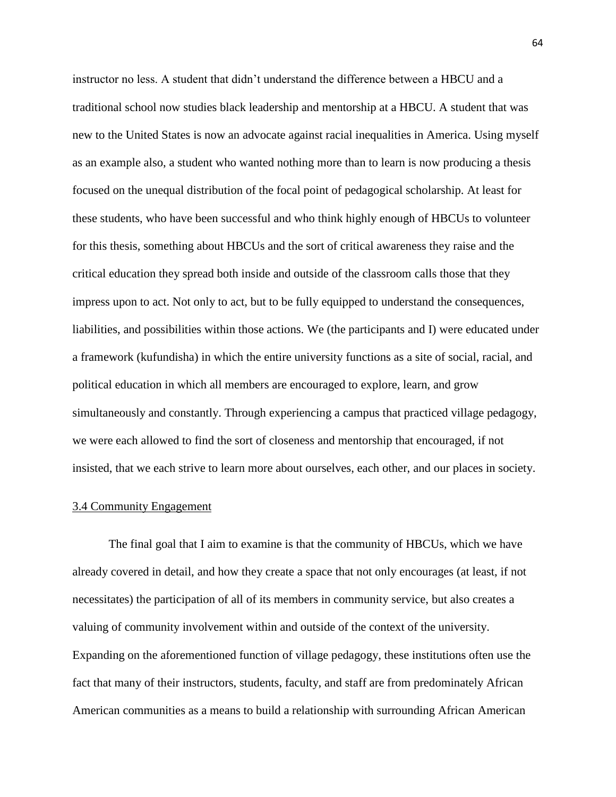instructor no less. A student that didn't understand the difference between a HBCU and a traditional school now studies black leadership and mentorship at a HBCU. A student that was new to the United States is now an advocate against racial inequalities in America. Using myself as an example also, a student who wanted nothing more than to learn is now producing a thesis focused on the unequal distribution of the focal point of pedagogical scholarship. At least for these students, who have been successful and who think highly enough of HBCUs to volunteer for this thesis, something about HBCUs and the sort of critical awareness they raise and the critical education they spread both inside and outside of the classroom calls those that they impress upon to act. Not only to act, but to be fully equipped to understand the consequences, liabilities, and possibilities within those actions. We (the participants and I) were educated under a framework (kufundisha) in which the entire university functions as a site of social, racial, and political education in which all members are encouraged to explore, learn, and grow simultaneously and constantly. Through experiencing a campus that practiced village pedagogy, we were each allowed to find the sort of closeness and mentorship that encouraged, if not insisted, that we each strive to learn more about ourselves, each other, and our places in society.

#### 3.4 Community Engagement

The final goal that I aim to examine is that the community of HBCUs, which we have already covered in detail, and how they create a space that not only encourages (at least, if not necessitates) the participation of all of its members in community service, but also creates a valuing of community involvement within and outside of the context of the university. Expanding on the aforementioned function of village pedagogy, these institutions often use the fact that many of their instructors, students, faculty, and staff are from predominately African American communities as a means to build a relationship with surrounding African American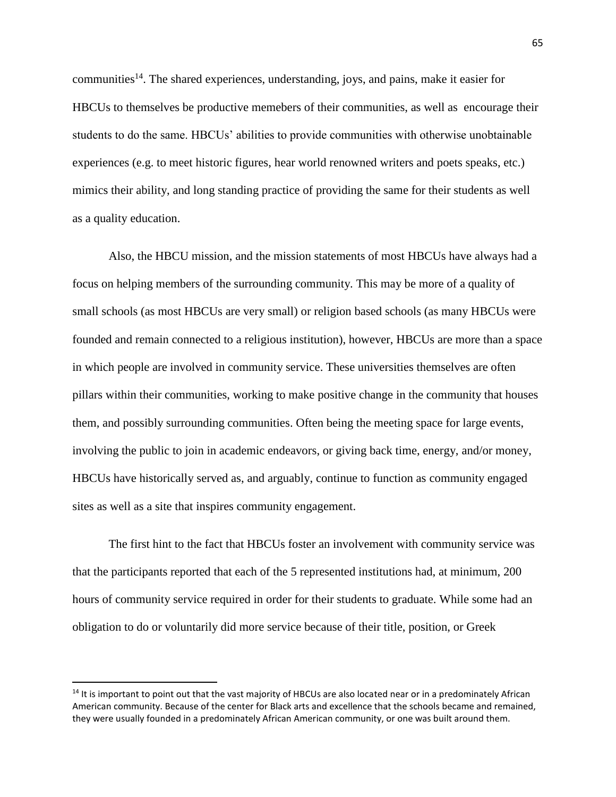communities<sup>14</sup>. The shared experiences, understanding, joys, and pains, make it easier for HBCUs to themselves be productive memebers of their communities, as well as encourage their students to do the same. HBCUs' abilities to provide communities with otherwise unobtainable experiences (e.g. to meet historic figures, hear world renowned writers and poets speaks, etc.) mimics their ability, and long standing practice of providing the same for their students as well as a quality education.

Also, the HBCU mission, and the mission statements of most HBCUs have always had a focus on helping members of the surrounding community. This may be more of a quality of small schools (as most HBCUs are very small) or religion based schools (as many HBCUs were founded and remain connected to a religious institution), however, HBCUs are more than a space in which people are involved in community service. These universities themselves are often pillars within their communities, working to make positive change in the community that houses them, and possibly surrounding communities. Often being the meeting space for large events, involving the public to join in academic endeavors, or giving back time, energy, and/or money, HBCUs have historically served as, and arguably, continue to function as community engaged sites as well as a site that inspires community engagement.

The first hint to the fact that HBCUs foster an involvement with community service was that the participants reported that each of the 5 represented institutions had, at minimum, 200 hours of community service required in order for their students to graduate. While some had an obligation to do or voluntarily did more service because of their title, position, or Greek

 $\overline{\phantom{a}}$ 

<sup>&</sup>lt;sup>14</sup> It is important to point out that the vast majority of HBCUs are also located near or in a predominately African American community. Because of the center for Black arts and excellence that the schools became and remained, they were usually founded in a predominately African American community, or one was built around them.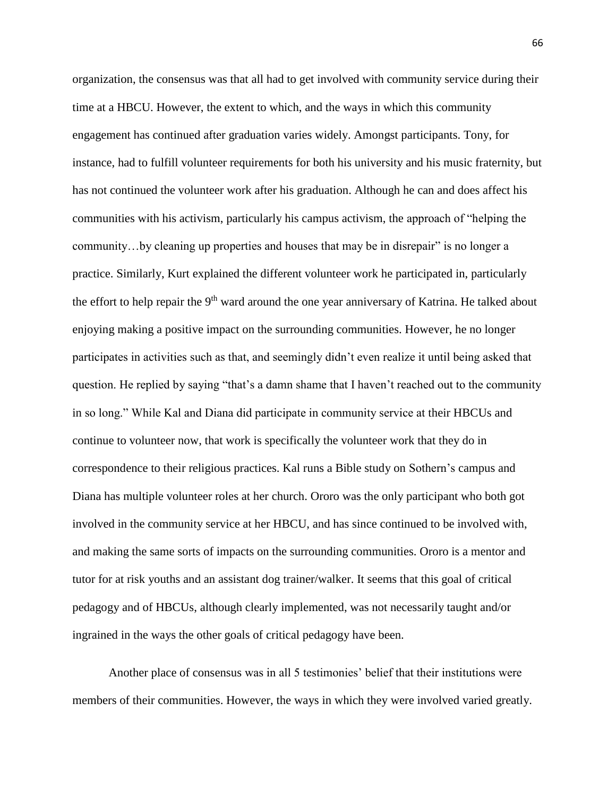organization, the consensus was that all had to get involved with community service during their time at a HBCU. However, the extent to which, and the ways in which this community engagement has continued after graduation varies widely. Amongst participants. Tony, for instance, had to fulfill volunteer requirements for both his university and his music fraternity, but has not continued the volunteer work after his graduation. Although he can and does affect his communities with his activism, particularly his campus activism, the approach of "helping the community…by cleaning up properties and houses that may be in disrepair" is no longer a practice. Similarly, Kurt explained the different volunteer work he participated in, particularly the effort to help repair the 9<sup>th</sup> ward around the one year anniversary of Katrina. He talked about enjoying making a positive impact on the surrounding communities. However, he no longer participates in activities such as that, and seemingly didn't even realize it until being asked that question. He replied by saying "that's a damn shame that I haven't reached out to the community in so long." While Kal and Diana did participate in community service at their HBCUs and continue to volunteer now, that work is specifically the volunteer work that they do in correspondence to their religious practices. Kal runs a Bible study on Sothern's campus and Diana has multiple volunteer roles at her church. Ororo was the only participant who both got involved in the community service at her HBCU, and has since continued to be involved with, and making the same sorts of impacts on the surrounding communities. Ororo is a mentor and tutor for at risk youths and an assistant dog trainer/walker. It seems that this goal of critical pedagogy and of HBCUs, although clearly implemented, was not necessarily taught and/or ingrained in the ways the other goals of critical pedagogy have been.

Another place of consensus was in all 5 testimonies' belief that their institutions were members of their communities. However, the ways in which they were involved varied greatly.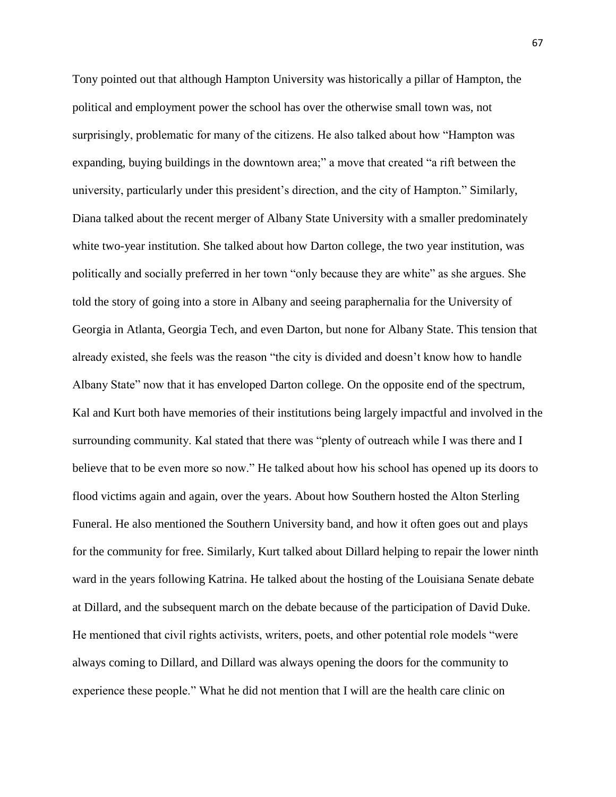Tony pointed out that although Hampton University was historically a pillar of Hampton, the political and employment power the school has over the otherwise small town was, not surprisingly, problematic for many of the citizens. He also talked about how "Hampton was expanding, buying buildings in the downtown area;" a move that created "a rift between the university, particularly under this president's direction, and the city of Hampton." Similarly, Diana talked about the recent merger of Albany State University with a smaller predominately white two-year institution. She talked about how Darton college, the two year institution, was politically and socially preferred in her town "only because they are white" as she argues. She told the story of going into a store in Albany and seeing paraphernalia for the University of Georgia in Atlanta, Georgia Tech, and even Darton, but none for Albany State. This tension that already existed, she feels was the reason "the city is divided and doesn't know how to handle Albany State" now that it has enveloped Darton college. On the opposite end of the spectrum, Kal and Kurt both have memories of their institutions being largely impactful and involved in the surrounding community. Kal stated that there was "plenty of outreach while I was there and I believe that to be even more so now." He talked about how his school has opened up its doors to flood victims again and again, over the years. About how Southern hosted the Alton Sterling Funeral. He also mentioned the Southern University band, and how it often goes out and plays for the community for free. Similarly, Kurt talked about Dillard helping to repair the lower ninth ward in the years following Katrina. He talked about the hosting of the Louisiana Senate debate at Dillard, and the subsequent march on the debate because of the participation of David Duke. He mentioned that civil rights activists, writers, poets, and other potential role models "were always coming to Dillard, and Dillard was always opening the doors for the community to experience these people." What he did not mention that I will are the health care clinic on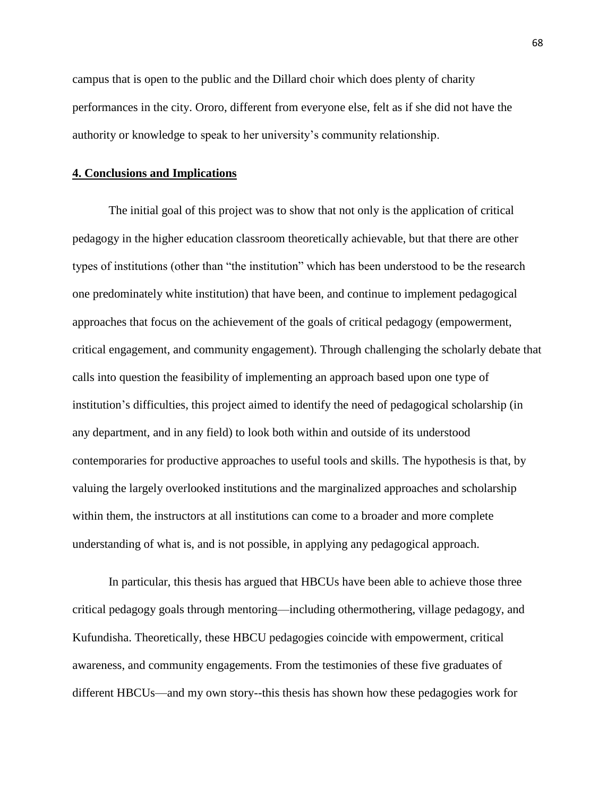campus that is open to the public and the Dillard choir which does plenty of charity performances in the city. Ororo, different from everyone else, felt as if she did not have the authority or knowledge to speak to her university's community relationship.

#### **4. Conclusions and Implications**

The initial goal of this project was to show that not only is the application of critical pedagogy in the higher education classroom theoretically achievable, but that there are other types of institutions (other than "the institution" which has been understood to be the research one predominately white institution) that have been, and continue to implement pedagogical approaches that focus on the achievement of the goals of critical pedagogy (empowerment, critical engagement, and community engagement). Through challenging the scholarly debate that calls into question the feasibility of implementing an approach based upon one type of institution's difficulties, this project aimed to identify the need of pedagogical scholarship (in any department, and in any field) to look both within and outside of its understood contemporaries for productive approaches to useful tools and skills. The hypothesis is that, by valuing the largely overlooked institutions and the marginalized approaches and scholarship within them, the instructors at all institutions can come to a broader and more complete understanding of what is, and is not possible, in applying any pedagogical approach.

In particular, this thesis has argued that HBCUs have been able to achieve those three critical pedagogy goals through mentoring—including othermothering, village pedagogy, and Kufundisha. Theoretically, these HBCU pedagogies coincide with empowerment, critical awareness, and community engagements. From the testimonies of these five graduates of different HBCUs—and my own story--this thesis has shown how these pedagogies work for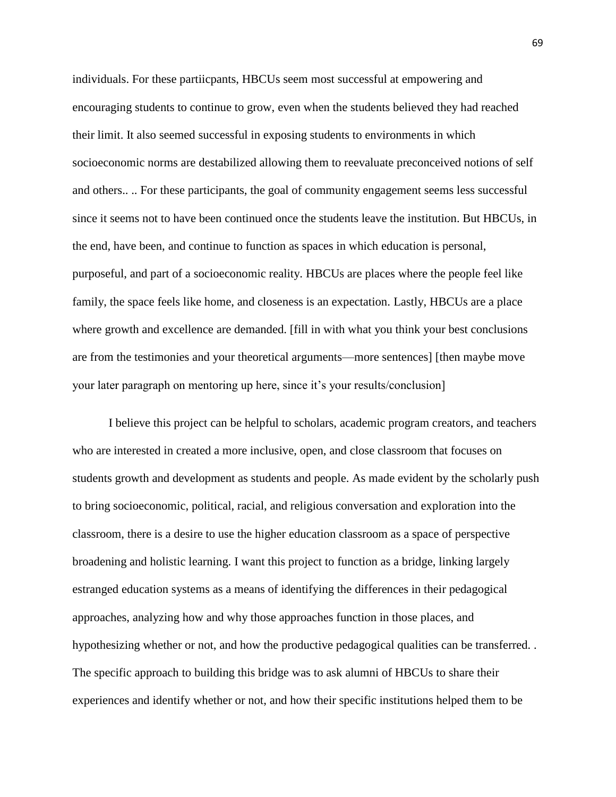individuals. For these partiicpants, HBCUs seem most successful at empowering and encouraging students to continue to grow, even when the students believed they had reached their limit. It also seemed successful in exposing students to environments in which socioeconomic norms are destabilized allowing them to reevaluate preconceived notions of self and others.. .. For these participants, the goal of community engagement seems less successful since it seems not to have been continued once the students leave the institution. But HBCUs, in the end, have been, and continue to function as spaces in which education is personal, purposeful, and part of a socioeconomic reality. HBCUs are places where the people feel like family, the space feels like home, and closeness is an expectation. Lastly, HBCUs are a place where growth and excellence are demanded. [fill in with what you think your best conclusions are from the testimonies and your theoretical arguments—more sentences] [then maybe move your later paragraph on mentoring up here, since it's your results/conclusion]

I believe this project can be helpful to scholars, academic program creators, and teachers who are interested in created a more inclusive, open, and close classroom that focuses on students growth and development as students and people. As made evident by the scholarly push to bring socioeconomic, political, racial, and religious conversation and exploration into the classroom, there is a desire to use the higher education classroom as a space of perspective broadening and holistic learning. I want this project to function as a bridge, linking largely estranged education systems as a means of identifying the differences in their pedagogical approaches, analyzing how and why those approaches function in those places, and hypothesizing whether or not, and how the productive pedagogical qualities can be transferred. . The specific approach to building this bridge was to ask alumni of HBCUs to share their experiences and identify whether or not, and how their specific institutions helped them to be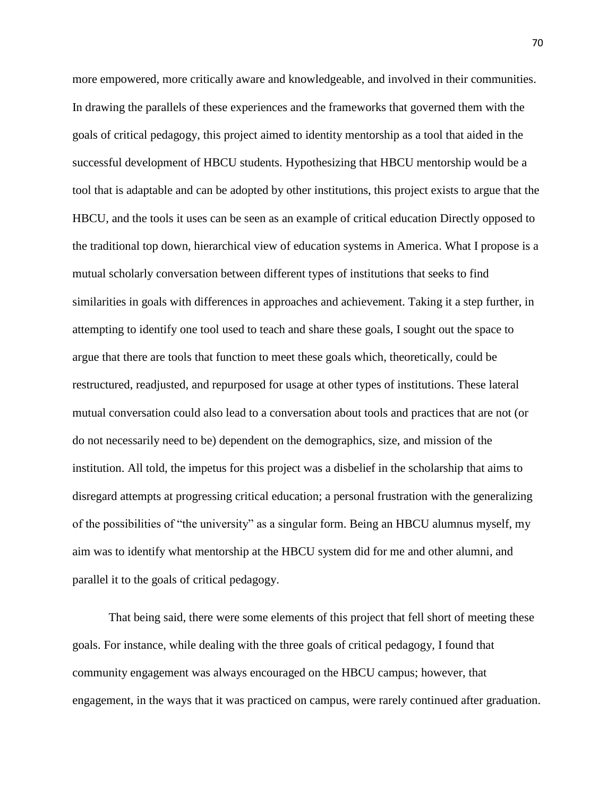more empowered, more critically aware and knowledgeable, and involved in their communities. In drawing the parallels of these experiences and the frameworks that governed them with the goals of critical pedagogy, this project aimed to identity mentorship as a tool that aided in the successful development of HBCU students. Hypothesizing that HBCU mentorship would be a tool that is adaptable and can be adopted by other institutions, this project exists to argue that the HBCU, and the tools it uses can be seen as an example of critical education Directly opposed to the traditional top down, hierarchical view of education systems in America. What I propose is a mutual scholarly conversation between different types of institutions that seeks to find similarities in goals with differences in approaches and achievement. Taking it a step further, in attempting to identify one tool used to teach and share these goals, I sought out the space to argue that there are tools that function to meet these goals which, theoretically, could be restructured, readjusted, and repurposed for usage at other types of institutions. These lateral mutual conversation could also lead to a conversation about tools and practices that are not (or do not necessarily need to be) dependent on the demographics, size, and mission of the institution. All told, the impetus for this project was a disbelief in the scholarship that aims to disregard attempts at progressing critical education; a personal frustration with the generalizing of the possibilities of "the university" as a singular form. Being an HBCU alumnus myself, my aim was to identify what mentorship at the HBCU system did for me and other alumni, and parallel it to the goals of critical pedagogy.

That being said, there were some elements of this project that fell short of meeting these goals. For instance, while dealing with the three goals of critical pedagogy, I found that community engagement was always encouraged on the HBCU campus; however, that engagement, in the ways that it was practiced on campus, were rarely continued after graduation.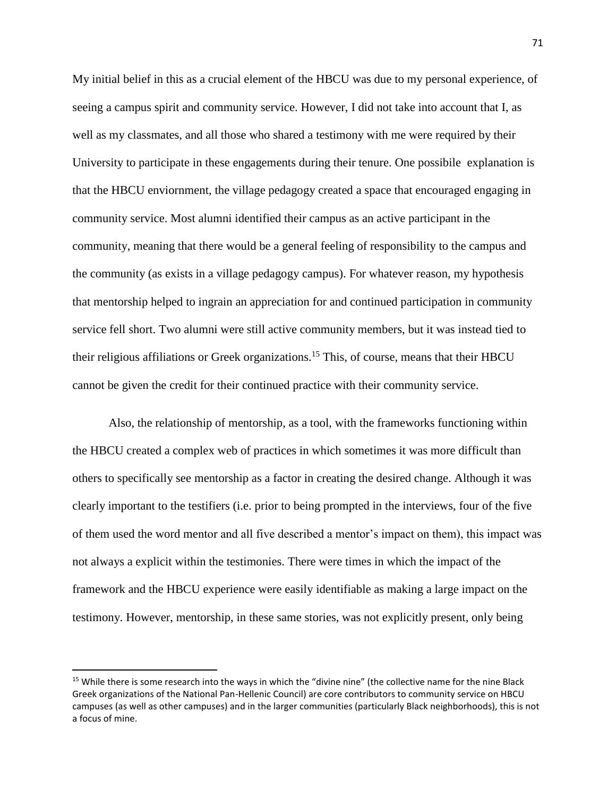My initial belief in this as a crucial element of the HBCU was due to my personal experience, of seeing a campus spirit and community service. However, I did not take into account that I, as well as my classmates, and all those who shared a testimony with me were required by their University to participate in these engagements during their tenure. One possibile explanation is that the HBCU enviornment, the village pedagogy created a space that encouraged engaging in community service. Most alumni identified their campus as an active participant in the community, meaning that there would be a general feeling of responsibility to the campus and the community (as exists in a village pedagogy campus). For whatever reason, my hypothesis that mentorship helped to ingrain an appreciation for and continued participation in community service fell short. Two alumni were still active community members, but it was instead tied to their religious affiliations or Greek organizations.<sup>15</sup> This, of course, means that their HBCU cannot be given the credit for their continued practice with their community service.

Also, the relationship of mentorship, as a tool, with the frameworks functioning within the HBCU created a complex web of practices in which sometimes it was more difficult than others to specifically see mentorship as a factor in creating the desired change. Although it was clearly important to the testifiers (i.e. prior to being prompted in the interviews, four of the five of them used the word mentor and all five described a mentor's impact on them), this impact was not always a explicit within the testimonies. There were times in which the impact of the framework and the HBCU experience were easily identifiable as making a large impact on the testimony. However, mentorship, in these same stories, was not explicitly present, only being

 $\overline{a}$ 

<sup>&</sup>lt;sup>15</sup> While there is some research into the ways in which the "divine nine" (the collective name for the nine Black Greek organizations of the National Pan-Hellenic Council) are core contributors to community service on HBCU campuses (as well as other campuses) and in the larger communities (particularly Black neighborhoods), this is not a focus of mine.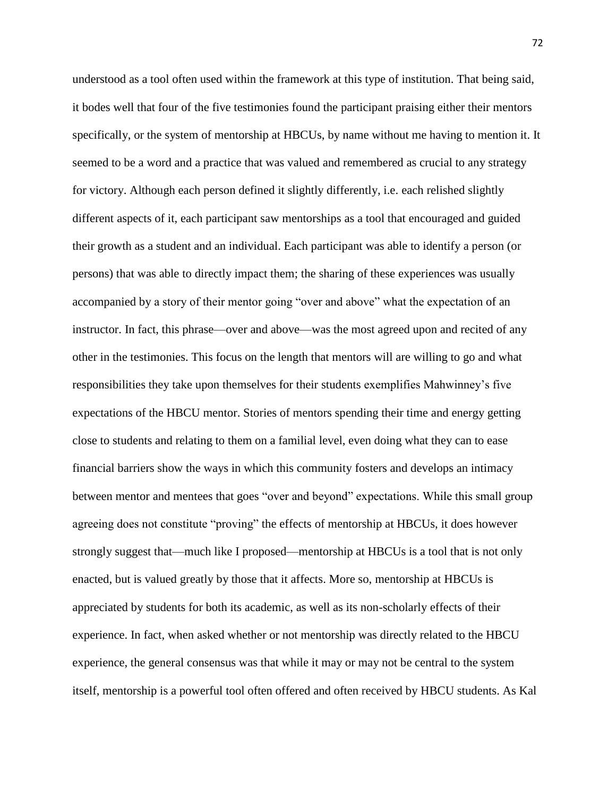understood as a tool often used within the framework at this type of institution. That being said, it bodes well that four of the five testimonies found the participant praising either their mentors specifically, or the system of mentorship at HBCUs, by name without me having to mention it. It seemed to be a word and a practice that was valued and remembered as crucial to any strategy for victory. Although each person defined it slightly differently, i.e. each relished slightly different aspects of it, each participant saw mentorships as a tool that encouraged and guided their growth as a student and an individual. Each participant was able to identify a person (or persons) that was able to directly impact them; the sharing of these experiences was usually accompanied by a story of their mentor going "over and above" what the expectation of an instructor. In fact, this phrase—over and above—was the most agreed upon and recited of any other in the testimonies. This focus on the length that mentors will are willing to go and what responsibilities they take upon themselves for their students exemplifies Mahwinney's five expectations of the HBCU mentor. Stories of mentors spending their time and energy getting close to students and relating to them on a familial level, even doing what they can to ease financial barriers show the ways in which this community fosters and develops an intimacy between mentor and mentees that goes "over and beyond" expectations. While this small group agreeing does not constitute "proving" the effects of mentorship at HBCUs, it does however strongly suggest that—much like I proposed—mentorship at HBCUs is a tool that is not only enacted, but is valued greatly by those that it affects. More so, mentorship at HBCUs is appreciated by students for both its academic, as well as its non-scholarly effects of their experience. In fact, when asked whether or not mentorship was directly related to the HBCU experience, the general consensus was that while it may or may not be central to the system itself, mentorship is a powerful tool often offered and often received by HBCU students. As Kal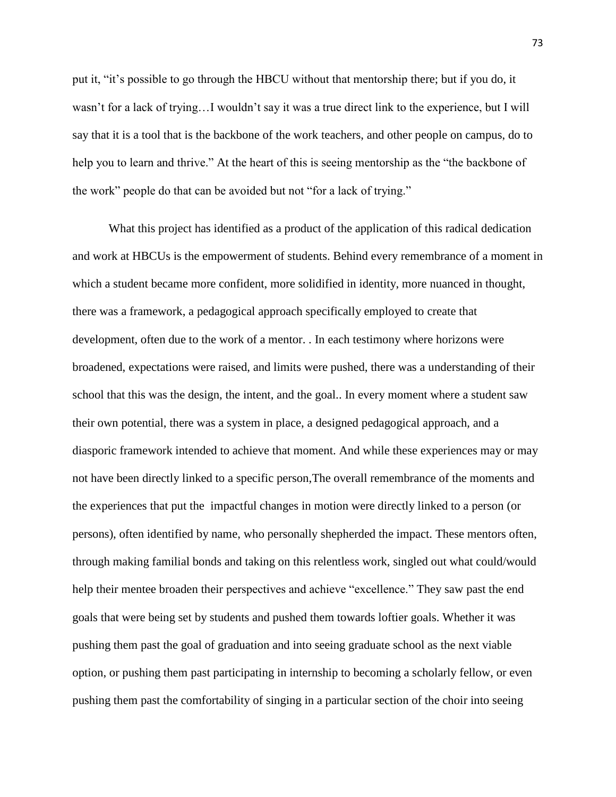put it, "it's possible to go through the HBCU without that mentorship there; but if you do, it wasn't for a lack of trying…I wouldn't say it was a true direct link to the experience, but I will say that it is a tool that is the backbone of the work teachers, and other people on campus, do to help you to learn and thrive." At the heart of this is seeing mentorship as the "the backbone of the work" people do that can be avoided but not "for a lack of trying."

What this project has identified as a product of the application of this radical dedication and work at HBCUs is the empowerment of students. Behind every remembrance of a moment in which a student became more confident, more solidified in identity, more nuanced in thought, there was a framework, a pedagogical approach specifically employed to create that development, often due to the work of a mentor. . In each testimony where horizons were broadened, expectations were raised, and limits were pushed, there was a understanding of their school that this was the design, the intent, and the goal.. In every moment where a student saw their own potential, there was a system in place, a designed pedagogical approach, and a diasporic framework intended to achieve that moment. And while these experiences may or may not have been directly linked to a specific person,The overall remembrance of the moments and the experiences that put the impactful changes in motion were directly linked to a person (or persons), often identified by name, who personally shepherded the impact. These mentors often, through making familial bonds and taking on this relentless work, singled out what could/would help their mentee broaden their perspectives and achieve "excellence." They saw past the end goals that were being set by students and pushed them towards loftier goals. Whether it was pushing them past the goal of graduation and into seeing graduate school as the next viable option, or pushing them past participating in internship to becoming a scholarly fellow, or even pushing them past the comfortability of singing in a particular section of the choir into seeing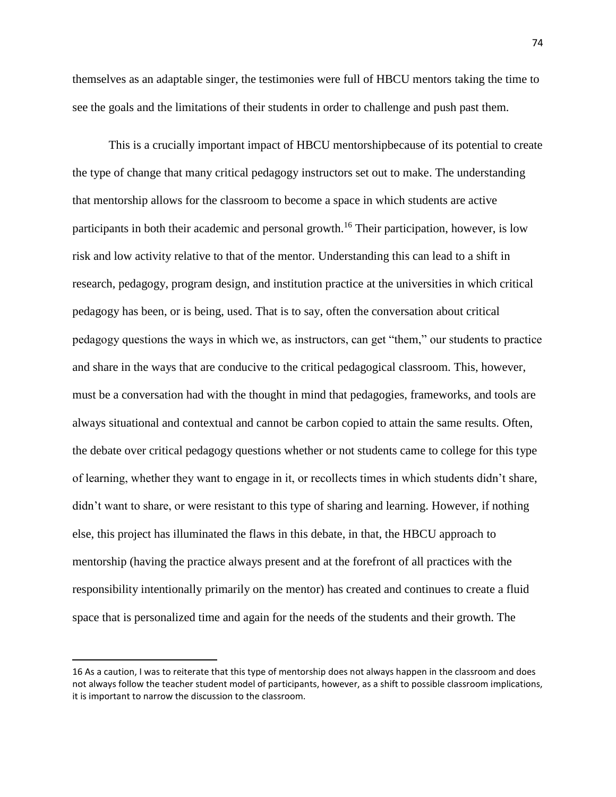themselves as an adaptable singer, the testimonies were full of HBCU mentors taking the time to see the goals and the limitations of their students in order to challenge and push past them.

This is a crucially important impact of HBCU mentorshipbecause of its potential to create the type of change that many critical pedagogy instructors set out to make. The understanding that mentorship allows for the classroom to become a space in which students are active participants in both their academic and personal growth.<sup>16</sup> Their participation, however, is low risk and low activity relative to that of the mentor. Understanding this can lead to a shift in research, pedagogy, program design, and institution practice at the universities in which critical pedagogy has been, or is being, used. That is to say, often the conversation about critical pedagogy questions the ways in which we, as instructors, can get "them," our students to practice and share in the ways that are conducive to the critical pedagogical classroom. This, however, must be a conversation had with the thought in mind that pedagogies, frameworks, and tools are always situational and contextual and cannot be carbon copied to attain the same results. Often, the debate over critical pedagogy questions whether or not students came to college for this type of learning, whether they want to engage in it, or recollects times in which students didn't share, didn't want to share, or were resistant to this type of sharing and learning. However, if nothing else, this project has illuminated the flaws in this debate, in that, the HBCU approach to mentorship (having the practice always present and at the forefront of all practices with the responsibility intentionally primarily on the mentor) has created and continues to create a fluid space that is personalized time and again for the needs of the students and their growth. The

 $\overline{\phantom{a}}$ 

<sup>16</sup> As a caution, I was to reiterate that this type of mentorship does not always happen in the classroom and does not always follow the teacher student model of participants, however, as a shift to possible classroom implications, it is important to narrow the discussion to the classroom.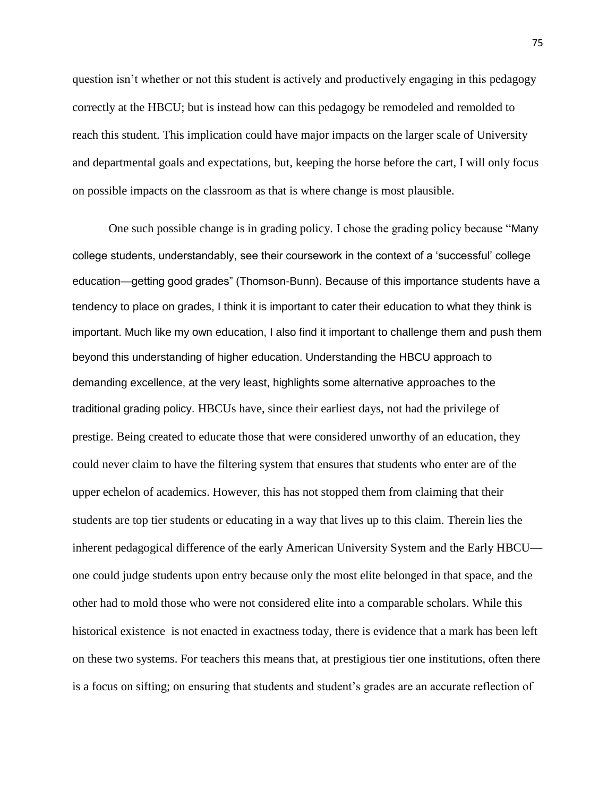question isn't whether or not this student is actively and productively engaging in this pedagogy correctly at the HBCU; but is instead how can this pedagogy be remodeled and remolded to reach this student. This implication could have major impacts on the larger scale of University and departmental goals and expectations, but, keeping the horse before the cart, I will only focus on possible impacts on the classroom as that is where change is most plausible.

One such possible change is in grading policy. I chose the grading policy because "Many college students, understandably, see their coursework in the context of a 'successful' college education—getting good grades" (Thomson-Bunn). Because of this importance students have a tendency to place on grades, I think it is important to cater their education to what they think is important. Much like my own education, I also find it important to challenge them and push them beyond this understanding of higher education. Understanding the HBCU approach to demanding excellence, at the very least, highlights some alternative approaches to the traditional grading policy. HBCUs have, since their earliest days, not had the privilege of prestige. Being created to educate those that were considered unworthy of an education, they could never claim to have the filtering system that ensures that students who enter are of the upper echelon of academics. However, this has not stopped them from claiming that their students are top tier students or educating in a way that lives up to this claim. Therein lies the inherent pedagogical difference of the early American University System and the Early HBCU one could judge students upon entry because only the most elite belonged in that space, and the other had to mold those who were not considered elite into a comparable scholars. While this historical existence is not enacted in exactness today, there is evidence that a mark has been left on these two systems. For teachers this means that, at prestigious tier one institutions, often there is a focus on sifting; on ensuring that students and student's grades are an accurate reflection of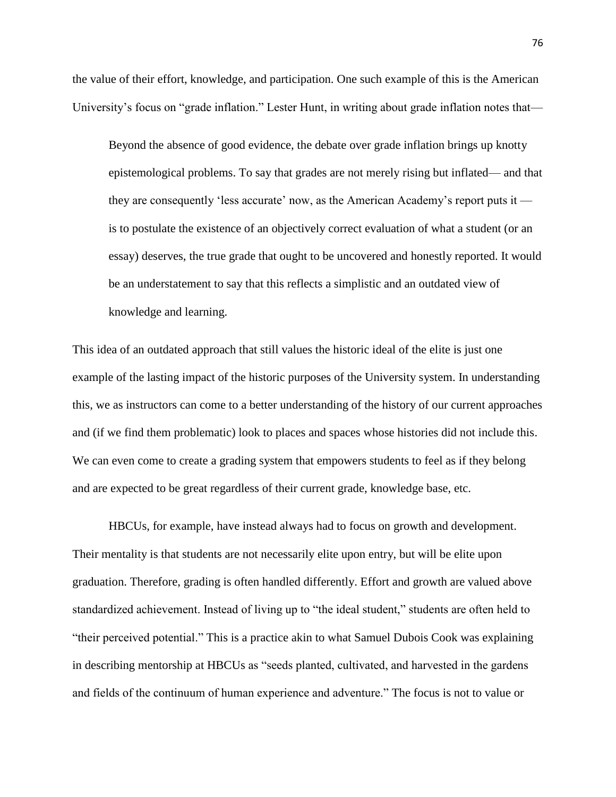the value of their effort, knowledge, and participation. One such example of this is the American University's focus on "grade inflation." Lester Hunt, in writing about grade inflation notes that—

Beyond the absence of good evidence, the debate over grade inflation brings up knotty epistemological problems. To say that grades are not merely rising but inflated— and that they are consequently 'less accurate' now, as the American Academy's report puts it is to postulate the existence of an objectively correct evaluation of what a student (or an essay) deserves, the true grade that ought to be uncovered and honestly reported. It would be an understatement to say that this reflects a simplistic and an outdated view of knowledge and learning.

This idea of an outdated approach that still values the historic ideal of the elite is just one example of the lasting impact of the historic purposes of the University system. In understanding this, we as instructors can come to a better understanding of the history of our current approaches and (if we find them problematic) look to places and spaces whose histories did not include this. We can even come to create a grading system that empowers students to feel as if they belong and are expected to be great regardless of their current grade, knowledge base, etc.

HBCUs, for example, have instead always had to focus on growth and development. Their mentality is that students are not necessarily elite upon entry, but will be elite upon graduation. Therefore, grading is often handled differently. Effort and growth are valued above standardized achievement. Instead of living up to "the ideal student," students are often held to "their perceived potential." This is a practice akin to what Samuel Dubois Cook was explaining in describing mentorship at HBCUs as "seeds planted, cultivated, and harvested in the gardens and fields of the continuum of human experience and adventure." The focus is not to value or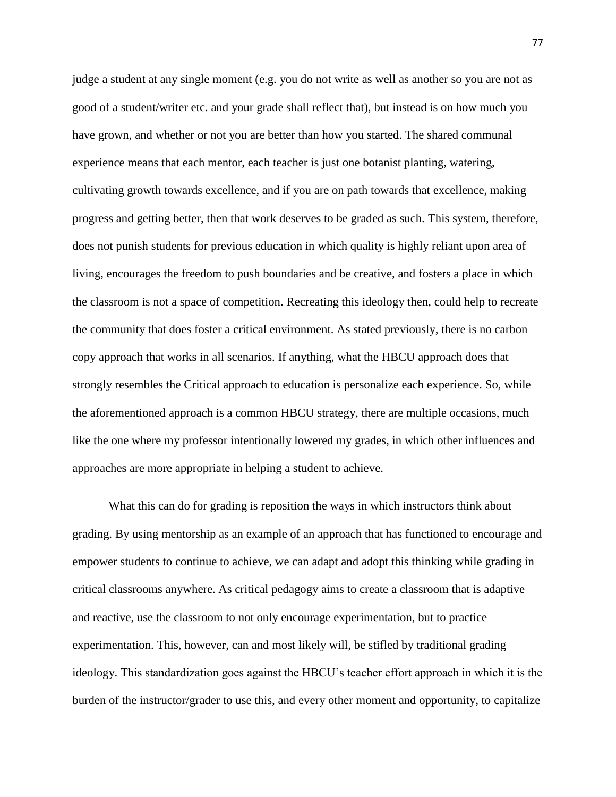judge a student at any single moment (e.g. you do not write as well as another so you are not as good of a student/writer etc. and your grade shall reflect that), but instead is on how much you have grown, and whether or not you are better than how you started. The shared communal experience means that each mentor, each teacher is just one botanist planting, watering, cultivating growth towards excellence, and if you are on path towards that excellence, making progress and getting better, then that work deserves to be graded as such. This system, therefore, does not punish students for previous education in which quality is highly reliant upon area of living, encourages the freedom to push boundaries and be creative, and fosters a place in which the classroom is not a space of competition. Recreating this ideology then, could help to recreate the community that does foster a critical environment. As stated previously, there is no carbon copy approach that works in all scenarios. If anything, what the HBCU approach does that strongly resembles the Critical approach to education is personalize each experience. So, while the aforementioned approach is a common HBCU strategy, there are multiple occasions, much like the one where my professor intentionally lowered my grades, in which other influences and approaches are more appropriate in helping a student to achieve.

What this can do for grading is reposition the ways in which instructors think about grading. By using mentorship as an example of an approach that has functioned to encourage and empower students to continue to achieve, we can adapt and adopt this thinking while grading in critical classrooms anywhere. As critical pedagogy aims to create a classroom that is adaptive and reactive, use the classroom to not only encourage experimentation, but to practice experimentation. This, however, can and most likely will, be stifled by traditional grading ideology. This standardization goes against the HBCU's teacher effort approach in which it is the burden of the instructor/grader to use this, and every other moment and opportunity, to capitalize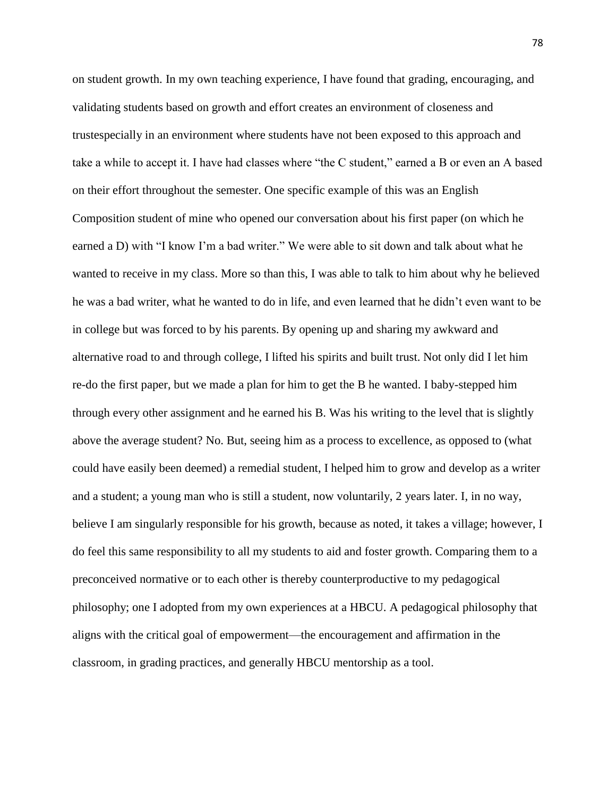on student growth. In my own teaching experience, I have found that grading, encouraging, and validating students based on growth and effort creates an environment of closeness and trustespecially in an environment where students have not been exposed to this approach and take a while to accept it. I have had classes where "the C student," earned a B or even an A based on their effort throughout the semester. One specific example of this was an English Composition student of mine who opened our conversation about his first paper (on which he earned a D) with "I know I'm a bad writer." We were able to sit down and talk about what he wanted to receive in my class. More so than this, I was able to talk to him about why he believed he was a bad writer, what he wanted to do in life, and even learned that he didn't even want to be in college but was forced to by his parents. By opening up and sharing my awkward and alternative road to and through college, I lifted his spirits and built trust. Not only did I let him re-do the first paper, but we made a plan for him to get the B he wanted. I baby-stepped him through every other assignment and he earned his B. Was his writing to the level that is slightly above the average student? No. But, seeing him as a process to excellence, as opposed to (what could have easily been deemed) a remedial student, I helped him to grow and develop as a writer and a student; a young man who is still a student, now voluntarily, 2 years later. I, in no way, believe I am singularly responsible for his growth, because as noted, it takes a village; however, I do feel this same responsibility to all my students to aid and foster growth. Comparing them to a preconceived normative or to each other is thereby counterproductive to my pedagogical philosophy; one I adopted from my own experiences at a HBCU. A pedagogical philosophy that aligns with the critical goal of empowerment—the encouragement and affirmation in the classroom, in grading practices, and generally HBCU mentorship as a tool.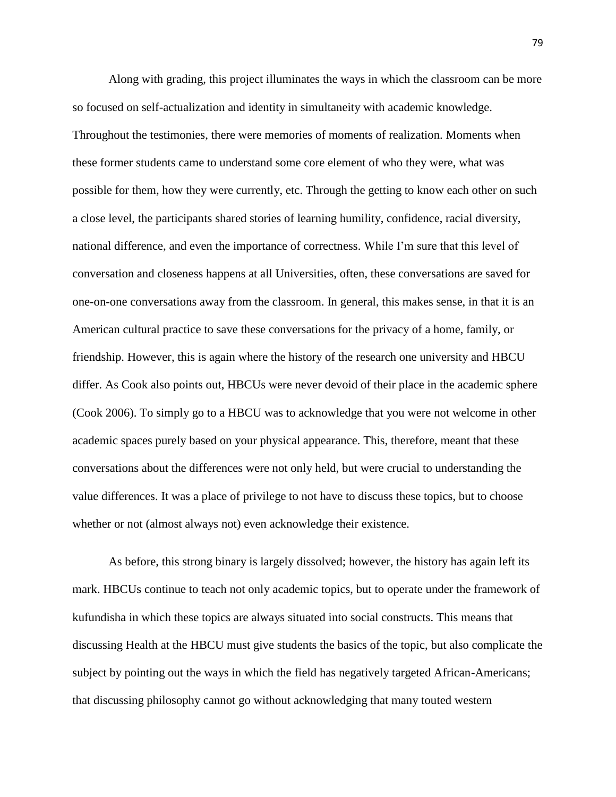Along with grading, this project illuminates the ways in which the classroom can be more so focused on self-actualization and identity in simultaneity with academic knowledge. Throughout the testimonies, there were memories of moments of realization. Moments when these former students came to understand some core element of who they were, what was possible for them, how they were currently, etc. Through the getting to know each other on such a close level, the participants shared stories of learning humility, confidence, racial diversity, national difference, and even the importance of correctness. While I'm sure that this level of conversation and closeness happens at all Universities, often, these conversations are saved for one-on-one conversations away from the classroom. In general, this makes sense, in that it is an American cultural practice to save these conversations for the privacy of a home, family, or friendship. However, this is again where the history of the research one university and HBCU differ. As Cook also points out, HBCUs were never devoid of their place in the academic sphere (Cook 2006). To simply go to a HBCU was to acknowledge that you were not welcome in other academic spaces purely based on your physical appearance. This, therefore, meant that these conversations about the differences were not only held, but were crucial to understanding the value differences. It was a place of privilege to not have to discuss these topics, but to choose whether or not (almost always not) even acknowledge their existence.

As before, this strong binary is largely dissolved; however, the history has again left its mark. HBCUs continue to teach not only academic topics, but to operate under the framework of kufundisha in which these topics are always situated into social constructs. This means that discussing Health at the HBCU must give students the basics of the topic, but also complicate the subject by pointing out the ways in which the field has negatively targeted African-Americans; that discussing philosophy cannot go without acknowledging that many touted western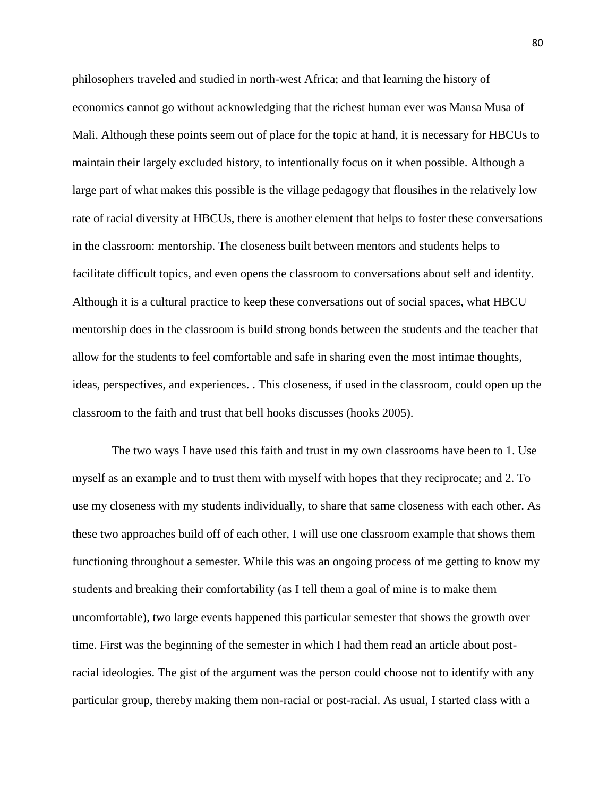philosophers traveled and studied in north-west Africa; and that learning the history of economics cannot go without acknowledging that the richest human ever was Mansa Musa of Mali. Although these points seem out of place for the topic at hand, it is necessary for HBCUs to maintain their largely excluded history, to intentionally focus on it when possible. Although a large part of what makes this possible is the village pedagogy that flousihes in the relatively low rate of racial diversity at HBCUs, there is another element that helps to foster these conversations in the classroom: mentorship. The closeness built between mentors and students helps to facilitate difficult topics, and even opens the classroom to conversations about self and identity. Although it is a cultural practice to keep these conversations out of social spaces, what HBCU mentorship does in the classroom is build strong bonds between the students and the teacher that allow for the students to feel comfortable and safe in sharing even the most intimae thoughts, ideas, perspectives, and experiences. . This closeness, if used in the classroom, could open up the classroom to the faith and trust that bell hooks discusses (hooks 2005).

The two ways I have used this faith and trust in my own classrooms have been to 1. Use myself as an example and to trust them with myself with hopes that they reciprocate; and 2. To use my closeness with my students individually, to share that same closeness with each other. As these two approaches build off of each other, I will use one classroom example that shows them functioning throughout a semester. While this was an ongoing process of me getting to know my students and breaking their comfortability (as I tell them a goal of mine is to make them uncomfortable), two large events happened this particular semester that shows the growth over time. First was the beginning of the semester in which I had them read an article about postracial ideologies. The gist of the argument was the person could choose not to identify with any particular group, thereby making them non-racial or post-racial. As usual, I started class with a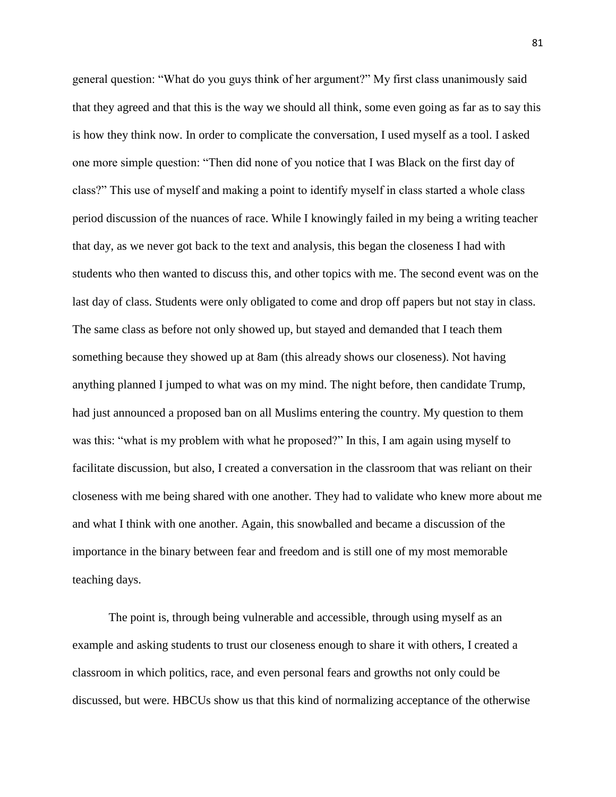general question: "What do you guys think of her argument?" My first class unanimously said that they agreed and that this is the way we should all think, some even going as far as to say this is how they think now. In order to complicate the conversation, I used myself as a tool. I asked one more simple question: "Then did none of you notice that I was Black on the first day of class?" This use of myself and making a point to identify myself in class started a whole class period discussion of the nuances of race. While I knowingly failed in my being a writing teacher that day, as we never got back to the text and analysis, this began the closeness I had with students who then wanted to discuss this, and other topics with me. The second event was on the last day of class. Students were only obligated to come and drop off papers but not stay in class. The same class as before not only showed up, but stayed and demanded that I teach them something because they showed up at 8am (this already shows our closeness). Not having anything planned I jumped to what was on my mind. The night before, then candidate Trump, had just announced a proposed ban on all Muslims entering the country. My question to them was this: "what is my problem with what he proposed?" In this, I am again using myself to facilitate discussion, but also, I created a conversation in the classroom that was reliant on their closeness with me being shared with one another. They had to validate who knew more about me and what I think with one another. Again, this snowballed and became a discussion of the importance in the binary between fear and freedom and is still one of my most memorable teaching days.

The point is, through being vulnerable and accessible, through using myself as an example and asking students to trust our closeness enough to share it with others, I created a classroom in which politics, race, and even personal fears and growths not only could be discussed, but were. HBCUs show us that this kind of normalizing acceptance of the otherwise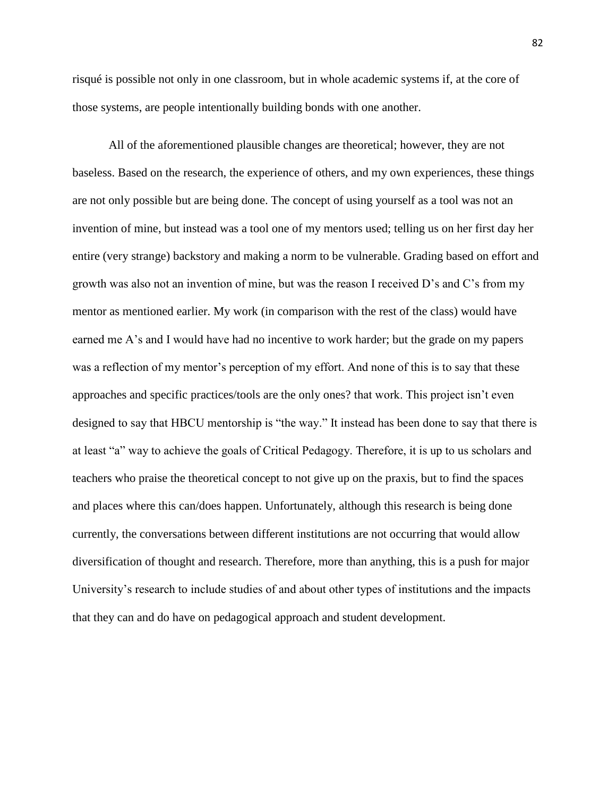risqué is possible not only in one classroom, but in whole academic systems if, at the core of those systems, are people intentionally building bonds with one another.

All of the aforementioned plausible changes are theoretical; however, they are not baseless. Based on the research, the experience of others, and my own experiences, these things are not only possible but are being done. The concept of using yourself as a tool was not an invention of mine, but instead was a tool one of my mentors used; telling us on her first day her entire (very strange) backstory and making a norm to be vulnerable. Grading based on effort and growth was also not an invention of mine, but was the reason I received D's and C's from my mentor as mentioned earlier. My work (in comparison with the rest of the class) would have earned me A's and I would have had no incentive to work harder; but the grade on my papers was a reflection of my mentor's perception of my effort. And none of this is to say that these approaches and specific practices/tools are the only ones? that work. This project isn't even designed to say that HBCU mentorship is "the way." It instead has been done to say that there is at least "a" way to achieve the goals of Critical Pedagogy. Therefore, it is up to us scholars and teachers who praise the theoretical concept to not give up on the praxis, but to find the spaces and places where this can/does happen. Unfortunately, although this research is being done currently, the conversations between different institutions are not occurring that would allow diversification of thought and research. Therefore, more than anything, this is a push for major University's research to include studies of and about other types of institutions and the impacts that they can and do have on pedagogical approach and student development.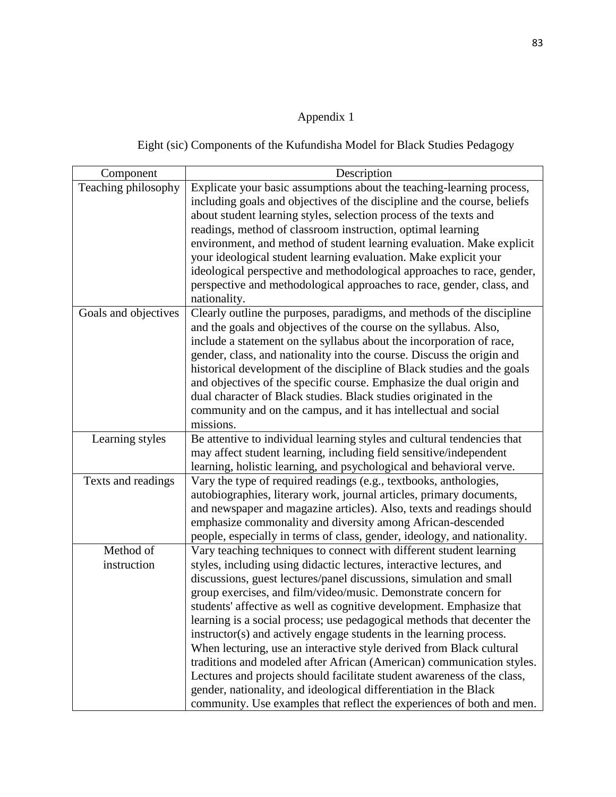## Appendix 1

Eight (sic) Components of the Kufundisha Model for Black Studies Pedagogy

| Component                | Description                                                                                                                                                                                                                                                                                                                                                                                                                                                                                                                                                                                                                                                                                                                                                                                                                                                                              |
|--------------------------|------------------------------------------------------------------------------------------------------------------------------------------------------------------------------------------------------------------------------------------------------------------------------------------------------------------------------------------------------------------------------------------------------------------------------------------------------------------------------------------------------------------------------------------------------------------------------------------------------------------------------------------------------------------------------------------------------------------------------------------------------------------------------------------------------------------------------------------------------------------------------------------|
| Teaching philosophy      | Explicate your basic assumptions about the teaching-learning process,<br>including goals and objectives of the discipline and the course, beliefs<br>about student learning styles, selection process of the texts and<br>readings, method of classroom instruction, optimal learning                                                                                                                                                                                                                                                                                                                                                                                                                                                                                                                                                                                                    |
|                          | environment, and method of student learning evaluation. Make explicit<br>your ideological student learning evaluation. Make explicit your<br>ideological perspective and methodological approaches to race, gender,<br>perspective and methodological approaches to race, gender, class, and<br>nationality.                                                                                                                                                                                                                                                                                                                                                                                                                                                                                                                                                                             |
| Goals and objectives     | Clearly outline the purposes, paradigms, and methods of the discipline<br>and the goals and objectives of the course on the syllabus. Also,<br>include a statement on the syllabus about the incorporation of race,<br>gender, class, and nationality into the course. Discuss the origin and<br>historical development of the discipline of Black studies and the goals                                                                                                                                                                                                                                                                                                                                                                                                                                                                                                                 |
|                          | and objectives of the specific course. Emphasize the dual origin and<br>dual character of Black studies. Black studies originated in the<br>community and on the campus, and it has intellectual and social<br>missions.                                                                                                                                                                                                                                                                                                                                                                                                                                                                                                                                                                                                                                                                 |
| Learning styles          | Be attentive to individual learning styles and cultural tendencies that<br>may affect student learning, including field sensitive/independent<br>learning, holistic learning, and psychological and behavioral verve.                                                                                                                                                                                                                                                                                                                                                                                                                                                                                                                                                                                                                                                                    |
| Texts and readings       | Vary the type of required readings (e.g., textbooks, anthologies,<br>autobiographies, literary work, journal articles, primary documents,<br>and newspaper and magazine articles). Also, texts and readings should<br>emphasize commonality and diversity among African-descended<br>people, especially in terms of class, gender, ideology, and nationality.                                                                                                                                                                                                                                                                                                                                                                                                                                                                                                                            |
| Method of<br>instruction | Vary teaching techniques to connect with different student learning<br>styles, including using didactic lectures, interactive lectures, and<br>discussions, guest lectures/panel discussions, simulation and small<br>group exercises, and film/video/music. Demonstrate concern for<br>students' affective as well as cognitive development. Emphasize that<br>learning is a social process; use pedagogical methods that decenter the<br>instructor(s) and actively engage students in the learning process.<br>When lecturing, use an interactive style derived from Black cultural<br>traditions and modeled after African (American) communication styles.<br>Lectures and projects should facilitate student awareness of the class,<br>gender, nationality, and ideological differentiation in the Black<br>community. Use examples that reflect the experiences of both and men. |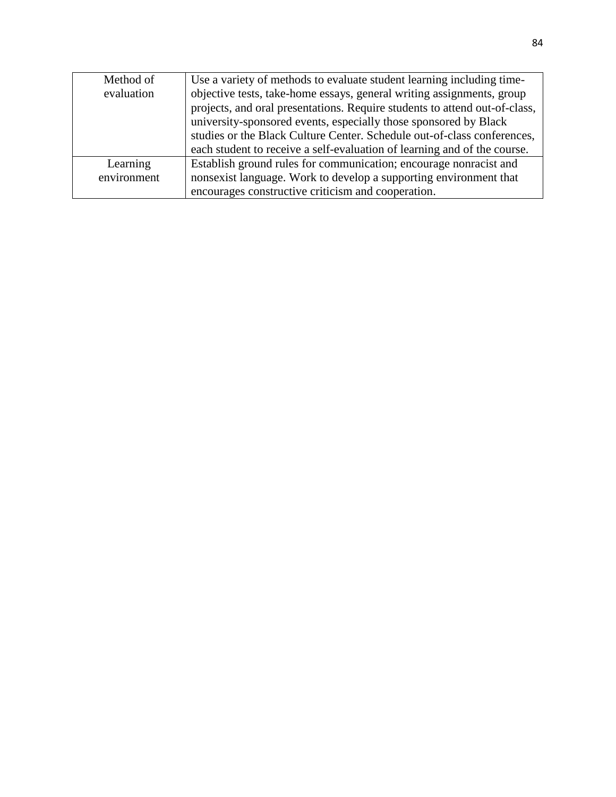| Method of   | Use a variety of methods to evaluate student learning including time-      |
|-------------|----------------------------------------------------------------------------|
| evaluation  | objective tests, take-home essays, general writing assignments, group      |
|             | projects, and oral presentations. Require students to attend out-of-class, |
|             | university-sponsored events, especially those sponsored by Black           |
|             | studies or the Black Culture Center. Schedule out-of-class conferences,    |
|             | each student to receive a self-evaluation of learning and of the course.   |
| Learning    | Establish ground rules for communication; encourage nonracist and          |
| environment | nonsexist language. Work to develop a supporting environment that          |
|             | encourages constructive criticism and cooperation.                         |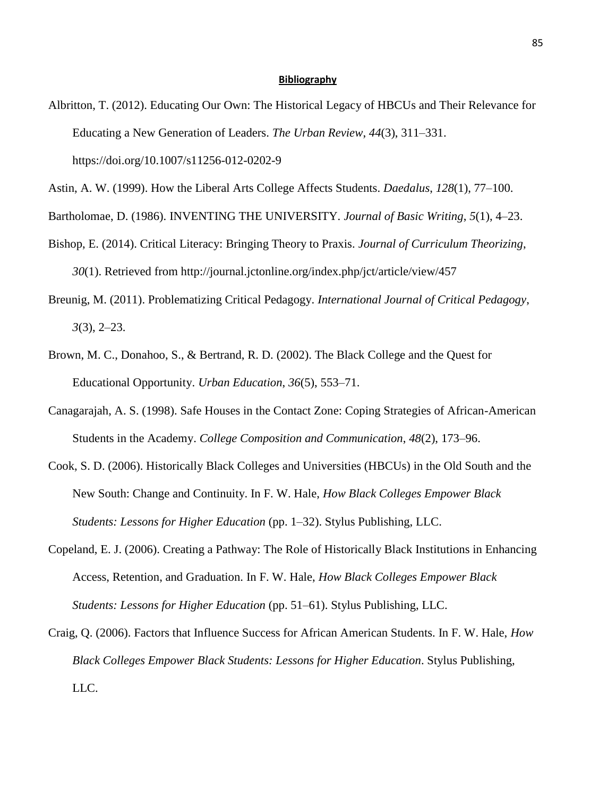## **Bibliography**

Albritton, T. (2012). Educating Our Own: The Historical Legacy of HBCUs and Their Relevance for Educating a New Generation of Leaders. *The Urban Review*, *44*(3), 311–331. https://doi.org/10.1007/s11256-012-0202-9

Bartholomae, D. (1986). INVENTING THE UNIVERSITY. *Journal of Basic Writing*, *5*(1), 4–23.

- Bishop, E. (2014). Critical Literacy: Bringing Theory to Praxis. *Journal of Curriculum Theorizing*, *30*(1). Retrieved from http://journal.jctonline.org/index.php/jct/article/view/457
- Breunig, M. (2011). Problematizing Critical Pedagogy. *International Journal of Critical Pedagogy*, *3*(3), 2–23.
- Brown, M. C., Donahoo, S., & Bertrand, R. D. (2002). The Black College and the Quest for Educational Opportunity. *Urban Education*, *36*(5), 553–71.
- Canagarajah, A. S. (1998). Safe Houses in the Contact Zone: Coping Strategies of African-American Students in the Academy. *College Composition and Communication*, *48*(2), 173–96.
- Cook, S. D. (2006). Historically Black Colleges and Universities (HBCUs) in the Old South and the New South: Change and Continuity. In F. W. Hale, *How Black Colleges Empower Black Students: Lessons for Higher Education* (pp. 1–32). Stylus Publishing, LLC.
- Copeland, E. J. (2006). Creating a Pathway: The Role of Historically Black Institutions in Enhancing Access, Retention, and Graduation. In F. W. Hale, *How Black Colleges Empower Black Students: Lessons for Higher Education* (pp. 51–61). Stylus Publishing, LLC.
- Craig, Q. (2006). Factors that Influence Success for African American Students. In F. W. Hale, *How Black Colleges Empower Black Students: Lessons for Higher Education*. Stylus Publishing, LLC.

Astin, A. W. (1999). How the Liberal Arts College Affects Students. *Daedalus*, *128*(1), 77–100.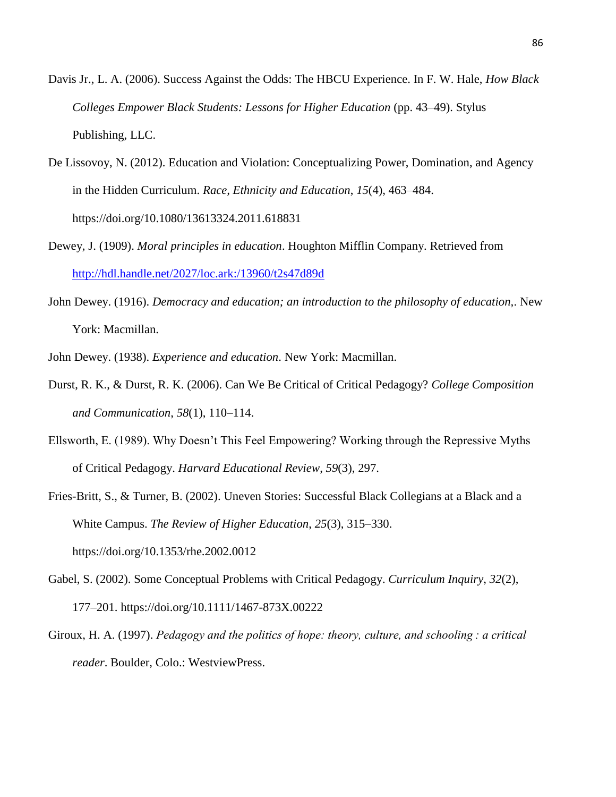- Davis Jr., L. A. (2006). Success Against the Odds: The HBCU Experience. In F. W. Hale, *How Black Colleges Empower Black Students: Lessons for Higher Education* (pp. 43–49). Stylus Publishing, LLC.
- De Lissovoy, N. (2012). Education and Violation: Conceptualizing Power, Domination, and Agency in the Hidden Curriculum. *Race, Ethnicity and Education*, *15*(4), 463–484. https://doi.org/10.1080/13613324.2011.618831
- Dewey, J. (1909). *Moral principles in education*. Houghton Mifflin Company. Retrieved from <http://hdl.handle.net/2027/loc.ark:/13960/t2s47d89d>
- John Dewey. (1916). *Democracy and education; an introduction to the philosophy of education,*. New York: Macmillan.

John Dewey. (1938). *Experience and education*. New York: Macmillan.

- Durst, R. K., & Durst, R. K. (2006). Can We Be Critical of Critical Pedagogy? *College Composition and Communication*, *58*(1), 110–114.
- Ellsworth, E. (1989). Why Doesn't This Feel Empowering? Working through the Repressive Myths of Critical Pedagogy. *Harvard Educational Review*, *59*(3), 297.

Fries-Britt, S., & Turner, B. (2002). Uneven Stories: Successful Black Collegians at a Black and a White Campus. *The Review of Higher Education*, *25*(3), 315–330. https://doi.org/10.1353/rhe.2002.0012

- Gabel, S. (2002). Some Conceptual Problems with Critical Pedagogy. *Curriculum Inquiry*, *32*(2), 177–201. https://doi.org/10.1111/1467-873X.00222
- Giroux, H. A. (1997). *Pedagogy and the politics of hope: theory, culture, and schooling : a critical reader*. Boulder, Colo.: WestviewPress.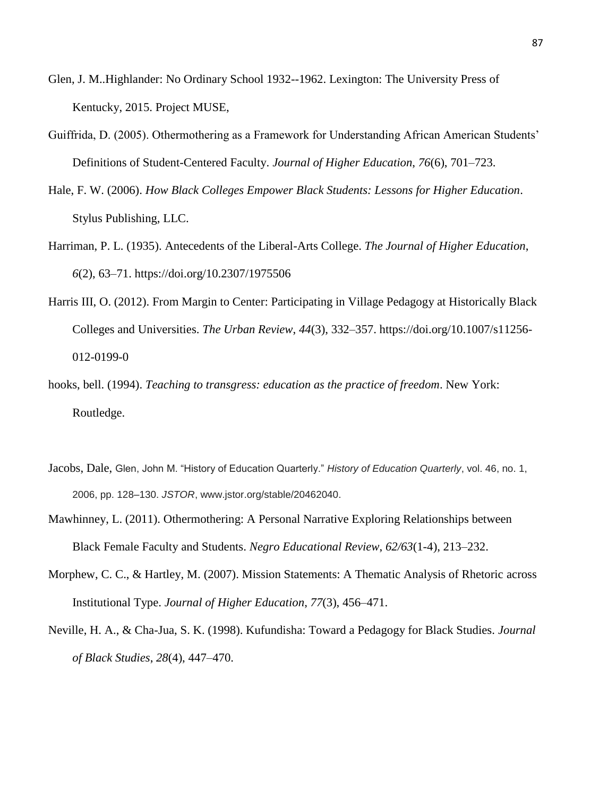- Glen, J. M..Highlander: No Ordinary School 1932--1962. Lexington: The University Press of Kentucky, 2015. Project MUSE,
- Guiffrida, D. (2005). Othermothering as a Framework for Understanding African American Students' Definitions of Student-Centered Faculty. *Journal of Higher Education*, *76*(6), 701–723.
- Hale, F. W. (2006). *How Black Colleges Empower Black Students: Lessons for Higher Education*. Stylus Publishing, LLC.
- Harriman, P. L. (1935). Antecedents of the Liberal-Arts College. *The Journal of Higher Education*, *6*(2), 63–71. https://doi.org/10.2307/1975506
- Harris III, O. (2012). From Margin to Center: Participating in Village Pedagogy at Historically Black Colleges and Universities. *The Urban Review*, *44*(3), 332–357. https://doi.org/10.1007/s11256- 012-0199-0
- hooks, bell. (1994). *Teaching to transgress: education as the practice of freedom*. New York: Routledge.
- Jacobs, Dale, Glen, John M. "History of Education Quarterly." *History of Education Quarterly*, vol. 46, no. 1, 2006, pp. 128–130. *JSTOR*, www.jstor.org/stable/20462040.
- Mawhinney, L. (2011). Othermothering: A Personal Narrative Exploring Relationships between Black Female Faculty and Students. *Negro Educational Review*, *62/63*(1-4), 213–232.
- Morphew, C. C., & Hartley, M. (2007). Mission Statements: A Thematic Analysis of Rhetoric across Institutional Type. *Journal of Higher Education*, *77*(3), 456–471.
- Neville, H. A., & Cha-Jua, S. K. (1998). Kufundisha: Toward a Pedagogy for Black Studies. *Journal of Black Studies*, *28*(4), 447–470.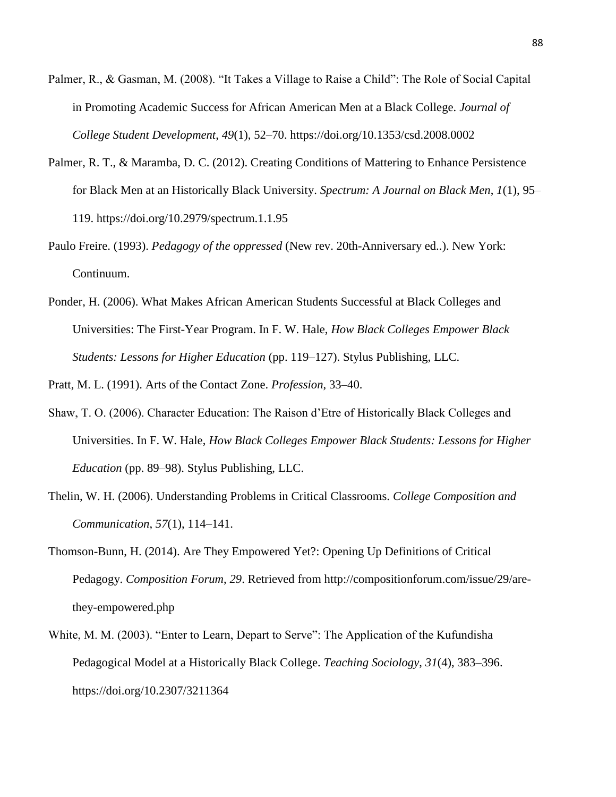- Palmer, R., & Gasman, M. (2008). "It Takes a Village to Raise a Child": The Role of Social Capital in Promoting Academic Success for African American Men at a Black College. *Journal of College Student Development*, *49*(1), 52–70. https://doi.org/10.1353/csd.2008.0002
- Palmer, R. T., & Maramba, D. C. (2012). Creating Conditions of Mattering to Enhance Persistence for Black Men at an Historically Black University. *Spectrum: A Journal on Black Men*, *1*(1), 95– 119. https://doi.org/10.2979/spectrum.1.1.95
- Paulo Freire. (1993). *Pedagogy of the oppressed* (New rev. 20th-Anniversary ed..). New York: Continuum.
- Ponder, H. (2006). What Makes African American Students Successful at Black Colleges and Universities: The First-Year Program. In F. W. Hale, *How Black Colleges Empower Black Students: Lessons for Higher Education* (pp. 119–127). Stylus Publishing, LLC.

Pratt, M. L. (1991). Arts of the Contact Zone. *Profession*, 33–40.

- Shaw, T. O. (2006). Character Education: The Raison d'Etre of Historically Black Colleges and Universities. In F. W. Hale, *How Black Colleges Empower Black Students: Lessons for Higher Education* (pp. 89–98). Stylus Publishing, LLC.
- Thelin, W. H. (2006). Understanding Problems in Critical Classrooms. *College Composition and Communication*, *57*(1), 114–141.
- Thomson-Bunn, H. (2014). Are They Empowered Yet?: Opening Up Definitions of Critical Pedagogy. *Composition Forum*, *29*. Retrieved from http://compositionforum.com/issue/29/arethey-empowered.php
- White, M. M. (2003). "Enter to Learn, Depart to Serve": The Application of the Kufundisha Pedagogical Model at a Historically Black College. *Teaching Sociology*, *31*(4), 383–396. https://doi.org/10.2307/3211364